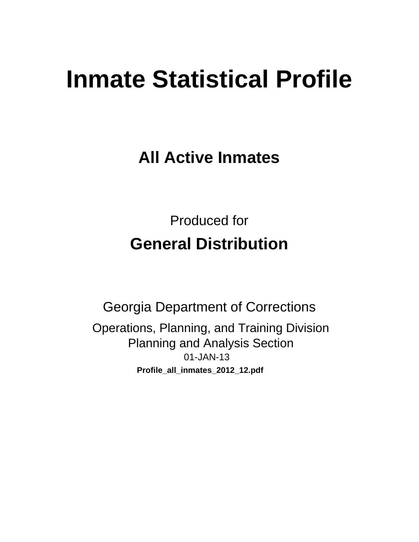# **Inmate Statistical Profile**

**All Active Inmates** 

**Produced for General Distribution** 

**Georgia Department of Corrections** Operations, Planning, and Training Division **Planning and Analysis Section** 01-JAN-13 Profile\_all\_inmates\_2012\_12.pdf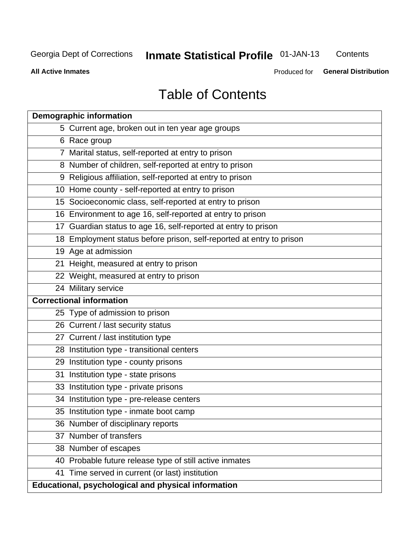# **Inmate Statistical Profile 01-JAN-13**

Contents

**All Active Inmates** 

Produced for General Distribution

# **Table of Contents**

|    | <b>Demographic information</b>                                       |
|----|----------------------------------------------------------------------|
|    | 5 Current age, broken out in ten year age groups                     |
|    | 6 Race group                                                         |
|    | 7 Marital status, self-reported at entry to prison                   |
|    | 8 Number of children, self-reported at entry to prison               |
|    | 9 Religious affiliation, self-reported at entry to prison            |
|    | 10 Home county - self-reported at entry to prison                    |
|    | 15 Socioeconomic class, self-reported at entry to prison             |
|    | 16 Environment to age 16, self-reported at entry to prison           |
|    | 17 Guardian status to age 16, self-reported at entry to prison       |
|    | 18 Employment status before prison, self-reported at entry to prison |
|    | 19 Age at admission                                                  |
|    | 21 Height, measured at entry to prison                               |
|    | 22 Weight, measured at entry to prison                               |
|    | 24 Military service                                                  |
|    | <b>Correctional information</b>                                      |
|    | 25 Type of admission to prison                                       |
|    | 26 Current / last security status                                    |
|    | 27 Current / last institution type                                   |
|    | 28 Institution type - transitional centers                           |
|    | 29 Institution type - county prisons                                 |
| 31 | Institution type - state prisons                                     |
|    | 33 Institution type - private prisons                                |
|    | 34 Institution type - pre-release centers                            |
|    | 35 Institution type - inmate boot camp                               |
|    | 36 Number of disciplinary reports                                    |
|    | 37 Number of transfers                                               |
|    | 38 Number of escapes                                                 |
|    | 40 Probable future release type of still active inmates              |
|    | 41 Time served in current (or last) institution                      |
|    | Educational, psychological and physical information                  |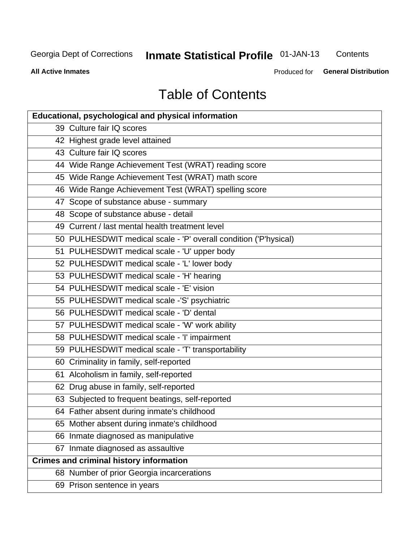# **Inmate Statistical Profile 01-JAN-13**

Contents

**All Active Inmates** 

Produced for General Distribution

# **Table of Contents**

| <b>Educational, psychological and physical information</b>       |
|------------------------------------------------------------------|
| 39 Culture fair IQ scores                                        |
| 42 Highest grade level attained                                  |
| 43 Culture fair IQ scores                                        |
| 44 Wide Range Achievement Test (WRAT) reading score              |
| 45 Wide Range Achievement Test (WRAT) math score                 |
| 46 Wide Range Achievement Test (WRAT) spelling score             |
| 47 Scope of substance abuse - summary                            |
| 48 Scope of substance abuse - detail                             |
| 49 Current / last mental health treatment level                  |
| 50 PULHESDWIT medical scale - 'P' overall condition ('P'hysical) |
| 51 PULHESDWIT medical scale - 'U' upper body                     |
| 52 PULHESDWIT medical scale - 'L' lower body                     |
| 53 PULHESDWIT medical scale - 'H' hearing                        |
| 54 PULHESDWIT medical scale - 'E' vision                         |
| 55 PULHESDWIT medical scale -'S' psychiatric                     |
| 56 PULHESDWIT medical scale - 'D' dental                         |
| 57 PULHESDWIT medical scale - 'W' work ability                   |
| 58 PULHESDWIT medical scale - 'I' impairment                     |
| 59 PULHESDWIT medical scale - 'T' transportability               |
| 60 Criminality in family, self-reported                          |
| 61 Alcoholism in family, self-reported                           |
| 62 Drug abuse in family, self-reported                           |
| 63 Subjected to frequent beatings, self-reported                 |
| 64 Father absent during inmate's childhood                       |
| 65 Mother absent during inmate's childhood                       |
| 66 Inmate diagnosed as manipulative                              |
| 67 Inmate diagnosed as assaultive                                |
| <b>Crimes and criminal history information</b>                   |
| 68 Number of prior Georgia incarcerations                        |
| 69 Prison sentence in years                                      |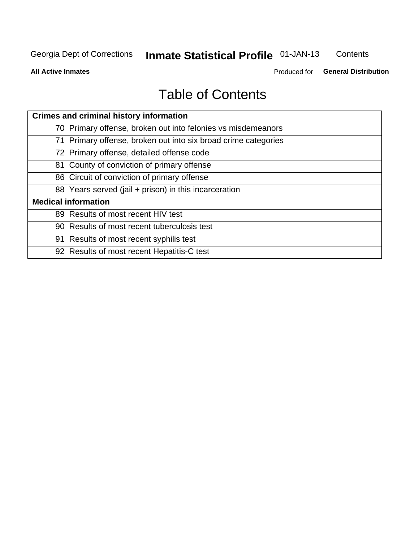# **Inmate Statistical Profile 01-JAN-13**

Contents

**All Active Inmates** 

Produced for General Distribution

# **Table of Contents**

| <b>Crimes and criminal history information</b>                 |
|----------------------------------------------------------------|
| 70 Primary offense, broken out into felonies vs misdemeanors   |
| 71 Primary offense, broken out into six broad crime categories |
| 72 Primary offense, detailed offense code                      |
| 81 County of conviction of primary offense                     |
| 86 Circuit of conviction of primary offense                    |
| 88 Years served (jail + prison) in this incarceration          |
| <b>Medical information</b>                                     |
| 89 Results of most recent HIV test                             |
| 90 Results of most recent tuberculosis test                    |
| 91 Results of most recent syphilis test                        |
| 92 Results of most recent Hepatitis-C test                     |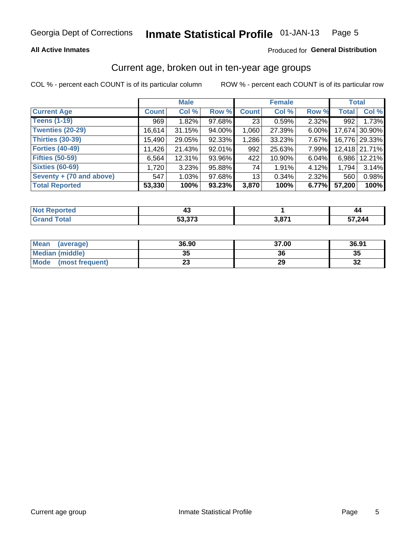### **All Active Inmates**

### Produced for General Distribution

# Current age, broken out in ten-year age groups

COL % - percent each COUNT is of its particular column

|                          |              | <b>Male</b> |        |                 | <b>Female</b> |          |              | <b>Total</b>  |
|--------------------------|--------------|-------------|--------|-----------------|---------------|----------|--------------|---------------|
| <b>Current Age</b>       | <b>Count</b> | Col %       | Row %  | <b>Count</b>    | Col %         | Row %    | <b>Total</b> | Col %         |
| <b>Teens (1-19)</b>      | 969          | 1.82%       | 97.68% | 23 <sub>1</sub> | 0.59%         | 2.32%    | 992          | 1.73%         |
| <b>Twenties (20-29)</b>  | 16,614       | 31.15%      | 94.00% | 1,060           | 27.39%        | $6.00\%$ | 17,674       | 30.90%        |
| <b>Thirties (30-39)</b>  | 15,490       | 29.05%      | 92.33% | 1,286           | 33.23%        | $7.67\%$ |              | 16,776 29.33% |
| <b>Forties (40-49)</b>   | 11,426       | 21.43%      | 92.01% | 992             | 25.63%        | 7.99%    |              | 12,418 21.71% |
| <b>Fifties (50-59)</b>   | 6,564        | 12.31%      | 93.96% | 422             | 10.90%        | 6.04%    | 6.986        | 12.21%        |
| <b>Sixties (60-69)</b>   | 1,720        | 3.23%       | 95.88% | 74              | 1.91%         | 4.12%    | 1,794        | 3.14%         |
| Seventy + (70 and above) | 547          | 1.03%       | 97.68% | 13 <sub>1</sub> | 0.34%         | $2.32\%$ | 560          | 0.98%         |
| <b>Total Reported</b>    | 53,330       | 100%        | 93.23% | 3,870           | 100%          | 6.77%    | 57,200       | 100%          |

| <b>Endered</b><br><b>NOT</b> I | ᠇᠊                 |      | 44     |
|--------------------------------|--------------------|------|--------|
| Total                          | こつ つつつ<br>JJ.J J J | 2074 | 244.7ۃ |

| <b>Mean</b><br>(average) | 36.90    | 37.00 | 36.91    |
|--------------------------|----------|-------|----------|
| Median (middle)          | つん<br>vu | 36    | 35       |
| Mode<br>(most frequent)  | n.<br>w  | 29    | 50<br>⊾ت |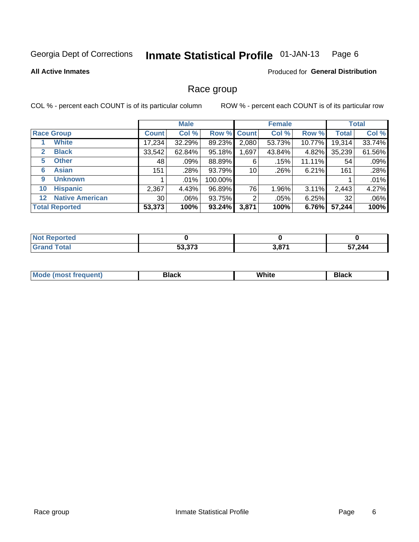#### **Inmate Statistical Profile 01-JAN-13** Page 6

### **All Active Inmates**

### **Produced for General Distribution**

# Race group

COL % - percent each COUNT is of its particular column

|                   |                        |              | <b>Male</b> |             |       | <b>Female</b> |        |              | <b>Total</b> |
|-------------------|------------------------|--------------|-------------|-------------|-------|---------------|--------|--------------|--------------|
| <b>Race Group</b> |                        | <b>Count</b> | Col %       | Row % Count |       | Col %         | Row %  | <b>Total</b> | Col %        |
|                   | <b>White</b>           | 17,234       | 32.29%      | 89.23%      | 2,080 | 53.73%        | 10.77% | 19,314       | 33.74%       |
| $\mathbf{2}$      | <b>Black</b>           | 33,542       | 62.84%      | 95.18%      | ,697  | 43.84%        | 4.82%  | 35,239       | 61.56%       |
| 5                 | <b>Other</b>           | 48           | .09%        | 88.89%      | 6     | .15%          | 11.11% | 54           | .09%         |
| 6                 | <b>Asian</b>           | 151          | .28%        | 93.79%      | 10    | .26%          | 6.21%  | 161          | .28%         |
| 9                 | <b>Unknown</b>         |              | .01%        | 100.00%     |       |               |        |              | .01%         |
| 10                | <b>Hispanic</b>        | 2,367        | 4.43%       | 96.89%      | 76    | 1.96%         | 3.11%  | 2,443        | 4.27%        |
| 12 <sub>2</sub>   | <b>Native American</b> | 30           | .06%        | 93.75%      | 2     | $.05\%$       | 6.25%  | 32           | .06%         |
|                   | <b>Total Reported</b>  | 53,373       | 100%        | 93.24%      | 3,871 | 100%          | 6.76%  | 57,244       | 100%         |

| <b>ported</b><br>N |               |             |        |
|--------------------|---------------|-------------|--------|
| `otal              | E9 979        | <b>2074</b> | 57,244 |
| 'Grano             | <u>ეა.აrა</u> | וס.כ        |        |

| <b>Mode</b><br>.<br>. . | DIACK | White | חטוע |
|-------------------------|-------|-------|------|
|                         |       |       |      |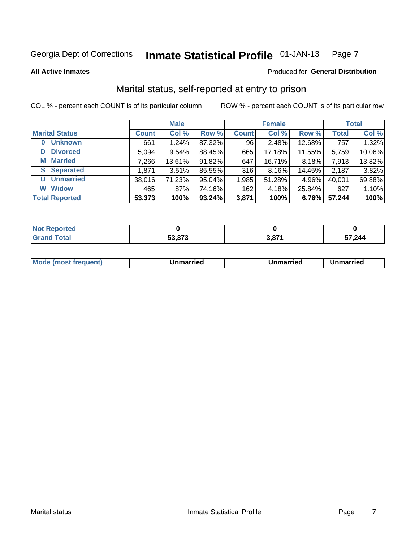#### Inmate Statistical Profile 01-JAN-13 Page 7

**All Active Inmates** 

### Produced for General Distribution

# Marital status, self-reported at entry to prison

COL % - percent each COUNT is of its particular column

|                            |              | <b>Male</b> |        |              | <b>Female</b> |        |              | <b>Total</b> |
|----------------------------|--------------|-------------|--------|--------------|---------------|--------|--------------|--------------|
| <b>Marital Status</b>      | <b>Count</b> | Col %       | Row %  | <b>Count</b> | Col %         | Row %  | <b>Total</b> | Col %        |
| <b>Unknown</b><br>$\bf{0}$ | 661          | 1.24%       | 87.32% | 96           | 2.48%         | 12.68% | 757          | 1.32%        |
| <b>Divorced</b><br>D       | 5,094        | 9.54%       | 88.45% | 665          | 17.18%        | 11.55% | 5,759        | 10.06%       |
| <b>Married</b><br>М        | 7,266        | 13.61%      | 91.82% | 647          | 16.71%        | 8.18%  | 7,913        | 13.82%       |
| <b>S</b> Separated         | 1,871        | 3.51%       | 85.55% | 316          | 8.16%         | 14.45% | 2,187        | 3.82%        |
| <b>Unmarried</b><br>U      | 38,016       | 71.23%      | 95.04% | 1,985        | 51.28%        | 4.96%  | 40,001       | 69.88%       |
| <b>Widow</b><br>W          | 465          | .87%        | 74.16% | 162          | 4.18%         | 25.84% | 627          | 1.10%        |
| <b>Total Reported</b>      | 53,373       | 100%        | 93.24% | 3,871        | 100%          | 6.76%  | 57,244       | 100%         |

| <b>Not Reported</b> |        |                     |        |
|---------------------|--------|---------------------|--------|
| Total<br>Grat       | よつ つつつ | 07'<br>ა.o <i>r</i> | 57,244 |

|--|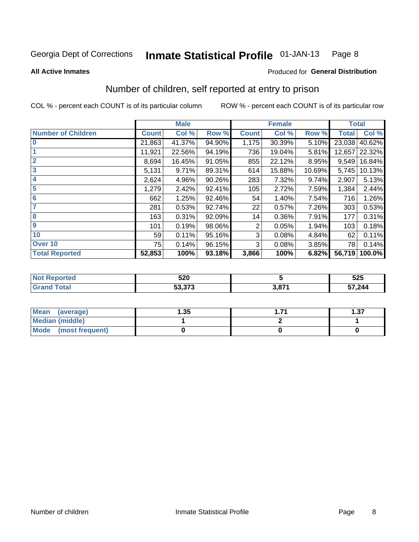#### Inmate Statistical Profile 01-JAN-13 Page 8

### **All Active Inmates**

# Produced for General Distribution

# Number of children, self reported at entry to prison

COL % - percent each COUNT is of its particular column

|                           |              | <b>Male</b> |        |              | <b>Female</b> |        | <b>Total</b> |        |
|---------------------------|--------------|-------------|--------|--------------|---------------|--------|--------------|--------|
| <b>Number of Children</b> | <b>Count</b> | Col %       | Row %  | <b>Count</b> | Col %         | Row %  | <b>Total</b> | Col %  |
| $\bf{0}$                  | 21,863       | 41.37%      | 94.90% | 1,175        | 30.39%        | 5.10%  | 23,038       | 40.62% |
|                           | 11,921       | 22.56%      | 94.19% | 736          | 19.04%        | 5.81%  | 12,657       | 22.32% |
| $\overline{2}$            | 8,694        | 16.45%      | 91.05% | 855          | 22.12%        | 8.95%  | 9,549        | 16.84% |
| 3                         | 5,131        | 9.71%       | 89.31% | 614          | 15.88%        | 10.69% | 5,745        | 10.13% |
| 4                         | 2,624        | 4.96%       | 90.26% | 283          | 7.32%         | 9.74%  | 2,907        | 5.13%  |
| 5                         | 1,279        | 2.42%       | 92.41% | 105          | 2.72%         | 7.59%  | 1,384        | 2.44%  |
| 6                         | 662          | 1.25%       | 92.46% | 54           | 1.40%         | 7.54%  | 716          | 1.26%  |
| 7                         | 281          | 0.53%       | 92.74% | 22           | 0.57%         | 7.26%  | 303          | 0.53%  |
| 8                         | 163          | 0.31%       | 92.09% | 14           | 0.36%         | 7.91%  | 177          | 0.31%  |
| $\boldsymbol{9}$          | 101          | 0.19%       | 98.06% | 2            | 0.05%         | 1.94%  | 103          | 0.18%  |
| 10                        | 59           | 0.11%       | 95.16% | 3            | 0.08%         | 4.84%  | 62           | 0.11%  |
| Over 10                   | 75           | 0.14%       | 96.15% | 3            | 0.08%         | 3.85%  | 78           | 0.14%  |
| <b>Total Reported</b>     | 52,853       | 100%        | 93.18% | 3,866        | 100%          | 6.82%  | 56,719       | 100.0% |

|      | らつの<br>◡▴◡                     |             | よつよ<br>ບ∠ບ |
|------|--------------------------------|-------------|------------|
| υιαι | $F^{\alpha}$ $\gamma^{\alpha}$ | <b>2074</b> | 57,244     |

| <b>Mean</b><br>(average) | l.35 | l.37 |
|--------------------------|------|------|
| Median (middle)          |      |      |
| Mode<br>(most frequent)  |      |      |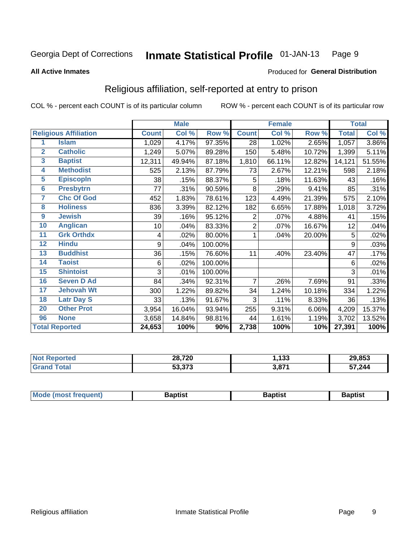#### **Inmate Statistical Profile 01-JAN-13** Page 9

### **All Active Inmates**

### Produced for General Distribution

# Religious affiliation, self-reported at entry to prison

COL % - percent each COUNT is of its particular column

|                         |                              | <b>Male</b>  |        |         | <b>Female</b> |         |        | <b>Total</b> |        |
|-------------------------|------------------------------|--------------|--------|---------|---------------|---------|--------|--------------|--------|
|                         | <b>Religious Affiliation</b> | <b>Count</b> | Col %  | Row %   | <b>Count</b>  | Col %   | Row %  | <b>Total</b> | Col %  |
| 1                       | <b>Islam</b>                 | 1,029        | 4.17%  | 97.35%  | 28            | 1.02%   | 2.65%  | 1,057        | 3.86%  |
| $\overline{2}$          | <b>Catholic</b>              | 1,249        | 5.07%  | 89.28%  | 150           | 5.48%   | 10.72% | 1,399        | 5.11%  |
| $\overline{\mathbf{3}}$ | <b>Baptist</b>               | 12,311       | 49.94% | 87.18%  | 1,810         | 66.11%  | 12.82% | 14,121       | 51.55% |
| 4                       | <b>Methodist</b>             | 525          | 2.13%  | 87.79%  | 73            | 2.67%   | 12.21% | 598          | 2.18%  |
| $\overline{5}$          | <b>EpiscopIn</b>             | 38           | .15%   | 88.37%  | 5             | .18%    | 11.63% | 43           | .16%   |
| $6\overline{6}$         | <b>Presbytrn</b>             | 77           | .31%   | 90.59%  | 8             | .29%    | 9.41%  | 85           | .31%   |
| 7                       | <b>Chc Of God</b>            | 452          | 1.83%  | 78.61%  | 123           | 4.49%   | 21.39% | 575          | 2.10%  |
| 8                       | <b>Holiness</b>              | 836          | 3.39%  | 82.12%  | 182           | 6.65%   | 17.88% | 1,018        | 3.72%  |
| $\boldsymbol{9}$        | <b>Jewish</b>                | 39           | .16%   | 95.12%  | 2             | $.07\%$ | 4.88%  | 41           | .15%   |
| 10                      | <b>Anglican</b>              | 10           | .04%   | 83.33%  | 2             | .07%    | 16.67% | 12           | .04%   |
| 11                      | <b>Grk Orthdx</b>            | 4            | .02%   | 80.00%  | 1             | .04%    | 20.00% | 5            | .02%   |
| 12                      | <b>Hindu</b>                 | 9            | .04%   | 100.00% |               |         |        | 9            | .03%   |
| 13                      | <b>Buddhist</b>              | 36           | .15%   | 76.60%  | 11            | .40%    | 23.40% | 47           | .17%   |
| 14                      | <b>Taoist</b>                | 6            | .02%   | 100.00% |               |         |        | 6            | .02%   |
| 15                      | <b>Shintoist</b>             | 3            | .01%   | 100.00% |               |         |        | 3            | .01%   |
| 16                      | <b>Seven D Ad</b>            | 84           | .34%   | 92.31%  | 7             | .26%    | 7.69%  | 91           | .33%   |
| 17                      | <b>Jehovah Wt</b>            | 300          | 1.22%  | 89.82%  | 34            | 1.24%   | 10.18% | 334          | 1.22%  |
| 18                      | <b>Latr Day S</b>            | 33           | .13%   | 91.67%  | 3             | .11%    | 8.33%  | 36           | .13%   |
| 20                      | <b>Other Prot</b>            | 3,954        | 16.04% | 93.94%  | 255           | 9.31%   | 6.06%  | 4,209        | 15.37% |
| 96                      | <b>None</b>                  | 3,658        | 14.84% | 98.81%  | 44            | 1.61%   | 1.19%  | 3,702        | 13.52% |
|                         | <b>Total Reported</b>        | 24,653       | 100%   | 90%     | 2,738         | 100%    | 10%    | 27,391       | 100%   |

| 28,720                        | 422<br>ני ו | 29,853 |
|-------------------------------|-------------|--------|
| $F_2$ $272$<br><u>აა.ა/ ა</u> | <b>2074</b> | 57,244 |

| Mode (most frequent) | <b>3aptist</b> | 3aptist | <b>Baptist</b> |
|----------------------|----------------|---------|----------------|
|                      |                |         |                |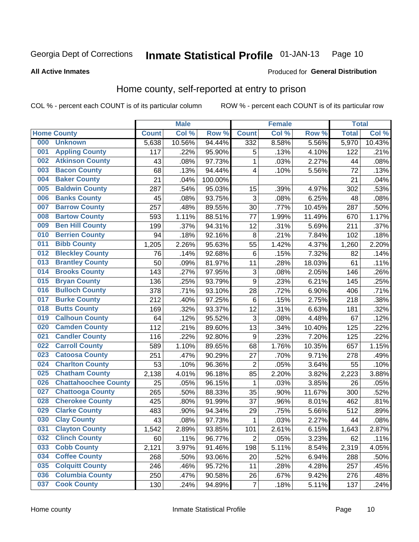#### Inmate Statistical Profile 01-JAN-13 Page 10

**All Active Inmates** 

### Produced for General Distribution

# Home county, self-reported at entry to prison

COL % - percent each COUNT is of its particular column

|     |                             |              | <b>Male</b> |         |                         | <b>Female</b> |        | <b>Total</b> |        |
|-----|-----------------------------|--------------|-------------|---------|-------------------------|---------------|--------|--------------|--------|
|     | <b>Home County</b>          | <b>Count</b> | Col %       | Row %   | <b>Count</b>            | Col %         | Row %  | <b>Total</b> | Col %  |
| 000 | <b>Unknown</b>              | 5,638        | 10.56%      | 94.44%  | 332                     | 8.58%         | 5.56%  | 5,970        | 10.43% |
| 001 | <b>Appling County</b>       | 117          | .22%        | 95.90%  | 5                       | .13%          | 4.10%  | 122          | .21%   |
| 002 | <b>Atkinson County</b>      | 43           | .08%        | 97.73%  | 1                       | .03%          | 2.27%  | 44           | .08%   |
| 003 | <b>Bacon County</b>         | 68           | .13%        | 94.44%  | 4                       | .10%          | 5.56%  | 72           | .13%   |
| 004 | <b>Baker County</b>         | 21           | .04%        | 100.00% |                         |               |        | 21           | .04%   |
| 005 | <b>Baldwin County</b>       | 287          | .54%        | 95.03%  | 15                      | .39%          | 4.97%  | 302          | .53%   |
| 006 | <b>Banks County</b>         | 45           | .08%        | 93.75%  | 3                       | .08%          | 6.25%  | 48           | .08%   |
| 007 | <b>Barrow County</b>        | 257          | .48%        | 89.55%  | 30                      | .77%          | 10.45% | 287          | .50%   |
| 008 | <b>Bartow County</b>        | 593          | 1.11%       | 88.51%  | 77                      | 1.99%         | 11.49% | 670          | 1.17%  |
| 009 | <b>Ben Hill County</b>      | 199          | .37%        | 94.31%  | 12                      | .31%          | 5.69%  | 211          | .37%   |
| 010 | <b>Berrien County</b>       | 94           | .18%        | 92.16%  | 8                       | .21%          | 7.84%  | 102          | .18%   |
| 011 | <b>Bibb County</b>          | 1,205        | 2.26%       | 95.63%  | 55                      | 1.42%         | 4.37%  | 1,260        | 2.20%  |
| 012 | <b>Bleckley County</b>      | 76           | .14%        | 92.68%  | $\,6$                   | .15%          | 7.32%  | 82           | .14%   |
| 013 | <b>Brantley County</b>      | 50           | .09%        | 81.97%  | 11                      | .28%          | 18.03% | 61           | .11%   |
| 014 | <b>Brooks County</b>        | 143          | .27%        | 97.95%  | 3                       | .08%          | 2.05%  | 146          | .26%   |
| 015 | <b>Bryan County</b>         | 136          | .25%        | 93.79%  | 9                       | .23%          | 6.21%  | 145          | .25%   |
| 016 | <b>Bulloch County</b>       | 378          | .71%        | 93.10%  | 28                      | .72%          | 6.90%  | 406          | .71%   |
| 017 | <b>Burke County</b>         | 212          | .40%        | 97.25%  | $\,6$                   | .15%          | 2.75%  | 218          | .38%   |
| 018 | <b>Butts County</b>         | 169          | .32%        | 93.37%  | 12                      | .31%          | 6.63%  | 181          | .32%   |
| 019 | <b>Calhoun County</b>       | 64           | .12%        | 95.52%  | 3                       | .08%          | 4.48%  | 67           | .12%   |
| 020 | <b>Camden County</b>        | 112          | .21%        | 89.60%  | 13                      | .34%          | 10.40% | 125          | .22%   |
| 021 | <b>Candler County</b>       | 116          | .22%        | 92.80%  | 9                       | .23%          | 7.20%  | 125          | .22%   |
| 022 | <b>Carroll County</b>       | 589          | 1.10%       | 89.65%  | 68                      | 1.76%         | 10.35% | 657          | 1.15%  |
| 023 | <b>Catoosa County</b>       | 251          | .47%        | 90.29%  | 27                      | .70%          | 9.71%  | 278          | .49%   |
| 024 | <b>Charlton County</b>      | 53           | .10%        | 96.36%  | $\overline{\mathbf{c}}$ | .05%          | 3.64%  | 55           | .10%   |
| 025 | <b>Chatham County</b>       | 2,138        | 4.01%       | 96.18%  | 85                      | 2.20%         | 3.82%  | 2,223        | 3.88%  |
| 026 | <b>Chattahoochee County</b> | 25           | .05%        | 96.15%  | 1                       | .03%          | 3.85%  | 26           | .05%   |
| 027 | <b>Chattooga County</b>     | 265          | .50%        | 88.33%  | 35                      | .90%          | 11.67% | 300          | .52%   |
| 028 | <b>Cherokee County</b>      | 425          | .80%        | 91.99%  | 37                      | .96%          | 8.01%  | 462          | .81%   |
| 029 | <b>Clarke County</b>        | 483          | .90%        | 94.34%  | 29                      | .75%          | 5.66%  | 512          | .89%   |
| 030 | <b>Clay County</b>          | 43           | .08%        | 97.73%  | 1                       | .03%          | 2.27%  | 44           | .08%   |
| 031 | <b>Clayton County</b>       | 1,542        | 2.89%       | 93.85%  | 101                     | 2.61%         | 6.15%  | 1,643        | 2.87%  |
| 032 | <b>Clinch County</b>        | 60           | .11%        | 96.77%  | $\overline{2}$          | .05%          | 3.23%  | 62           | .11%   |
| 033 | <b>Cobb County</b>          | 2,121        | 3.97%       | 91.46%  | 198                     | 5.11%         | 8.54%  | 2,319        | 4.05%  |
| 034 | <b>Coffee County</b>        | 268          | .50%        | 93.06%  | 20                      | .52%          | 6.94%  | 288          | .50%   |
| 035 | <b>Colquitt County</b>      | 246          | .46%        | 95.72%  | 11                      | .28%          | 4.28%  | 257          | .45%   |
| 036 | <b>Columbia County</b>      | 250          | .47%        | 90.58%  | 26                      | .67%          | 9.42%  | 276          | .48%   |
| 037 | <b>Cook County</b>          | 130          | .24%        | 94.89%  | $\overline{7}$          | .18%          | 5.11%  | 137          | .24%   |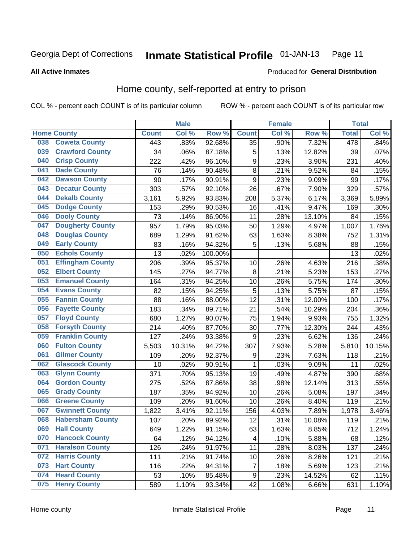#### **Inmate Statistical Profile 01-JAN-13** Page 11

**All Active Inmates** 

### Produced for General Distribution

# Home county, self-reported at entry to prison

COL % - percent each COUNT is of its particular column

|     |                         |              | <b>Male</b> |                  |                  | <b>Female</b> |                  | <b>Total</b> |        |
|-----|-------------------------|--------------|-------------|------------------|------------------|---------------|------------------|--------------|--------|
|     | <b>Home County</b>      | <b>Count</b> | Col %       | Row <sup>%</sup> | <b>Count</b>     | Col %         | Row <sup>%</sup> | <b>Total</b> | Col %  |
| 038 | <b>Coweta County</b>    | 443          | .83%        | 92.68%           | 35               | .90%          | 7.32%            | 478          | .84%   |
| 039 | <b>Crawford County</b>  | 34           | .06%        | 87.18%           | 5                | .13%          | 12.82%           | 39           | .07%   |
| 040 | <b>Crisp County</b>     | 222          | .42%        | 96.10%           | $\boldsymbol{9}$ | .23%          | 3.90%            | 231          | .40%   |
| 041 | <b>Dade County</b>      | 76           | .14%        | 90.48%           | 8                | .21%          | 9.52%            | 84           | .15%   |
| 042 | <b>Dawson County</b>    | 90           | .17%        | 90.91%           | 9                | .23%          | 9.09%            | 99           | .17%   |
| 043 | <b>Decatur County</b>   | 303          | .57%        | 92.10%           | 26               | .67%          | 7.90%            | 329          | .57%   |
| 044 | <b>Dekalb County</b>    | 3,161        | 5.92%       | 93.83%           | 208              | 5.37%         | 6.17%            | 3,369        | 5.89%  |
| 045 | <b>Dodge County</b>     | 153          | .29%        | 90.53%           | 16               | .41%          | 9.47%            | 169          | .30%   |
| 046 | <b>Dooly County</b>     | 73           | .14%        | 86.90%           | 11               | .28%          | 13.10%           | 84           | .15%   |
| 047 | <b>Dougherty County</b> | 957          | 1.79%       | 95.03%           | 50               | 1.29%         | 4.97%            | 1,007        | 1.76%  |
| 048 | <b>Douglas County</b>   | 689          | 1.29%       | 91.62%           | 63               | 1.63%         | 8.38%            | 752          | 1.31%  |
| 049 | <b>Early County</b>     | 83           | .16%        | 94.32%           | 5                | .13%          | 5.68%            | 88           | .15%   |
| 050 | <b>Echols County</b>    | 13           | .02%        | 100.00%          |                  |               |                  | 13           | .02%   |
| 051 | <b>Effingham County</b> | 206          | .39%        | 95.37%           | 10               | .26%          | 4.63%            | 216          | .38%   |
| 052 | <b>Elbert County</b>    | 145          | .27%        | 94.77%           | 8                | .21%          | 5.23%            | 153          | .27%   |
| 053 | <b>Emanuel County</b>   | 164          | .31%        | 94.25%           | 10               | .26%          | 5.75%            | 174          | .30%   |
| 054 | <b>Evans County</b>     | 82           | .15%        | 94.25%           | 5                | .13%          | 5.75%            | 87           | .15%   |
| 055 | <b>Fannin County</b>    | 88           | .16%        | 88.00%           | 12               | .31%          | 12.00%           | 100          | .17%   |
| 056 | <b>Fayette County</b>   | 183          | .34%        | 89.71%           | 21               | .54%          | 10.29%           | 204          | .36%   |
| 057 | <b>Floyd County</b>     | 680          | 1.27%       | 90.07%           | 75               | 1.94%         | 9.93%            | 755          | 1.32%  |
| 058 | <b>Forsyth County</b>   | 214          | .40%        | 87.70%           | 30               | .77%          | 12.30%           | 244          | .43%   |
| 059 | <b>Franklin County</b>  | 127          | .24%        | 93.38%           | 9                | .23%          | 6.62%            | 136          | .24%   |
| 060 | <b>Fulton County</b>    | 5,503        | 10.31%      | 94.72%           | 307              | 7.93%         | 5.28%            | 5,810        | 10.15% |
| 061 | <b>Gilmer County</b>    | 109          | .20%        | 92.37%           | 9                | .23%          | 7.63%            | 118          | .21%   |
| 062 | <b>Glascock County</b>  | 10           | .02%        | 90.91%           | $\mathbf{1}$     | .03%          | 9.09%            | 11           | .02%   |
| 063 | <b>Glynn County</b>     | 371          | .70%        | 95.13%           | 19               | .49%          | 4.87%            | 390          | .68%   |
| 064 | <b>Gordon County</b>    | 275          | .52%        | 87.86%           | 38               | .98%          | 12.14%           | 313          | .55%   |
| 065 | <b>Grady County</b>     | 187          | .35%        | 94.92%           | 10               | .26%          | 5.08%            | 197          | .34%   |
| 066 | <b>Greene County</b>    | 109          | .20%        | 91.60%           | 10               | .26%          | 8.40%            | 119          | .21%   |
| 067 | <b>Gwinnett County</b>  | 1,822        | 3.41%       | 92.11%           | 156              | 4.03%         | 7.89%            | 1,978        | 3.46%  |
| 068 | <b>Habersham County</b> | 107          | .20%        | 89.92%           | 12               | .31%          | 10.08%           | 119          | .21%   |
| 069 | <b>Hall County</b>      | 649          | 1.22%       | 91.15%           | 63               | 1.63%         | 8.85%            | 712          | 1.24%  |
| 070 | <b>Hancock County</b>   | 64           | .12%        | 94.12%           | 4                | .10%          | 5.88%            | 68           | .12%   |
| 071 | <b>Haralson County</b>  | 126          | .24%        | 91.97%           | 11               | .28%          | 8.03%            | 137          | .24%   |
| 072 | <b>Harris County</b>    | 111          | .21%        | 91.74%           | 10               | .26%          | 8.26%            | 121          | .21%   |
| 073 | <b>Hart County</b>      | 116          | .22%        | 94.31%           | $\overline{7}$   | .18%          | 5.69%            | 123          | .21%   |
| 074 | <b>Heard County</b>     | 53           | .10%        | 85.48%           | $\boldsymbol{9}$ | .23%          | 14.52%           | 62           | .11%   |
| 075 | <b>Henry County</b>     | 589          | 1.10%       | 93.34%           | 42               | 1.08%         | 6.66%            | 631          | 1.10%  |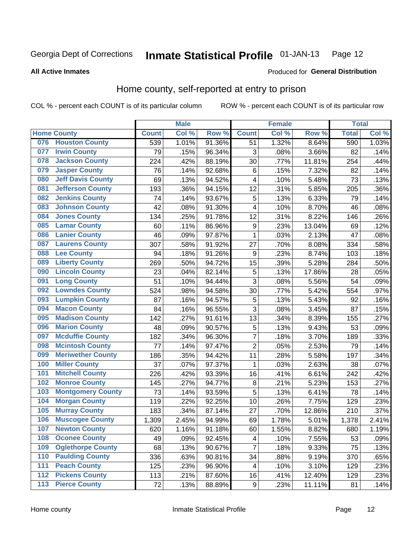#### Inmate Statistical Profile 01-JAN-13 Page 12

**All Active Inmates** 

### Produced for General Distribution

# Home county, self-reported at entry to prison

COL % - percent each COUNT is of its particular column

|                  |                          |              | <b>Male</b> |        |                  | <b>Female</b> |                  | <b>Total</b> |       |
|------------------|--------------------------|--------------|-------------|--------|------------------|---------------|------------------|--------------|-------|
|                  | <b>Home County</b>       | <b>Count</b> | Col %       | Row %  | <b>Count</b>     | Col %         | Row <sup>%</sup> | <b>Total</b> | Col % |
| 076              | <b>Houston County</b>    | 539          | 1.01%       | 91.36% | 51               | 1.32%         | 8.64%            | 590          | 1.03% |
| 077              | <b>Irwin County</b>      | 79           | .15%        | 96.34% | 3                | .08%          | 3.66%            | 82           | .14%  |
| 078              | <b>Jackson County</b>    | 224          | .42%        | 88.19% | 30               | .77%          | 11.81%           | 254          | .44%  |
| 079              | <b>Jasper County</b>     | 76           | .14%        | 92.68% | 6                | .15%          | 7.32%            | 82           | .14%  |
| 080              | <b>Jeff Davis County</b> | 69           | .13%        | 94.52% | 4                | .10%          | 5.48%            | 73           | .13%  |
| 081              | <b>Jefferson County</b>  | 193          | .36%        | 94.15% | 12               | .31%          | 5.85%            | 205          | .36%  |
| 082              | <b>Jenkins County</b>    | 74           | .14%        | 93.67% | 5                | .13%          | 6.33%            | 79           | .14%  |
| 083              | <b>Johnson County</b>    | 42           | .08%        | 91.30% | 4                | .10%          | 8.70%            | 46           | .08%  |
| 084              | <b>Jones County</b>      | 134          | .25%        | 91.78% | 12               | .31%          | 8.22%            | 146          | .26%  |
| 085              | <b>Lamar County</b>      | 60           | .11%        | 86.96% | $\boldsymbol{9}$ | .23%          | 13.04%           | 69           | .12%  |
| 086              | <b>Lanier County</b>     | 46           | .09%        | 97.87% | $\mathbf{1}$     | .03%          | 2.13%            | 47           | .08%  |
| 087              | <b>Laurens County</b>    | 307          | .58%        | 91.92% | 27               | .70%          | 8.08%            | 334          | .58%  |
| 088              | <b>Lee County</b>        | 94           | .18%        | 91.26% | 9                | .23%          | 8.74%            | 103          | .18%  |
| 089              | <b>Liberty County</b>    | 269          | .50%        | 94.72% | 15               | .39%          | 5.28%            | 284          | .50%  |
| 090              | <b>Lincoln County</b>    | 23           | .04%        | 82.14% | 5                | .13%          | 17.86%           | 28           | .05%  |
| 091              | <b>Long County</b>       | 51           | .10%        | 94.44% | 3                | .08%          | 5.56%            | 54           | .09%  |
| 092              | <b>Lowndes County</b>    | 524          | .98%        | 94.58% | 30               | .77%          | 5.42%            | 554          | .97%  |
| 093              | <b>Lumpkin County</b>    | 87           | .16%        | 94.57% | 5                | .13%          | 5.43%            | 92           | .16%  |
| 094              | <b>Macon County</b>      | 84           | .16%        | 96.55% | $\overline{3}$   | .08%          | 3.45%            | 87           | .15%  |
| 095              | <b>Madison County</b>    | 142          | .27%        | 91.61% | 13               | .34%          | 8.39%            | 155          | .27%  |
| 096              | <b>Marion County</b>     | 48           | .09%        | 90.57% | 5                | .13%          | 9.43%            | 53           | .09%  |
| 097              | <b>Mcduffie County</b>   | 182          | .34%        | 96.30% | $\overline{7}$   | .18%          | 3.70%            | 189          | .33%  |
| 098              | <b>Mcintosh County</b>   | 77           | .14%        | 97.47% | $\overline{2}$   | .05%          | 2.53%            | 79           | .14%  |
| 099              | <b>Meriwether County</b> | 186          | .35%        | 94.42% | 11               | .28%          | 5.58%            | 197          | .34%  |
| 100              | <b>Miller County</b>     | 37           | .07%        | 97.37% | 1                | .03%          | 2.63%            | 38           | .07%  |
| 101              | <b>Mitchell County</b>   | 226          | .42%        | 93.39% | 16               | .41%          | 6.61%            | 242          | .42%  |
| 102              | <b>Monroe County</b>     | 145          | .27%        | 94.77% | 8                | .21%          | 5.23%            | 153          | .27%  |
| 103              | <b>Montgomery County</b> | 73           | .14%        | 93.59% | 5                | .13%          | 6.41%            | 78           | .14%  |
| 104              | <b>Morgan County</b>     | 119          | .22%        | 92.25% | 10               | .26%          | 7.75%            | 129          | .23%  |
| 105              | <b>Murray County</b>     | 183          | .34%        | 87.14% | 27               | .70%          | 12.86%           | 210          | .37%  |
| 106              | <b>Muscogee County</b>   | 1,309        | 2.45%       | 94.99% | 69               | 1.78%         | 5.01%            | 1,378        | 2.41% |
| 107              | <b>Newton County</b>     | 620          | 1.16%       | 91.18% | 60               | 1.55%         | 8.82%            | 680          | 1.19% |
| 108              | <b>Oconee County</b>     | 49           | .09%        | 92.45% | 4                | .10%          | 7.55%            | 53           | .09%  |
| 109              | <b>Oglethorpe County</b> | 68           | .13%        | 90.67% | $\overline{7}$   | .18%          | 9.33%            | 75           | .13%  |
| 110              | <b>Paulding County</b>   | 336          | .63%        | 90.81% | 34               | .88%          | 9.19%            | 370          | .65%  |
| 111              | <b>Peach County</b>      | 125          | .23%        | 96.90% | 4                | .10%          | 3.10%            | 129          | .23%  |
| $\overline{112}$ | <b>Pickens County</b>    | 113          | .21%        | 87.60% | 16               | .41%          | 12.40%           | 129          | .23%  |
| 113              | <b>Pierce County</b>     | 72           | .13%        | 88.89% | $\boldsymbol{9}$ | .23%          | 11.11%           | 81           | .14%  |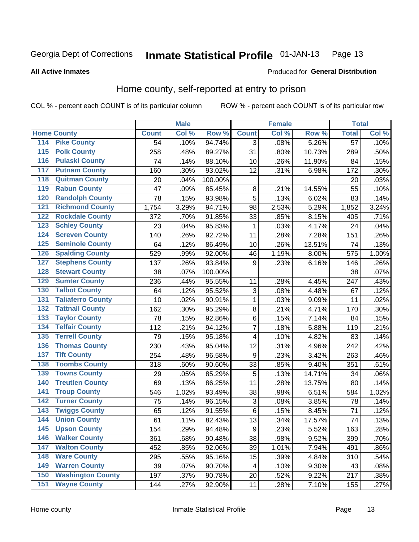#### Inmate Statistical Profile 01-JAN-13 Page 13

### **All Active Inmates**

### Produced for General Distribution

# Home county, self-reported at entry to prison

COL % - percent each COUNT is of its particular column

|                  |                          |              | <b>Male</b> |                  |                  | <b>Female</b> |        | <b>Total</b>    |       |
|------------------|--------------------------|--------------|-------------|------------------|------------------|---------------|--------|-----------------|-------|
|                  | <b>Home County</b>       | <b>Count</b> | Col %       | Row <sup>%</sup> | <b>Count</b>     | Col %         | Row %  | <b>Total</b>    | Col % |
| 114              | <b>Pike County</b>       | 54           | .10%        | 94.74%           | 3                | .08%          | 5.26%  | $\overline{57}$ | .10%  |
| 115              | <b>Polk County</b>       | 258          | .48%        | 89.27%           | 31               | .80%          | 10.73% | 289             | .50%  |
| 116              | <b>Pulaski County</b>    | 74           | .14%        | 88.10%           | 10               | .26%          | 11.90% | 84              | .15%  |
| 117              | <b>Putnam County</b>     | 160          | .30%        | 93.02%           | 12               | .31%          | 6.98%  | 172             | .30%  |
| 118              | <b>Quitman County</b>    | 20           | .04%        | 100.00%          |                  |               |        | 20              | .03%  |
| 119              | <b>Rabun County</b>      | 47           | .09%        | 85.45%           | $\bf 8$          | .21%          | 14.55% | 55              | .10%  |
| 120              | <b>Randolph County</b>   | 78           | .15%        | 93.98%           | 5                | .13%          | 6.02%  | 83              | .14%  |
| 121              | <b>Richmond County</b>   | 1,754        | 3.29%       | 94.71%           | 98               | 2.53%         | 5.29%  | 1,852           | 3.24% |
| 122              | <b>Rockdale County</b>   | 372          | .70%        | 91.85%           | 33               | .85%          | 8.15%  | 405             | .71%  |
| 123              | <b>Schley County</b>     | 23           | .04%        | 95.83%           | 1                | .03%          | 4.17%  | 24              | .04%  |
| 124              | <b>Screven County</b>    | 140          | .26%        | 92.72%           | 11               | .28%          | 7.28%  | 151             | .26%  |
| 125              | <b>Seminole County</b>   | 64           | .12%        | 86.49%           | 10               | .26%          | 13.51% | 74              | .13%  |
| 126              | <b>Spalding County</b>   | 529          | .99%        | 92.00%           | 46               | 1.19%         | 8.00%  | 575             | 1.00% |
| 127              | <b>Stephens County</b>   | 137          | .26%        | 93.84%           | 9                | .23%          | 6.16%  | 146             | .26%  |
| 128              | <b>Stewart County</b>    | 38           | .07%        | 100.00%          |                  |               |        | 38              | .07%  |
| 129              | <b>Sumter County</b>     | 236          | .44%        | 95.55%           | 11               | .28%          | 4.45%  | 247             | .43%  |
| 130              | <b>Talbot County</b>     | 64           | .12%        | 95.52%           | 3                | .08%          | 4.48%  | 67              | .12%  |
| 131              | <b>Taliaferro County</b> | 10           | .02%        | 90.91%           | $\mathbf{1}$     | .03%          | 9.09%  | 11              | .02%  |
| 132              | <b>Tattnall County</b>   | 162          | .30%        | 95.29%           | $\bf 8$          | .21%          | 4.71%  | 170             | .30%  |
| 133              | <b>Taylor County</b>     | 78           | .15%        | 92.86%           | $\,6$            | .15%          | 7.14%  | 84              | .15%  |
| 134              | <b>Telfair County</b>    | 112          | .21%        | 94.12%           | $\overline{7}$   | .18%          | 5.88%  | 119             | .21%  |
| 135              | <b>Terrell County</b>    | 79           | .15%        | 95.18%           | 4                | .10%          | 4.82%  | 83              | .14%  |
| 136              | <b>Thomas County</b>     | 230          | .43%        | 95.04%           | 12               | .31%          | 4.96%  | 242             | .42%  |
| 137              | <b>Tift County</b>       | 254          | .48%        | 96.58%           | 9                | .23%          | 3.42%  | 263             | .46%  |
| 138              | <b>Toombs County</b>     | 318          | .60%        | 90.60%           | 33               | .85%          | 9.40%  | 351             | .61%  |
| 139              | <b>Towns County</b>      | 29           | .05%        | 85.29%           | 5                | .13%          | 14.71% | 34              | .06%  |
| 140              | <b>Treutlen County</b>   | 69           | .13%        | 86.25%           | 11               | .28%          | 13.75% | 80              | .14%  |
| 141              | <b>Troup County</b>      | 546          | 1.02%       | 93.49%           | 38               | .98%          | 6.51%  | 584             | 1.02% |
| $\overline{142}$ | <b>Turner County</b>     | 75           | .14%        | 96.15%           | 3                | .08%          | 3.85%  | 78              | .14%  |
| 143              | <b>Twiggs County</b>     | 65           | .12%        | 91.55%           | $\,6$            | .15%          | 8.45%  | 71              | .12%  |
| 144              | <b>Union County</b>      | 61           | .11%        | 82.43%           | 13               | .34%          | 17.57% | 74              | .13%  |
| 145              | <b>Upson County</b>      | 154          | .29%        | 94.48%           | $\boldsymbol{9}$ | .23%          | 5.52%  | 163             | .28%  |
| 146              | <b>Walker County</b>     | 361          | .68%        | 90.48%           | 38               | .98%          | 9.52%  | 399             | .70%  |
| 147              | <b>Walton County</b>     | 452          | .85%        | 92.06%           | 39               | 1.01%         | 7.94%  | 491             | .86%  |
| 148              | <b>Ware County</b>       | 295          | .55%        | 95.16%           | 15               | .39%          | 4.84%  | 310             | .54%  |
| 149              | <b>Warren County</b>     | 39           | .07%        | 90.70%           | 4                | .10%          | 9.30%  | 43              | .08%  |
| 150              | <b>Washington County</b> | 197          | .37%        | 90.78%           | 20               | .52%          | 9.22%  | 217             | .38%  |
| 151              | <b>Wayne County</b>      | 144          | .27%        | 92.90%           | 11               | .28%          | 7.10%  | 155             | .27%  |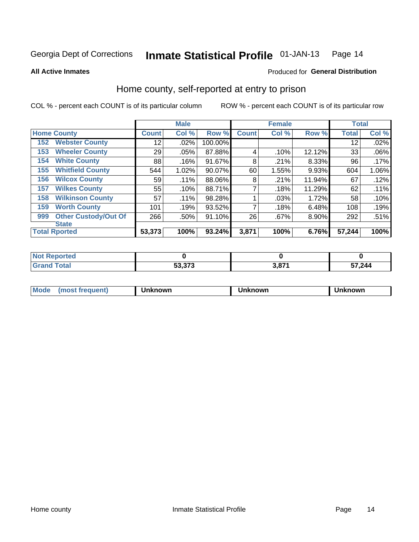#### Inmate Statistical Profile 01-JAN-13 Page 14

**All Active Inmates** 

### Produced for General Distribution

# Home county, self-reported at entry to prison

COL % - percent each COUNT is of its particular column

|     |                             |              | <b>Male</b> |           |              | <b>Female</b> |          | <b>Total</b> |       |
|-----|-----------------------------|--------------|-------------|-----------|--------------|---------------|----------|--------------|-------|
|     | <b>Home County</b>          | <b>Count</b> | Col %       | Row %     | <b>Count</b> | Col %         | Row %    | <b>Total</b> | Col % |
| 152 | <b>Webster County</b>       | 12           | .02%        | 100.00%   |              |               |          | 12           | .02%  |
| 153 | <b>Wheeler County</b>       | 29           | .05%        | 87.88%    | 4            | .10%          | 12.12%   | 33           | .06%  |
| 154 | <b>White County</b>         | 88           | .16%        | 91.67%    | 8            | .21%          | 8.33%    | 96           | .17%  |
| 155 | <b>Whitfield County</b>     | 544          | 1.02%       | $90.07\%$ | 60           | 1.55%         | 9.93%    | 604          | 1.06% |
| 156 | <b>Wilcox County</b>        | 59           | .11%        | 88.06%    | 8            | .21%          | 11.94%   | 67           | .12%  |
| 157 | <b>Wilkes County</b>        | 55           | .10%        | 88.71%    | 7            | .18%          | 11.29%   | 62           | .11%  |
| 158 | <b>Wilkinson County</b>     | 57           | $.11\%$     | 98.28%    |              | .03%          | 1.72%    | 58           | .10%  |
| 159 | <b>Worth County</b>         | 101          | .19%        | 93.52%    | 7            | .18%          | 6.48%    | 108          | .19%  |
| 999 | <b>Other Custody/Out Of</b> | 266          | .50%        | 91.10%    | 26           | .67%          | $8.90\%$ | 292          | .51%  |
|     | <b>State</b>                |              |             |           |              |               |          |              |       |
|     | <b>Total Rported</b>        | 53,373       | 100%        | 93.24%    | 3,871        | 100%          | 6.76%    | 57,244       | 100%  |

| ueo |       |     |        |
|-----|-------|-----|--------|
|     | E2222 | 074 | 57,244 |

| Mode<br><b>Tequent)</b><br>ns | nown | mown | เทown |
|-------------------------------|------|------|-------|
|                               |      |      |       |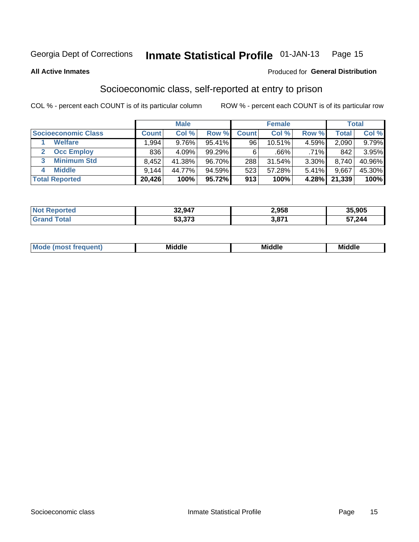#### Inmate Statistical Profile 01-JAN-13 Page 15

**All Active Inmates** 

### **Produced for General Distribution**

# Socioeconomic class, self-reported at entry to prison

COL % - percent each COUNT is of its particular column

|                            |                | <b>Male</b> |        |              | <b>Female</b> |          |        | <b>Total</b> |
|----------------------------|----------------|-------------|--------|--------------|---------------|----------|--------|--------------|
| <b>Socioeconomic Class</b> | <b>Count</b> l | Col %       | Row %  | <b>Count</b> | Col %         | Row %    | Total  | Col %        |
| <b>Welfare</b>             | .994           | 9.76%       | 95.41% | 96           | 10.51%        | $4.59\%$ | 2,090  | 9.79%        |
| <b>Occ Employ</b>          | 836            | $4.09\%$    | 99.29% | 6            | .66%          | .71%     | 842    | 3.95%        |
| <b>Minimum Std</b>         | 8,452          | 41.38%      | 96.70% | 288          | 31.54%        | $3.30\%$ | 8,740  | 40.96%       |
| <b>Middle</b><br>4         | 9,144          | 44.77%      | 94.59% | 523          | 57.28%        | 5.41%    | 9,667  | 45.30%       |
| <b>Total Reported</b>      | 20,426         | 100%        | 95.72% | 913          | 100%          | 4.28%    | 21,339 | 100%         |

| <b>Not Reported</b> | 32,947 | 2,958        | 35,905 |
|---------------------|--------|--------------|--------|
| $\tau$ otal         | 53,373 | 074<br>.ა.ი∍ | 57,244 |

| ____<br>____ |
|--------------|
|--------------|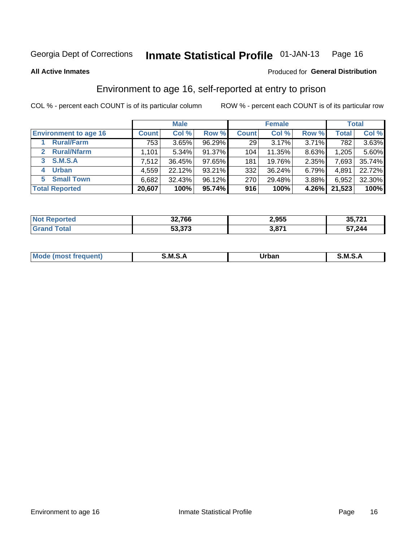#### Inmate Statistical Profile 01-JAN-13 Page 16

**All Active Inmates** 

### Produced for General Distribution

# Environment to age 16, self-reported at entry to prison

COL % - percent each COUNT is of its particular column

|                                    |              | <b>Male</b> |        |                 | <b>Female</b> |       |        | <b>Total</b> |
|------------------------------------|--------------|-------------|--------|-----------------|---------------|-------|--------|--------------|
| <b>Environment to age 16</b>       | <b>Count</b> | Col %       | Row %  | <b>Count</b>    | Col %         | Row % | Total  | Col %        |
| <b>Rural/Farm</b>                  | 753          | 3.65%       | 96.29% | 29 <sub>1</sub> | 3.17%         | 3.71% | 782    | 3.63%        |
| <b>Rural/Nfarm</b><br>$\mathbf{2}$ | 1,101        | $5.34\%$    | 91.37% | 104             | 11.35%        | 8.63% | 1,205  | 5.60%        |
| 3 S.M.S.A                          | 7,512        | 36.45%      | 97.65% | 181             | 19.76%        | 2.35% | 7,693  | 35.74%       |
| <b>Urban</b><br>4                  | 4,559        | 22.12%      | 93.21% | 332             | 36.24%        | 6.79% | 4,891  | 22.72%       |
| <b>Small Town</b><br>5             | 6,682        | 32.43%      | 96.12% | 270             | 29.48%        | 3.88% | 6,952  | 32.30%       |
| <b>Total Reported</b>              | 20,607       | 100%        | 95.74% | 916             | 100%          | 4.26% | 21,523 | 100%         |

| <b>Not Reported</b> | 32,766 | 2,955 | 35,721 |
|---------------------|--------|-------|--------|
|                     | 53,373 | 3,871 | 57,244 |

| Mo<br>m<br>$\cdots$ | <b>MS</b> | Jrban<br>_____ | м s<br>◡.┌ |
|---------------------|-----------|----------------|------------|
|                     |           |                |            |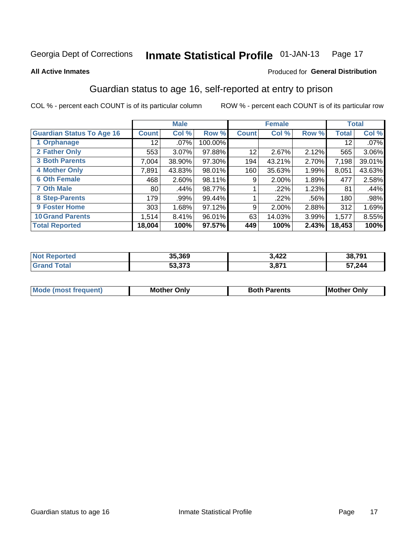#### Inmate Statistical Profile 01-JAN-13 Page 17

### **All Active Inmates**

### Produced for General Distribution

# Guardian status to age 16, self-reported at entry to prison

COL % - percent each COUNT is of its particular column

|                                  |              | <b>Male</b> |         |                 | <b>Female</b> |         |                 | <b>Total</b> |
|----------------------------------|--------------|-------------|---------|-----------------|---------------|---------|-----------------|--------------|
| <b>Guardian Status To Age 16</b> | <b>Count</b> | Col %       | Row %   | <b>Count</b>    | Col %         | Row %   | <b>Total</b>    | Col %        |
| 1 Orphanage                      | 12           | $.07\%$     | 100.00% |                 |               |         | 12 <sup>°</sup> | $.07\%$      |
| 2 Father Only                    | 553          | 3.07%       | 97.88%  | 12 <sub>1</sub> | 2.67%         | 2.12%   | 565             | 3.06%        |
| <b>3 Both Parents</b>            | 7,004        | 38.90%      | 97.30%  | 194             | 43.21%        | 2.70%   | 7,198           | 39.01%       |
| 4 Mother Only                    | 7,891        | 43.83%      | 98.01%  | 160             | 35.63%        | 1.99%   | 8,051           | 43.63%       |
| <b>6 Oth Female</b>              | 468          | 2.60%       | 98.11%  | 9               | 2.00%         | 1.89%   | 477             | 2.58%        |
| <b>7 Oth Male</b>                | 80           | .44%        | 98.77%  |                 | .22%          | 1.23%   | 81              | .44%         |
| 8 Step-Parents                   | 179          | .99%        | 99.44%  |                 | $.22\%$       | $.56\%$ | 180             | .98%         |
| <b>9 Foster Home</b>             | 303          | 1.68%       | 97.12%  | 9               | $2.00\%$      | 2.88%   | 312             | 1.69%        |
| <b>10 Grand Parents</b>          | 1,514        | 8.41%       | 96.01%  | 63              | 14.03%        | 3.99%   | 1,577           | 8.55%        |
| <b>Total Reported</b>            | 18,004       | 100%        | 97.57%  | 449             | 100%          | 2.43%   | 18,453          | 100%         |

| <b>orteg</b><br>NO) | 35,369 | 3,422 | 38,791 |
|---------------------|--------|-------|--------|
| . Gr                | 53,373 | 3,871 | 57,244 |

| <b>Mode (most frequent)</b> | วทIv<br>- -<br>MΩ | <b>Roth</b><br>ີ <sup>ລ</sup> າrents | l Mc<br>Only<br>- - |
|-----------------------------|-------------------|--------------------------------------|---------------------|
|                             |                   |                                      |                     |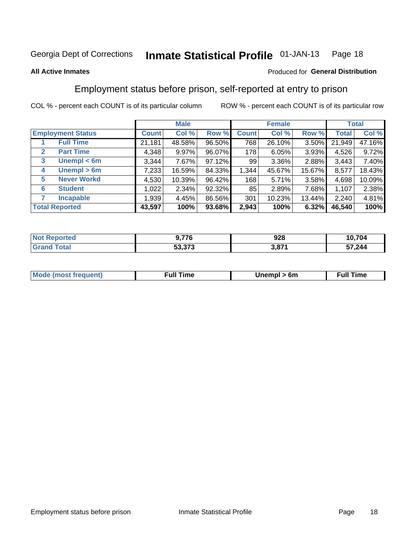#### Inmate Statistical Profile 01-JAN-13 Page 18

### **All Active Inmates**

### Produced for General Distribution

# Employment status before prison, self-reported at entry to prison

COL % - percent each COUNT is of its particular column

|                                  |         | <b>Male</b> |        |              | <b>Female</b> |        |        | <b>Total</b> |
|----------------------------------|---------|-------------|--------|--------------|---------------|--------|--------|--------------|
| <b>Employment Status</b>         | Count l | Col %       | Row %  | <b>Count</b> | Col %         | Row %  | Total  | Col %        |
| <b>Full Time</b>                 | 21,181  | 48.58%      | 96.50% | 768          | 26.10%        | 3.50%  | 21,949 | 47.16%       |
| <b>Part Time</b><br>$\mathbf{2}$ | 4,348   | $9.97\%$    | 96.07% | 178          | 6.05%         | 3.93%  | 4,526  | 9.72%        |
| Unempl $<$ 6m<br>3               | 3,344   | 7.67%       | 97.12% | 99           | 3.36%         | 2.88%  | 3,443  | 7.40%        |
| Unempl > 6m<br>4                 | 7,233   | 16.59%      | 84.33% | 1,344        | 45.67%        | 15.67% | 8,577  | 18.43%       |
| <b>Never Workd</b><br>5          | 4,530   | 10.39%      | 96.42% | 168          | 5.71%         | 3.58%  | 4,698  | 10.09%       |
| <b>Student</b><br>6              | 1,022   | $2.34\%$    | 92.32% | 85           | 2.89%         | 7.68%  | 1,107  | 2.38%        |
| <b>Incapable</b>                 | 1,939   | 4.45%       | 86.56% | 301          | 10.23%        | 13.44% | 2,240  | 4.81%        |
| <b>Total Reported</b>            | 43,597  | 100%        | 93.68% | 2,943        | 100%          | 6.32%  | 46,540 | 100%         |

| orted<br><b>NOT</b> | 77 <sub>C</sub><br>70 | 928          | 10,704 |
|---------------------|-----------------------|--------------|--------|
| $\sim$ 10           | よつ つつつ                | <b>2 074</b> | 57,244 |
| .Grs                | 33.373                |              |        |

| <b>Mou</b><br>זווניווו<br>$\cdots$ | 6m<br>____ | ∙ull<br>⊓mε<br>the contract of the contract of the contract of the contract of the contract of the contract of the contract of |
|------------------------------------|------------|--------------------------------------------------------------------------------------------------------------------------------|
|                                    |            |                                                                                                                                |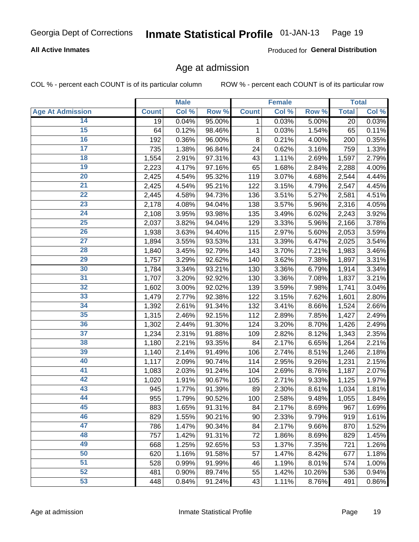### **All Active Inmates**

Produced for General Distribution

# Age at admission

COL % - percent each COUNT is of its particular column

|                         |              | <b>Male</b> |        |              | <b>Female</b> |        |              | <b>Total</b> |
|-------------------------|--------------|-------------|--------|--------------|---------------|--------|--------------|--------------|
| <b>Age At Admission</b> | <b>Count</b> | Col %       | Row %  | <b>Count</b> | Col %         | Row %  | <b>Total</b> | Col %        |
| 14                      | 19           | 0.04%       | 95.00% | 1            | 0.03%         | 5.00%  | 20           | 0.03%        |
| 15                      | 64           | 0.12%       | 98.46% | 1            | 0.03%         | 1.54%  | 65           | 0.11%        |
| 16                      | 192          | 0.36%       | 96.00% | 8            | 0.21%         | 4.00%  | 200          | 0.35%        |
| $\overline{17}$         | 735          | 1.38%       | 96.84% | 24           | 0.62%         | 3.16%  | 759          | 1.33%        |
| $\overline{18}$         | 1,554        | 2.91%       | 97.31% | 43           | 1.11%         | 2.69%  | 1,597        | 2.79%        |
| 19                      | 2,223        | 4.17%       | 97.16% | 65           | 1.68%         | 2.84%  | 2,288        | 4.00%        |
| 20                      | 2,425        | 4.54%       | 95.32% | 119          | 3.07%         | 4.68%  | 2,544        | 4.44%        |
| $\overline{21}$         | 2,425        | 4.54%       | 95.21% | 122          | 3.15%         | 4.79%  | 2,547        | 4.45%        |
| $\overline{22}$         | 2,445        | 4.58%       | 94.73% | 136          | 3.51%         | 5.27%  | 2,581        | 4.51%        |
| 23                      | 2,178        | 4.08%       | 94.04% | 138          | 3.57%         | 5.96%  | 2,316        | 4.05%        |
| 24                      | 2,108        | 3.95%       | 93.98% | 135          | 3.49%         | 6.02%  | 2,243        | 3.92%        |
| $\overline{25}$         | 2,037        | 3.82%       | 94.04% | 129          | 3.33%         | 5.96%  | 2,166        | 3.78%        |
| $\overline{26}$         | 1,938        | 3.63%       | 94.40% | 115          | 2.97%         | 5.60%  | 2,053        | 3.59%        |
| $\overline{27}$         | 1,894        | 3.55%       | 93.53% | 131          | 3.39%         | 6.47%  | 2,025        | 3.54%        |
| 28                      | 1,840        | 3.45%       | 92.79% | 143          | 3.70%         | 7.21%  | 1,983        | 3.46%        |
| 29                      | 1,757        | 3.29%       | 92.62% | 140          | 3.62%         | 7.38%  | 1,897        | 3.31%        |
| 30                      | 1,784        | 3.34%       | 93.21% | 130          | 3.36%         | 6.79%  | 1,914        | 3.34%        |
| 31                      | 1,707        | 3.20%       | 92.92% | 130          | 3.36%         | 7.08%  | 1,837        | 3.21%        |
| 32                      | 1,602        | 3.00%       | 92.02% | 139          | 3.59%         | 7.98%  | 1,741        | 3.04%        |
| 33                      | 1,479        | 2.77%       | 92.38% | 122          | 3.15%         | 7.62%  | 1,601        | 2.80%        |
| 34                      | 1,392        | 2.61%       | 91.34% | 132          | 3.41%         | 8.66%  | 1,524        | 2.66%        |
| 35                      | 1,315        | 2.46%       | 92.15% | 112          | 2.89%         | 7.85%  | 1,427        | 2.49%        |
| 36                      | 1,302        | 2.44%       | 91.30% | 124          | 3.20%         | 8.70%  | 1,426        | 2.49%        |
| $\overline{37}$         | 1,234        | 2.31%       | 91.88% | 109          | 2.82%         | 8.12%  | 1,343        | 2.35%        |
| 38                      | 1,180        | 2.21%       | 93.35% | 84           | 2.17%         | 6.65%  | 1,264        | 2.21%        |
| 39                      | 1,140        | 2.14%       | 91.49% | 106          | 2.74%         | 8.51%  | 1,246        | 2.18%        |
| 40                      | 1,117        | 2.09%       | 90.74% | 114          | 2.95%         | 9.26%  | 1,231        | 2.15%        |
| 41                      | 1,083        | 2.03%       | 91.24% | 104          | 2.69%         | 8.76%  | 1,187        | 2.07%        |
| 42                      | 1,020        | 1.91%       | 90.67% | 105          | 2.71%         | 9.33%  | 1,125        | 1.97%        |
| 43                      | 945          | 1.77%       | 91.39% | 89           | 2.30%         | 8.61%  | 1,034        | 1.81%        |
| 44                      | 955          | 1.79%       | 90.52% | 100          | 2.58%         | 9.48%  | 1,055        | 1.84%        |
| 45                      | 883          | 1.65%       | 91.31% | 84           | 2.17%         | 8.69%  | 967          | 1.69%        |
| 46                      | 829          | 1.55%       | 90.21% | 90           | 2.33%         | 9.79%  | 919          | 1.61%        |
| 47                      | 786          | 1.47%       | 90.34% | 84           | 2.17%         | 9.66%  | 870          | 1.52%        |
| 48                      | 757          | 1.42%       | 91.31% | 72           | 1.86%         | 8.69%  | 829          | 1.45%        |
| 49                      | 668          | 1.25%       | 92.65% | 53           | 1.37%         | 7.35%  | 721          | 1.26%        |
| 50                      | 620          | 1.16%       | 91.58% | 57           | 1.47%         | 8.42%  | 677          | 1.18%        |
| 51                      | 528          | 0.99%       | 91.99% | 46           | 1.19%         | 8.01%  | 574          | 1.00%        |
| 52                      | 481          | 0.90%       | 89.74% | 55           | 1.42%         | 10.26% | 536          | 0.94%        |
| 53                      | 448          | 0.84%       | 91.24% | 43           | 1.11%         | 8.76%  | 491          | 0.86%        |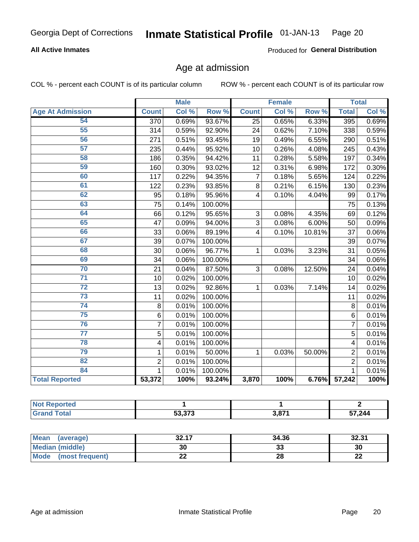### **All Active Inmates**

Produced for General Distribution

# Age at admission

COL % - percent each COUNT is of its particular column

|                         |                | <b>Male</b> |                  |                | <b>Female</b> |        |                | <b>Total</b> |
|-------------------------|----------------|-------------|------------------|----------------|---------------|--------|----------------|--------------|
| <b>Age At Admission</b> | <b>Count</b>   | Col %       | Row <sup>%</sup> | <b>Count</b>   | Col %         | Row %  | <b>Total</b>   | Col %        |
| 54                      | 370            | 0.69%       | 93.67%           | 25             | 0.65%         | 6.33%  | 395            | 0.69%        |
| 55                      | 314            | 0.59%       | 92.90%           | 24             | 0.62%         | 7.10%  | 338            | 0.59%        |
| 56                      | 271            | 0.51%       | 93.45%           | 19             | 0.49%         | 6.55%  | 290            | 0.51%        |
| $\overline{57}$         | 235            | 0.44%       | 95.92%           | 10             | 0.26%         | 4.08%  | 245            | 0.43%        |
| 58                      | 186            | 0.35%       | 94.42%           | 11             | 0.28%         | 5.58%  | 197            | 0.34%        |
| 59                      | 160            | 0.30%       | 93.02%           | 12             | 0.31%         | 6.98%  | 172            | 0.30%        |
| 60                      | 117            | 0.22%       | 94.35%           | $\overline{7}$ | 0.18%         | 5.65%  | 124            | 0.22%        |
| 61                      | 122            | 0.23%       | 93.85%           | 8              | 0.21%         | 6.15%  | 130            | 0.23%        |
| 62                      | 95             | 0.18%       | 95.96%           | 4              | 0.10%         | 4.04%  | 99             | 0.17%        |
| 63                      | 75             | 0.14%       | 100.00%          |                |               |        | 75             | 0.13%        |
| 64                      | 66             | 0.12%       | 95.65%           | 3              | 0.08%         | 4.35%  | 69             | 0.12%        |
| 65                      | 47             | 0.09%       | 94.00%           | 3              | 0.08%         | 6.00%  | 50             | 0.09%        |
| 66                      | 33             | 0.06%       | 89.19%           | 4              | 0.10%         | 10.81% | 37             | 0.06%        |
| 67                      | 39             | 0.07%       | 100.00%          |                |               |        | 39             | 0.07%        |
| 68                      | 30             | 0.06%       | 96.77%           | $\mathbf 1$    | 0.03%         | 3.23%  | 31             | 0.05%        |
| 69                      | 34             | 0.06%       | 100.00%          |                |               |        | 34             | 0.06%        |
| 70                      | 21             | 0.04%       | 87.50%           | 3              | 0.08%         | 12.50% | 24             | 0.04%        |
| $\overline{71}$         | 10             | 0.02%       | 100.00%          |                |               |        | 10             | 0.02%        |
| $\overline{72}$         | 13             | 0.02%       | 92.86%           | 1              | 0.03%         | 7.14%  | 14             | 0.02%        |
| 73                      | 11             | 0.02%       | 100.00%          |                |               |        | 11             | 0.02%        |
| $\overline{74}$         | 8              | 0.01%       | 100.00%          |                |               |        | 8              | 0.01%        |
| $\overline{75}$         | 6              | 0.01%       | 100.00%          |                |               |        | $6\phantom{1}$ | 0.01%        |
| 76                      | $\overline{7}$ | 0.01%       | 100.00%          |                |               |        | $\overline{7}$ | 0.01%        |
| $\overline{77}$         | 5              | 0.01%       | 100.00%          |                |               |        | $\overline{5}$ | 0.01%        |
| 78                      | $\overline{4}$ | 0.01%       | 100.00%          |                |               |        | 4              | 0.01%        |
| 79                      | $\mathbf 1$    | 0.01%       | 50.00%           | $\mathbf{1}$   | 0.03%         | 50.00% | $\overline{2}$ | 0.01%        |
| $\overline{82}$         | $\overline{2}$ | 0.01%       | 100.00%          |                |               |        | $\overline{2}$ | 0.01%        |
| 84                      | 1              | 0.01%       | 100.00%          |                |               |        | $\mathbf{1}$   | 0.01%        |
| <b>Total Reported</b>   | 53,372         | 100%        | 93.24%           | 3,870          | 100%          | 6.76%  | 57,242         | 100%         |

| m |                                          |      |        |
|---|------------------------------------------|------|--------|
|   | $F^{\alpha}$ $\gamma^{\alpha}$<br>JJ.JIJ | 2074 | 57,244 |

| <b>Mean</b><br>(average) | 22.47<br>34. LI | 34.36   | 32.31     |
|--------------------------|-----------------|---------|-----------|
| Median (middle)          | 30              | ົ<br>აა | 30        |
| Mode<br>(most frequent)  | ∸∸              | 28      | ne.<br>LL |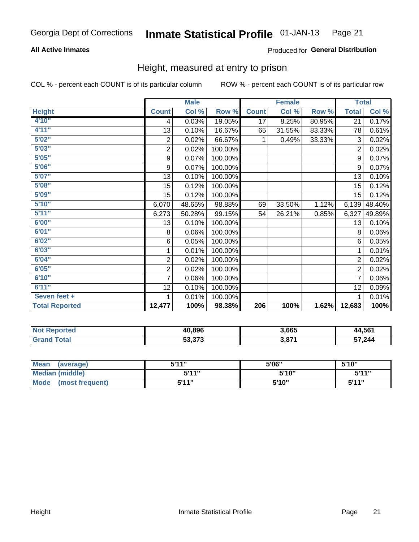### **All Active Inmates**

### Produced for General Distribution

# Height, measured at entry to prison

COL % - percent each COUNT is of its particular column

|                       | <b>Male</b>      |        |         | <b>Female</b> |        |        | <b>Total</b>   |        |
|-----------------------|------------------|--------|---------|---------------|--------|--------|----------------|--------|
| <b>Height</b>         | <b>Count</b>     | Col %  | Row %   | <b>Count</b>  | Col %  | Row %  | <b>Total</b>   | Col %  |
| 4'10"                 | 4                | 0.03%  | 19.05%  | 17            | 8.25%  | 80.95% | 21             | 0.17%  |
| 4'11''                | 13               | 0.10%  | 16.67%  | 65            | 31.55% | 83.33% | 78             | 0.61%  |
| 5'02"                 | $\sqrt{2}$       | 0.02%  | 66.67%  | 1             | 0.49%  | 33.33% | 3              | 0.02%  |
| 5'03''                | $\overline{c}$   | 0.02%  | 100.00% |               |        |        | $\overline{2}$ | 0.02%  |
| 5'05''                | $\boldsymbol{9}$ | 0.07%  | 100.00% |               |        |        | 9              | 0.07%  |
| 5'06''                | 9                | 0.07%  | 100.00% |               |        |        | 9              | 0.07%  |
| 5'07''                | 13               | 0.10%  | 100.00% |               |        |        | 13             | 0.10%  |
| 5'08''                | 15               | 0.12%  | 100.00% |               |        |        | 15             | 0.12%  |
| 5'09''                | 15               | 0.12%  | 100.00% |               |        |        | 15             | 0.12%  |
| 5'10''                | 6,070            | 48.65% | 98.88%  | 69            | 33.50% | 1.12%  | 6,139          | 48.40% |
| 5'11''                | 6,273            | 50.28% | 99.15%  | 54            | 26.21% | 0.85%  | 6,327          | 49.89% |
| 6'00''                | 13               | 0.10%  | 100.00% |               |        |        | 13             | 0.10%  |
| 6'01''                | 8                | 0.06%  | 100.00% |               |        |        | 8              | 0.06%  |
| 6'02''                | 6                | 0.05%  | 100.00% |               |        |        | 6              | 0.05%  |
| 6'03''                | 1                | 0.01%  | 100.00% |               |        |        | 1              | 0.01%  |
| 6'04''                | $\overline{2}$   | 0.02%  | 100.00% |               |        |        | $\overline{2}$ | 0.02%  |
| 6'05''                | $\mathbf 2$      | 0.02%  | 100.00% |               |        |        | $\overline{2}$ | 0.02%  |
| 6'10''                | 7                | 0.06%  | 100.00% |               |        |        | 7              | 0.06%  |
| 6'11''                | 12               | 0.10%  | 100.00% |               |        |        | 12             | 0.09%  |
| Seven feet +          | 1                | 0.01%  | 100.00% |               |        |        | 1              | 0.01%  |
| <b>Total Reported</b> | 12,477           | 100%   | 98.38%  | 206           | 100%   | 1.62%  | 12,683         | 100%   |

| <b>Not</b><br>Reported | 40,896 | 3,665 | 44,561 |
|------------------------|--------|-------|--------|
| `otal                  | 53.373 | 2074  | 57,244 |

| <b>Mean</b><br>(average)       | <b>5'14"</b> | 5'06" | 5'10" |
|--------------------------------|--------------|-------|-------|
| Median (middle)                | 544"         | 5'10" | 5'11" |
| <b>Mode</b><br>(most frequent) | 544 "        | 5'10" | 544"  |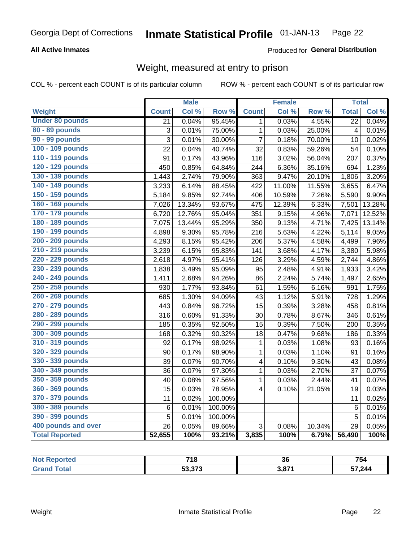### **All Active Inmates**

### Produced for General Distribution

# Weight, measured at entry to prison

COL % - percent each COUNT is of its particular column

|                        |                | <b>Male</b> |                  |                         | <b>Female</b> |        | <b>Total</b>    |        |
|------------------------|----------------|-------------|------------------|-------------------------|---------------|--------|-----------------|--------|
| <b>Weight</b>          | <b>Count</b>   | Col %       | Row <sup>%</sup> | <b>Count</b>            | Col%          | Row %  | <b>Total</b>    | Col %  |
| <b>Under 80 pounds</b> | 21             | 0.04%       | 95.45%           | $\mathbf 1$             | 0.03%         | 4.55%  | $\overline{22}$ | 0.04%  |
| 80 - 89 pounds         | 3              | 0.01%       | 75.00%           | $\mathbf{1}$            | 0.03%         | 25.00% | $\overline{4}$  | 0.01%  |
| 90 - 99 pounds         | $\overline{3}$ | 0.01%       | 30.00%           | $\overline{7}$          | 0.18%         | 70.00% | 10              | 0.02%  |
| 100 - 109 pounds       | 22             | 0.04%       | 40.74%           | 32                      | 0.83%         | 59.26% | 54              | 0.10%  |
| 110 - 119 pounds       | 91             | 0.17%       | 43.96%           | 116                     | 3.02%         | 56.04% | 207             | 0.37%  |
| 120 - 129 pounds       | 450            | 0.85%       | 64.84%           | 244                     | 6.36%         | 35.16% | 694             | 1.23%  |
| 130 - 139 pounds       | 1,443          | 2.74%       | 79.90%           | 363                     | 9.47%         | 20.10% | 1,806           | 3.20%  |
| 140 - 149 pounds       | 3,233          | 6.14%       | 88.45%           | 422                     | 11.00%        | 11.55% | 3,655           | 6.47%  |
| 150 - 159 pounds       | 5,184          | 9.85%       | 92.74%           | 406                     | 10.59%        | 7.26%  | 5,590           | 9.90%  |
| 160 - 169 pounds       | 7,026          | 13.34%      | 93.67%           | 475                     | 12.39%        | 6.33%  | 7,501           | 13.28% |
| 170 - 179 pounds       | 6,720          | 12.76%      | 95.04%           | 351                     | 9.15%         | 4.96%  | 7,071           | 12.52% |
| 180 - 189 pounds       | 7,075          | 13.44%      | 95.29%           | 350                     | 9.13%         | 4.71%  | 7,425           | 13.14% |
| 190 - 199 pounds       | 4,898          | 9.30%       | 95.78%           | 216                     | 5.63%         | 4.22%  | 5,114           | 9.05%  |
| 200 - 209 pounds       | 4,293          | 8.15%       | 95.42%           | 206                     | 5.37%         | 4.58%  | 4,499           | 7.96%  |
| 210 - 219 pounds       | 3,239          | 6.15%       | 95.83%           | 141                     | 3.68%         | 4.17%  | 3,380           | 5.98%  |
| 220 - 229 pounds       | 2,618          | 4.97%       | 95.41%           | 126                     | 3.29%         | 4.59%  | 2,744           | 4.86%  |
| 230 - 239 pounds       | 1,838          | 3.49%       | 95.09%           | 95                      | 2.48%         | 4.91%  | 1,933           | 3.42%  |
| 240 - 249 pounds       | 1,411          | 2.68%       | 94.26%           | 86                      | 2.24%         | 5.74%  | 1,497           | 2.65%  |
| 250 - 259 pounds       | 930            | 1.77%       | 93.84%           | 61                      | 1.59%         | 6.16%  | 991             | 1.75%  |
| 260 - 269 pounds       | 685            | 1.30%       | 94.09%           | 43                      | 1.12%         | 5.91%  | 728             | 1.29%  |
| 270 - 279 pounds       | 443            | 0.84%       | 96.72%           | 15                      | 0.39%         | 3.28%  | 458             | 0.81%  |
| 280 - 289 pounds       | 316            | 0.60%       | 91.33%           | 30                      | 0.78%         | 8.67%  | 346             | 0.61%  |
| 290 - 299 pounds       | 185            | 0.35%       | 92.50%           | 15                      | 0.39%         | 7.50%  | 200             | 0.35%  |
| 300 - 309 pounds       | 168            | 0.32%       | 90.32%           | 18                      | 0.47%         | 9.68%  | 186             | 0.33%  |
| 310 - 319 pounds       | 92             | 0.17%       | 98.92%           | 1                       | 0.03%         | 1.08%  | 93              | 0.16%  |
| 320 - 329 pounds       | 90             | 0.17%       | 98.90%           | 1                       | 0.03%         | 1.10%  | 91              | 0.16%  |
| 330 - 339 pounds       | 39             | 0.07%       | 90.70%           | 4                       | 0.10%         | 9.30%  | 43              | 0.08%  |
| 340 - 349 pounds       | 36             | 0.07%       | 97.30%           | $\mathbf{1}$            | 0.03%         | 2.70%  | 37              | 0.07%  |
| 350 - 359 pounds       | 40             | 0.08%       | 97.56%           | 1                       | 0.03%         | 2.44%  | 41              | 0.07%  |
| 360 - 369 pounds       | 15             | 0.03%       | 78.95%           | $\overline{\mathbf{4}}$ | 0.10%         | 21.05% | 19              | 0.03%  |
| 370 - 379 pounds       | 11             | 0.02%       | 100.00%          |                         |               |        | 11              | 0.02%  |
| 380 - 389 pounds       | 6              | 0.01%       | 100.00%          |                         |               |        | $6\phantom{1}6$ | 0.01%  |
| 390 - 399 pounds       | 5              | 0.01%       | 100.00%          |                         |               |        | 5               | 0.01%  |
| 400 pounds and over    | 26             | 0.05%       | 89.66%           | 3                       | 0.08%         | 10.34% | 29              | 0.05%  |
| <b>Total Reported</b>  | 52,655         | 100%        | 93.21%           | 3,835                   | 100%          | 6.79%  | 56,490          | 100%   |

| Reported<br><b>NOT</b> | <b>740</b><br>ı a       | 36   | 754    |
|------------------------|-------------------------|------|--------|
| <b>Total</b><br>. Gr   | こつ つつつ<br><b>JJ,J/J</b> | 2074 | 57,244 |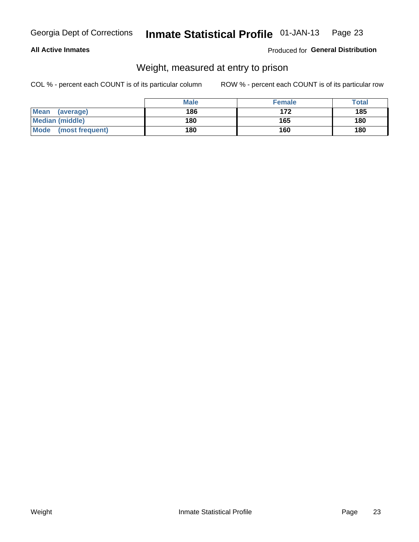### **All Active Inmates**

### Produced for General Distribution

# Weight, measured at entry to prison

COL % - percent each COUNT is of its particular column

|                                | <b>Male</b> | <b>Female</b> | Total |
|--------------------------------|-------------|---------------|-------|
| Mean<br>(average)              | 186         | 172           | 185   |
| <b>Median (middle)</b>         | 180         | 165           | 180   |
| <b>Mode</b><br>(most frequent) | 180         | 160           | 180   |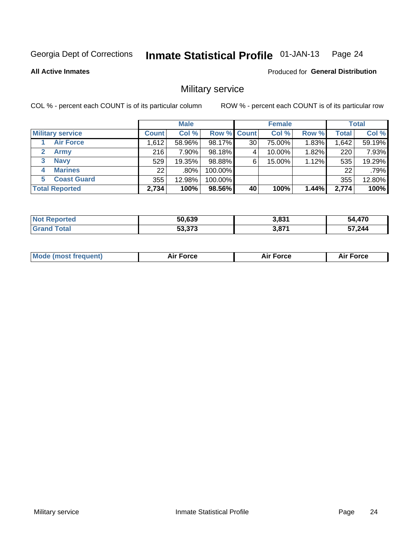#### Inmate Statistical Profile 01-JAN-13 Page 24

**All Active Inmates** 

**Produced for General Distribution** 

# Military service

COL % - percent each COUNT is of its particular column

|                          | <b>Male</b>  |         |             | <b>Female</b>   |        |          | <b>Total</b> |        |
|--------------------------|--------------|---------|-------------|-----------------|--------|----------|--------------|--------|
| <b>Military service</b>  | <b>Count</b> | Col %   | Row % Count |                 | Col %  | Row %    | <b>Total</b> | Col %  |
| <b>Air Force</b>         | 1,612        | 58.96%  | 98.17%      | 30 <sub>1</sub> | 75.00% | 1.83%    | .642         | 59.19% |
| <b>Army</b>              | 216          | 7.90%   | 98.18%      |                 | 10.00% | 1.82%    | 220          | 7.93%  |
| <b>Navy</b><br>3         | 529          | 19.35%  | 98.88%      | 6               | 15.00% | $1.12\%$ | 535          | 19.29% |
| <b>Marines</b><br>4      | 221          | $.80\%$ | 100.00%     |                 |        |          | 22           | .79%   |
| <b>Coast Guard</b><br>5. | 355          | 12.98%  | 100.00%     |                 |        |          | 355          | 12.80% |
| <b>Total Reported</b>    | 2,734        | 100%    | 98.56%      | 40              | 100%   | 1.44%    | 2,774        | 100%   |

| <b>Not Reported</b>       | 50,639 | 3,831 | 54,470 |
|---------------------------|--------|-------|--------|
| $\mathop{\mathsf{Total}}$ | 53,373 | 3,871 | 57,244 |

| Mo | <br>ъc | . |
|----|--------|---|
|    |        |   |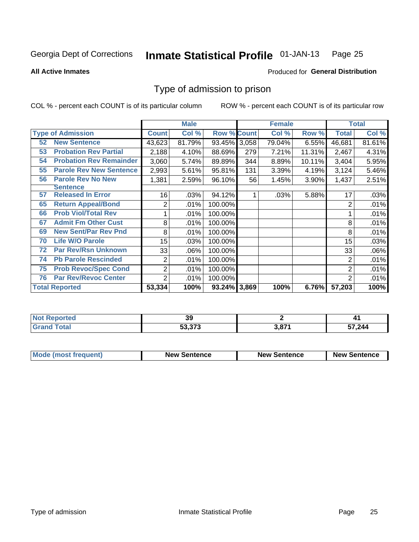#### Inmate Statistical Profile 01-JAN-13 Page 25

### **All Active Inmates**

### **Produced for General Distribution**

# Type of admission to prison

COL % - percent each COUNT is of its particular column

|    |                                |              | <b>Male</b> |                    |     | <b>Female</b> | <b>Total</b> |                |         |
|----|--------------------------------|--------------|-------------|--------------------|-----|---------------|--------------|----------------|---------|
|    | <b>Type of Admission</b>       | <b>Count</b> | Col %       | <b>Row % Count</b> |     | Col %         | Row %        | <b>Total</b>   | Col %   |
| 52 | <b>New Sentence</b>            | 43,623       | 81.79%      | 93.45% 3,058       |     | 79.04%        | 6.55%        | 46,681         | 81.61%  |
| 53 | <b>Probation Rev Partial</b>   | 2,188        | 4.10%       | 88.69%             | 279 | 7.21%         | 11.31%       | 2,467          | 4.31%   |
| 54 | <b>Probation Rev Remainder</b> | 3,060        | 5.74%       | 89.89%             | 344 | 8.89%         | 10.11%       | 3,404          | 5.95%   |
| 55 | <b>Parole Rev New Sentence</b> | 2,993        | 5.61%       | 95.81%             | 131 | 3.39%         | 4.19%        | 3,124          | 5.46%   |
| 56 | <b>Parole Rev No New</b>       | 1,381        | 2.59%       | 96.10%             | 56  | 1.45%         | 3.90%        | 1,437          | 2.51%   |
|    | <b>Sentence</b>                |              |             |                    |     |               |              |                |         |
| 57 | <b>Released In Error</b>       | 16           | .03%        | 94.12%             |     | .03%          | 5.88%        | 17             | .03%    |
| 65 | <b>Return Appeal/Bond</b>      | 2            | .01%        | 100.00%            |     |               |              | 2              | $.01\%$ |
| 66 | <b>Prob Viol/Total Rev</b>     |              | .01%        | 100.00%            |     |               |              |                | .01%    |
| 67 | <b>Admit Fm Other Cust</b>     | 8            | .01%        | 100.00%            |     |               |              | 8              | .01%    |
| 69 | <b>New Sent/Par Rev Pnd</b>    | 8            | .01%        | 100.00%            |     |               |              | 8              | .01%    |
| 70 | <b>Life W/O Parole</b>         | 15           | .03%        | 100.00%            |     |               |              | 15             | .03%    |
| 72 | <b>Par Rev/Rsn Unknown</b>     | 33           | .06%        | 100.00%            |     |               |              | 33             | .06%    |
| 74 | <b>Pb Parole Rescinded</b>     | 2            | .01%        | 100.00%            |     |               |              | 2              | .01%    |
| 75 | <b>Prob Revoc/Spec Cond</b>    | 2            | .01%        | 100.00%            |     |               |              | $\overline{2}$ | .01%    |
| 76 | <b>Par Rev/Revoc Center</b>    | 2            | .01%        | 100.00%            |     |               |              | 2              | .01%    |
|    | <b>Total Reported</b>          | 53,334       | 100%        | 93.24% 3,869       |     | 100%          | 6.76%        | 57,203         | 100%    |

| m.<br>erred. | $\sim$<br>JJ |             | . .                               |
|--------------|--------------|-------------|-----------------------------------|
| <b>C</b> r   | $E_2 272$    | <b>2074</b> | 7,244<br>$\overline{\phantom{a}}$ |

| <b>Mode (most frequent)</b> | <b>New Sentence</b> | <b>New Sentence</b> | <b>New Sentence</b> |
|-----------------------------|---------------------|---------------------|---------------------|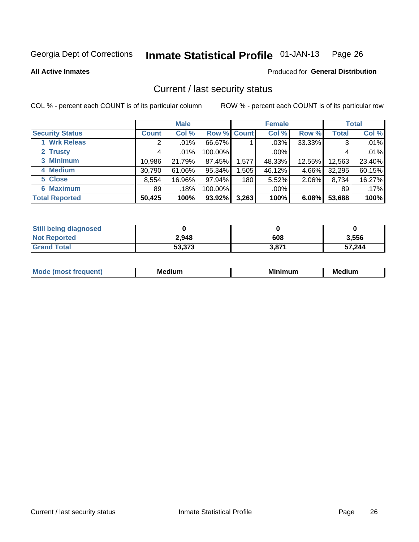#### Inmate Statistical Profile 01-JAN-13 Page 26

**All Active Inmates** 

# **Produced for General Distribution**

# Current / last security status

COL % - percent each COUNT is of its particular column

|                        | <b>Male</b>  |         |                    | <b>Female</b> |         |        | <b>Total</b> |        |
|------------------------|--------------|---------|--------------------|---------------|---------|--------|--------------|--------|
| <b>Security Status</b> | <b>Count</b> | Col %   | <b>Row % Count</b> |               | Col %   | Row %  | <b>Total</b> | Col %  |
| 1 Wrk Releas           | 2            | $.01\%$ | 66.67%             |               | .03%    | 33.33% | 3            | .01%   |
| 2 Trusty               |              | .01%    | 100.00%            |               | $.00\%$ |        |              | .01%   |
| 3 Minimum              | 10,986       | 21.79%  | 87.45%             | 1,577         | 48.33%  | 12.55% | 12,563       | 23.40% |
| 4 Medium               | 30,790       | 61.06%  | 95.34%             | .505          | 46.12%  | 4.66%  | 32,295       | 60.15% |
| 5 Close                | 8,554        | 16.96%  | 97.94%             | 180           | 5.52%   | 2.06%  | 8,734        | 16.27% |
| <b>6 Maximum</b>       | 89           | .18%    | 100.00%            |               | .00%    |        | 89           | .17%   |
| <b>Total Reported</b>  | 50,425       | 100%    | 93.92%             | 3,263         | 100%    | 6.08%  | 53,688       | 100%   |

| <b>Still being diagnosed</b> |        |       |        |
|------------------------------|--------|-------|--------|
| <b>Not Reported</b>          | 2,948  | 608   | 3,556  |
| <b>Grand Total</b>           | 53,373 | 3,871 | 57,244 |

| M<br>. .<br>. | M.<br>------- | .<br>านm | - -<br><br>Me <sup>r</sup> |
|---------------|---------------|----------|----------------------------|
|               |               |          |                            |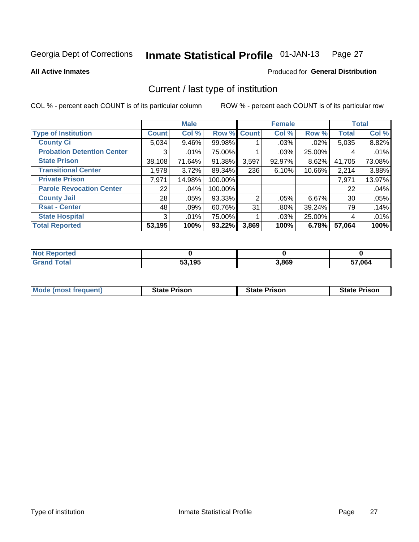#### Inmate Statistical Profile 01-JAN-13 Page 27

**All Active Inmates** 

# Produced for General Distribution

# Current / last type of institution

COL % - percent each COUNT is of its particular column

|                                   |              | <b>Male</b> |           |                | <b>Female</b> |           |              | <b>Total</b> |
|-----------------------------------|--------------|-------------|-----------|----------------|---------------|-----------|--------------|--------------|
| <b>Type of Institution</b>        | <b>Count</b> | Col %       |           | Row % Count    | Col %         | Row %     | <b>Total</b> | Col %        |
| <b>County Ci</b>                  | 5,034        | 9.46%       | 99.98%    |                | .03%          | $.02\%$   | 5,035        | 8.82%        |
| <b>Probation Detention Center</b> | 3            | .01%        | 75.00%    |                | .03%          | 25.00%    | 4            | .01%         |
| <b>State Prison</b>               | 38,108       | 71.64%      | 91.38%    | 3,597          | $92.97\%$     | 8.62%     | 41,705       | 73.08%       |
| <b>Transitional Center</b>        | 1,978        | 3.72%       | 89.34%    | 236            | 6.10%         | $10.66\%$ | 2,214        | 3.88%        |
| <b>Private Prison</b>             | 7,971        | 14.98%      | 100.00%   |                |               |           | 7,971        | 13.97%       |
| <b>Parole Revocation Center</b>   | 22           | .04%        | 100.00%   |                |               |           | 22           | .04%         |
| <b>County Jail</b>                | 28           | .05%        | 93.33%    | $\overline{2}$ | .05%          | $6.67\%$  | 30           | .05%         |
| <b>Rsat - Center</b>              | 48           | $.09\%$     | 60.76%    | 31             | .80%          | 39.24%    | 79           | .14%         |
| <b>State Hospital</b>             | 3            | .01%        | 75.00%    |                | $.03\%$       | 25.00%    | 4            | .01%         |
| <b>Total Reported</b>             | 53,195       | 100%        | $93.22\%$ | 3,869          | 100%          | 6.78%     | 57,064       | 100%         |

| ported<br>' NOT |        |       |        |
|-----------------|--------|-------|--------|
| 'otal           | 53,195 | 3,869 | 57,064 |

| <b>Mode (most frequent)</b> | <b>State Prison</b> | <b>State Prison</b> | <b>State Prison</b> |
|-----------------------------|---------------------|---------------------|---------------------|
|                             |                     |                     |                     |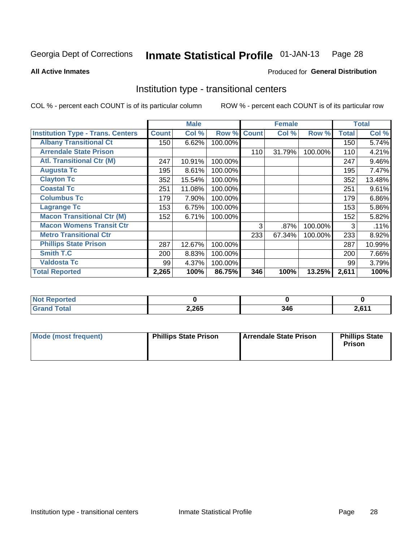#### Inmate Statistical Profile 01-JAN-13 Page 28

**All Active Inmates** 

### Produced for General Distribution

# Institution type - transitional centers

COL % - percent each COUNT is of its particular column

|                                          |              | <b>Male</b> |         |              | <b>Female</b> |         |              | <b>Total</b> |
|------------------------------------------|--------------|-------------|---------|--------------|---------------|---------|--------------|--------------|
| <b>Institution Type - Trans. Centers</b> | <b>Count</b> | Col %       | Row %   | <b>Count</b> | Col %         | Row %   | <b>Total</b> | Col %        |
| <b>Albany Transitional Ct</b>            | 150          | 6.62%       | 100.00% |              |               |         | 150          | 5.74%        |
| <b>Arrendale State Prison</b>            |              |             |         | 110          | 31.79%        | 100.00% | 110          | 4.21%        |
| <b>Atl. Transitional Ctr (M)</b>         | 247          | 10.91%      | 100.00% |              |               |         | 247          | 9.46%        |
| <b>Augusta Tc</b>                        | 195          | 8.61%       | 100.00% |              |               |         | 195          | 7.47%        |
| <b>Clayton Tc</b>                        | 352          | 15.54%      | 100.00% |              |               |         | 352          | 13.48%       |
| <b>Coastal Tc</b>                        | 251          | 11.08%      | 100.00% |              |               |         | 251          | 9.61%        |
| <b>Columbus Tc</b>                       | 179          | 7.90%       | 100.00% |              |               |         | 179          | 6.86%        |
| <b>Lagrange Tc</b>                       | 153          | 6.75%       | 100.00% |              |               |         | 153          | 5.86%        |
| <b>Macon Transitional Ctr (M)</b>        | 152          | 6.71%       | 100.00% |              |               |         | 152          | 5.82%        |
| <b>Macon Womens Transit Ctr</b>          |              |             |         | 3            | .87%          | 100.00% | 3            | .11%         |
| <b>Metro Transitional Ctr</b>            |              |             |         | 233          | 67.34%        | 100.00% | 233          | 8.92%        |
| <b>Phillips State Prison</b>             | 287          | 12.67%      | 100.00% |              |               |         | 287          | 10.99%       |
| Smith T.C                                | 200          | 8.83%       | 100.00% |              |               |         | 200          | 7.66%        |
| <b>Valdosta Tc</b>                       | 99           | 4.37%       | 100.00% |              |               |         | 99           | 3.79%        |
| <b>Total Reported</b>                    | 2,265        | 100%        | 86.75%  | 346          | 100%          | 13.25%  | 2,611        | 100%         |

| orted<br>$\sim$ |       |     |            |
|-----------------|-------|-----|------------|
| <b>ota</b>      | 2,265 | 346 | <b>C44</b> |

| Mode (most frequent) | <b>Phillips State Prison</b> | Arrendale State Prison | <b>Phillips State</b><br><b>Prison</b> |
|----------------------|------------------------------|------------------------|----------------------------------------|
|                      |                              |                        |                                        |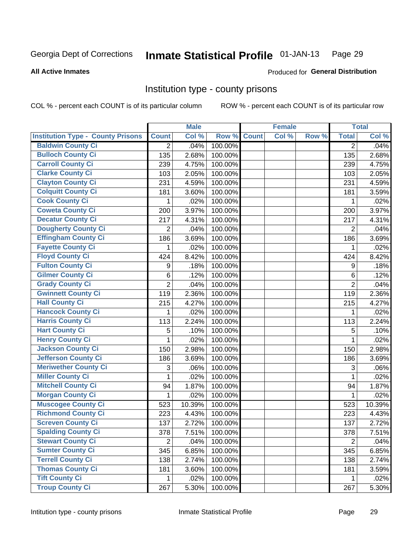#### Inmate Statistical Profile 01-JAN-13 Page 29

### **All Active Inmates**

# Produced for General Distribution

# Institution type - county prisons

COL % - percent each COUNT is of its particular column

|                                          |                | <b>Male</b> |         |              | <b>Female</b> |       |                | <b>Total</b> |
|------------------------------------------|----------------|-------------|---------|--------------|---------------|-------|----------------|--------------|
| <b>Institution Type - County Prisons</b> | <b>Count</b>   | Col %       | Row %   | <b>Count</b> | Col %         | Row % | <b>Total</b>   | Col %        |
| <b>Baldwin County Ci</b>                 | $\overline{2}$ | .04%        | 100.00% |              |               |       | $\overline{2}$ | .04%         |
| <b>Bulloch County Ci</b>                 | 135            | 2.68%       | 100.00% |              |               |       | 135            | 2.68%        |
| <b>Carroll County Ci</b>                 | 239            | 4.75%       | 100.00% |              |               |       | 239            | 4.75%        |
| <b>Clarke County Ci</b>                  | 103            | 2.05%       | 100.00% |              |               |       | 103            | 2.05%        |
| <b>Clayton County Ci</b>                 | 231            | 4.59%       | 100.00% |              |               |       | 231            | 4.59%        |
| <b>Colquitt County Ci</b>                | 181            | 3.60%       | 100.00% |              |               |       | 181            | 3.59%        |
| <b>Cook County Ci</b>                    | 1              | .02%        | 100.00% |              |               |       | 1              | .02%         |
| <b>Coweta County Ci</b>                  | 200            | 3.97%       | 100.00% |              |               |       | 200            | 3.97%        |
| <b>Decatur County Ci</b>                 | 217            | 4.31%       | 100.00% |              |               |       | 217            | 4.31%        |
| <b>Dougherty County Ci</b>               | 2              | .04%        | 100.00% |              |               |       | 2              | .04%         |
| <b>Effingham County Ci</b>               | 186            | 3.69%       | 100.00% |              |               |       | 186            | 3.69%        |
| <b>Fayette County Ci</b>                 | 1              | .02%        | 100.00% |              |               |       | 1              | .02%         |
| <b>Floyd County Ci</b>                   | 424            | 8.42%       | 100.00% |              |               |       | 424            | 8.42%        |
| <b>Fulton County Ci</b>                  | 9              | .18%        | 100.00% |              |               |       | 9              | .18%         |
| <b>Gilmer County Ci</b>                  | 6              | .12%        | 100.00% |              |               |       | 6              | .12%         |
| <b>Grady County Ci</b>                   | $\overline{2}$ | .04%        | 100.00% |              |               |       | 2              | .04%         |
| <b>Gwinnett County Ci</b>                | 119            | 2.36%       | 100.00% |              |               |       | 119            | 2.36%        |
| <b>Hall County Ci</b>                    | 215            | 4.27%       | 100.00% |              |               |       | 215            | 4.27%        |
| <b>Hancock County Ci</b>                 | 1              | .02%        | 100.00% |              |               |       | 1              | .02%         |
| <b>Harris County Ci</b>                  | 113            | 2.24%       | 100.00% |              |               |       | 113            | 2.24%        |
| <b>Hart County Ci</b>                    | 5              | .10%        | 100.00% |              |               |       | 5              | .10%         |
| <b>Henry County Ci</b>                   | 1              | .02%        | 100.00% |              |               |       | 1              | .02%         |
| <b>Jackson County Ci</b>                 | 150            | 2.98%       | 100.00% |              |               |       | 150            | 2.98%        |
| <b>Jefferson County Ci</b>               | 186            | 3.69%       | 100.00% |              |               |       | 186            | 3.69%        |
| <b>Meriwether County Ci</b>              | 3              | .06%        | 100.00% |              |               |       | 3              | .06%         |
| <b>Miller County Ci</b>                  | 1              | .02%        | 100.00% |              |               |       | 1              | .02%         |
| <b>Mitchell County Ci</b>                | 94             | 1.87%       | 100.00% |              |               |       | 94             | 1.87%        |
| <b>Morgan County Ci</b>                  | 1              | .02%        | 100.00% |              |               |       | 1              | .02%         |
| <b>Muscogee County Ci</b>                | 523            | 10.39%      | 100.00% |              |               |       | 523            | 10.39%       |
| <b>Richmond County Ci</b>                | 223            | 4.43%       | 100.00% |              |               |       | 223            | 4.43%        |
| <b>Screven County Ci</b>                 | 137            | 2.72%       | 100.00% |              |               |       | 137            | 2.72%        |
| <b>Spalding County Ci</b>                | 378            | 7.51%       | 100.00% |              |               |       | 378            | 7.51%        |
| <b>Stewart County Ci</b>                 | $\overline{2}$ | .04%        | 100.00% |              |               |       | $\overline{2}$ | .04%         |
| <b>Sumter County Ci</b>                  | 345            | 6.85%       | 100.00% |              |               |       | 345            | 6.85%        |
| <b>Terrell County Ci</b>                 | 138            | 2.74%       | 100.00% |              |               |       | 138            | 2.74%        |
| <b>Thomas County Ci</b>                  | 181            | 3.60%       | 100.00% |              |               |       | 181            | 3.59%        |
| <b>Tift County Ci</b>                    | 1              | .02%        | 100.00% |              |               |       | 1              | .02%         |
| <b>Troup County Ci</b>                   | 267            | 5.30%       | 100.00% |              |               |       | 267            | 5.30%        |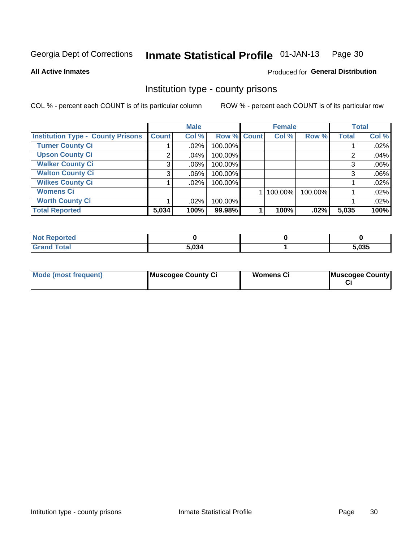#### Inmate Statistical Profile 01-JAN-13 Page 30

### **All Active Inmates**

# Produced for General Distribution

# Institution type - county prisons

COL % - percent each COUNT is of its particular column

|                                          |              | <b>Male</b> |             | <b>Female</b> |         |              | <b>Total</b> |
|------------------------------------------|--------------|-------------|-------------|---------------|---------|--------------|--------------|
| <b>Institution Type - County Prisons</b> | <b>Count</b> | Col %       | Row % Count | Col %         | Row %   | <b>Total</b> | Col %        |
| <b>Turner County Ci</b>                  |              | .02%        | 100.00%     |               |         |              | .02%         |
| <b>Upson County Ci</b>                   | 2            | .04%        | 100.00%     |               |         | 2            | .04%         |
| <b>Walker County Ci</b>                  | 3            | $.06\%$     | 100.00%     |               |         | 3            | .06%         |
| <b>Walton County Ci</b>                  | 3            | .06%        | 100.00%     |               |         | 3            | .06%         |
| <b>Wilkes County Ci</b>                  |              | $.02\%$     | 100.00%     |               |         |              | .02%         |
| <b>Womens Ci</b>                         |              |             |             | 100.00%       | 100.00% |              | .02%         |
| <b>Worth County Ci</b>                   |              | .02%        | 100.00%     |               |         |              | .02%         |
| <b>Total Reported</b>                    | 5,034        | 100%        | 99.98%      | 100%          | .02%    | 5,035        | 100%         |

| <b>Reported</b> |       |       |
|-----------------|-------|-------|
| <b>Total</b>    | 5,034 | 5,035 |

| <b>Mode (most frequent)</b> | Muscogee County Ci | <b>Womens Ci</b> | Muscogee County |
|-----------------------------|--------------------|------------------|-----------------|
|-----------------------------|--------------------|------------------|-----------------|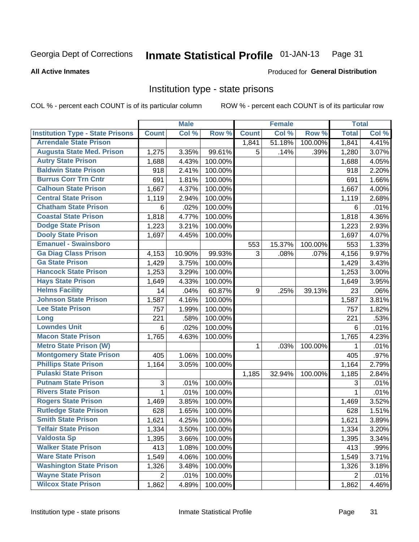#### Inmate Statistical Profile 01-JAN-13 Page 31

### **All Active Inmates**

# Produced for General Distribution

# Institution type - state prisons

COL % - percent each COUNT is of its particular column

|                                         |                           | <b>Male</b> |         |              | <b>Female</b> |         | <b>Total</b>   |       |
|-----------------------------------------|---------------------------|-------------|---------|--------------|---------------|---------|----------------|-------|
| <b>Institution Type - State Prisons</b> | <b>Count</b>              | Col %       | Row %   | <b>Count</b> | Col %         | Row %   | <b>Total</b>   | Col % |
| <b>Arrendale State Prison</b>           |                           |             |         | 1,841        | 51.18%        | 100.00% | 1,841          | 4.41% |
| <b>Augusta State Med. Prison</b>        | 1,275                     | 3.35%       | 99.61%  | 5            | .14%          | .39%    | 1,280          | 3.07% |
| <b>Autry State Prison</b>               | 1,688                     | 4.43%       | 100.00% |              |               |         | 1,688          | 4.05% |
| <b>Baldwin State Prison</b>             | 918                       | 2.41%       | 100.00% |              |               |         | 918            | 2.20% |
| <b>Burrus Corr Trn Cntr</b>             | 691                       | 1.81%       | 100.00% |              |               |         | 691            | 1.66% |
| <b>Calhoun State Prison</b>             | 1,667                     | 4.37%       | 100.00% |              |               |         | 1,667          | 4.00% |
| <b>Central State Prison</b>             | 1,119                     | 2.94%       | 100.00% |              |               |         | 1,119          | 2.68% |
| <b>Chatham State Prison</b>             | 6                         | .02%        | 100.00% |              |               |         | 6              | .01%  |
| <b>Coastal State Prison</b>             | 1,818                     | 4.77%       | 100.00% |              |               |         | 1,818          | 4.36% |
| <b>Dodge State Prison</b>               | 1,223                     | 3.21%       | 100.00% |              |               |         | 1,223          | 2.93% |
| <b>Dooly State Prison</b>               | 1,697                     | 4.45%       | 100.00% |              |               |         | 1,697          | 4.07% |
| <b>Emanuel - Swainsboro</b>             |                           |             |         | 553          | 15.37%        | 100.00% | 553            | 1.33% |
| <b>Ga Diag Class Prison</b>             | 4,153                     | 10.90%      | 99.93%  | 3            | .08%          | .07%    | 4,156          | 9.97% |
| <b>Ga State Prison</b>                  | 1,429                     | 3.75%       | 100.00% |              |               |         | 1,429          | 3.43% |
| <b>Hancock State Prison</b>             | 1,253                     | 3.29%       | 100.00% |              |               |         | 1,253          | 3.00% |
| <b>Hays State Prison</b>                | 1,649                     | 4.33%       | 100.00% |              |               |         | 1,649          | 3.95% |
| <b>Helms Facility</b>                   | 14                        | .04%        | 60.87%  | 9            | .25%          | 39.13%  | 23             | .06%  |
| <b>Johnson State Prison</b>             | 1,587                     | 4.16%       | 100.00% |              |               |         | 1,587          | 3.81% |
| <b>Lee State Prison</b>                 | 757                       | 1.99%       | 100.00% |              |               |         | 757            | 1.82% |
| Long                                    | 221                       | .58%        | 100.00% |              |               |         | 221            | .53%  |
| <b>Lowndes Unit</b>                     | 6                         | .02%        | 100.00% |              |               |         | 6              | .01%  |
| <b>Macon State Prison</b>               | 1,765                     | 4.63%       | 100.00% |              |               |         | 1,765          | 4.23% |
| <b>Metro State Prison (W)</b>           |                           |             |         | $\mathbf 1$  | .03%          | 100.00% | 1              | .01%  |
| <b>Montgomery State Prison</b>          | 405                       | 1.06%       | 100.00% |              |               |         | 405            | .97%  |
| <b>Phillips State Prison</b>            | 1,164                     | 3.05%       | 100.00% |              |               |         | 1,164          | 2.79% |
| <b>Pulaski State Prison</b>             |                           |             |         | 1,185        | 32.94%        | 100.00% | 1,185          | 2.84% |
| <b>Putnam State Prison</b>              | $\ensuremath{\mathsf{3}}$ | .01%        | 100.00% |              |               |         | 3              | .01%  |
| <b>Rivers State Prison</b>              | 1                         | .01%        | 100.00% |              |               |         | $\mathbf{1}$   | .01%  |
| <b>Rogers State Prison</b>              | 1,469                     | 3.85%       | 100.00% |              |               |         | 1,469          | 3.52% |
| <b>Rutledge State Prison</b>            | 628                       | 1.65%       | 100.00% |              |               |         | 628            | 1.51% |
| <b>Smith State Prison</b>               | 1,621                     | 4.25%       | 100.00% |              |               |         | 1,621          | 3.89% |
| <b>Telfair State Prison</b>             | 1,334                     | 3.50%       | 100.00% |              |               |         | 1,334          | 3.20% |
| <b>Valdosta Sp</b>                      | 1,395                     | 3.66%       | 100.00% |              |               |         | 1,395          | 3.34% |
| <b>Walker State Prison</b>              | 413                       | 1.08%       | 100.00% |              |               |         | 413            | .99%  |
| <b>Ware State Prison</b>                | 1,549                     | 4.06%       | 100.00% |              |               |         | 1,549          | 3.71% |
| <b>Washington State Prison</b>          | 1,326                     | 3.48%       | 100.00% |              |               |         | 1,326          | 3.18% |
| <b>Wayne State Prison</b>               | $\overline{2}$            | .01%        | 100.00% |              |               |         | $\overline{2}$ | .01%  |
| <b>Wilcox State Prison</b>              | 1,862                     | 4.89%       | 100.00% |              |               |         | 1,862          | 4.46% |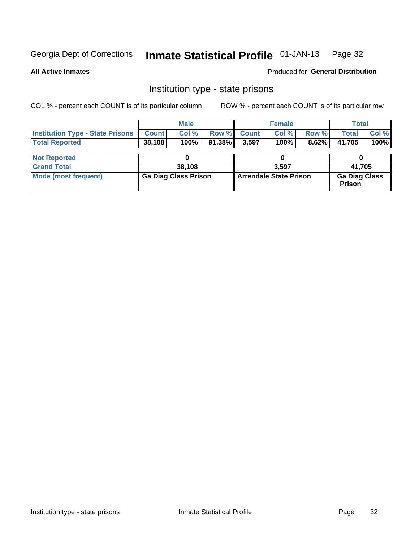#### Inmate Statistical Profile 01-JAN-13 Page 32

**All Active Inmates** 

**Produced for General Distribution** 

# Institution type - state prisons

COL % - percent each COUNT is of its particular column

|                                                   |        | <b>Male</b> |                    | <b>Female</b> |       | Total           |         |
|---------------------------------------------------|--------|-------------|--------------------|---------------|-------|-----------------|---------|
| <b>Institution Type - State Prisons   Count  </b> |        | Col %       | <b>Row % Count</b> | Col %         | Row % | <b>Total</b>    | Col %   |
| <b>Total Reported</b>                             | 38,108 | 100%        | 91.38% 3.597       | 100%          |       | $8.62\%$ 41,705 | $100\%$ |
|                                                   |        | $\sim$      |                    |               |       | $\sim$          |         |

| <b>Not Reported</b>  |                             |                               |                                       |
|----------------------|-----------------------------|-------------------------------|---------------------------------------|
| <b>Grand Total</b>   | 38,108                      | 3.597                         | 41.705                                |
| Mode (most frequent) | <b>Ga Diag Class Prison</b> | <b>Arrendale State Prison</b> | <b>Ga Diag Class</b><br><b>Prison</b> |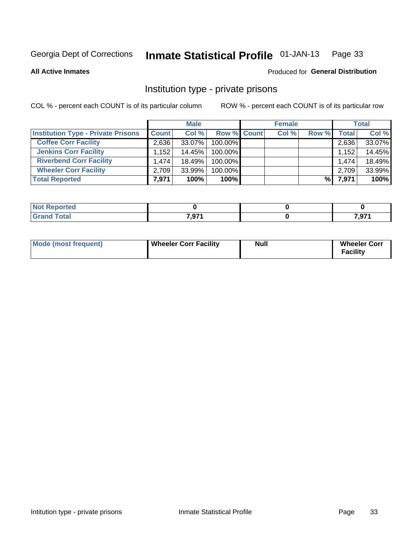#### Inmate Statistical Profile 01-JAN-13 Page 33

**All Active Inmates** 

### Produced for General Distribution

# Institution type - private prisons

COL % - percent each COUNT is of its particular column

|                                           |              | <b>Male</b> |                    | <b>Female</b> |       |       | <b>Total</b> |
|-------------------------------------------|--------------|-------------|--------------------|---------------|-------|-------|--------------|
| <b>Institution Type - Private Prisons</b> | <b>Count</b> | Col %       | <b>Row % Count</b> | Col %         | Row % | Total | Col %        |
| <b>Coffee Corr Facility</b>               | 2.636        | 33.07%      | 100.00%            |               |       | 2,636 | 33.07%       |
| <b>Jenkins Corr Facility</b>              | .152         | 14.45%      | 100.00%            |               |       | 1,152 | 14.45%       |
| <b>Riverbend Corr Facility</b>            | 1.474        | 18.49%      | 100.00%            |               |       | 1.474 | 18.49%       |
| <b>Wheeler Corr Facility</b>              | 2.709        | 33.99%      | 100.00%            |               |       | 2,709 | 33.99%       |
| <b>Total Reported</b>                     | 7,971        | 100%        | $100\%$            |               | %     | 7,971 | 100%         |

| Reported    |       |          |
|-------------|-------|----------|
| <b>otal</b> | 7.074 | 7.074    |
|             | ו ופ, | . ו כ, י |

| Mode (most frequent) | <b>Wheeler Corr Facility</b> | <b>Null</b> | <b>Wheeler Corr</b><br><b>Facility</b> |
|----------------------|------------------------------|-------------|----------------------------------------|
|----------------------|------------------------------|-------------|----------------------------------------|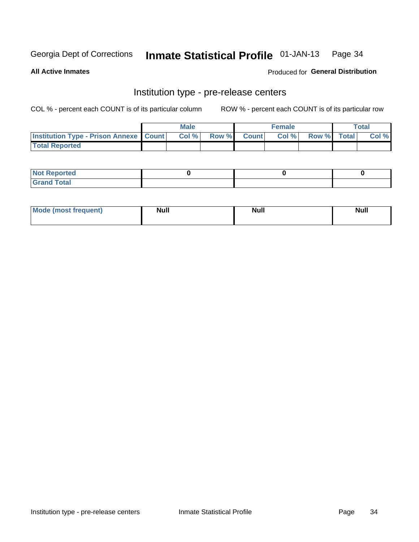#### Inmate Statistical Profile 01-JAN-13 Page 34

**All Active Inmates** 

**Produced for General Distribution** 

# Institution type - pre-release centers

COL % - percent each COUNT is of its particular column

|                                                   | <b>Male</b> |             | <b>Female</b> |             | <b>Total</b> |
|---------------------------------------------------|-------------|-------------|---------------|-------------|--------------|
| <b>Institution Type - Prison Annexe   Count  </b> | Col %       | Row % Count | Col %         | Row % Total | Col %        |
| <b>Total Reported</b>                             |             |             |               |             |              |

| <b>Reported</b><br>I NOT |  |  |
|--------------------------|--|--|
| <b>Total</b><br>$C$ ren  |  |  |

| $^{\prime}$ Mo <sub>t</sub><br>frequent)<br>⊥(most | <b>Null</b> | Noll<br><b>vull</b> | <b>Null</b> |
|----------------------------------------------------|-------------|---------------------|-------------|
|                                                    |             |                     |             |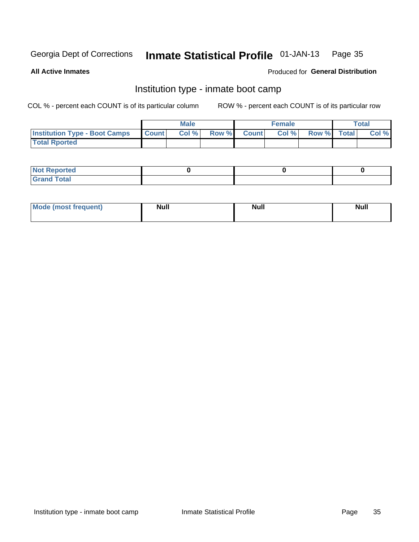#### Inmate Statistical Profile 01-JAN-13 Page 35

**All Active Inmates** 

### Produced for General Distribution

# Institution type - inmate boot camp

COL % - percent each COUNT is of its particular column

|                                      |              | <b>Male</b> |       |        | <b>Female</b> |             | Total |
|--------------------------------------|--------------|-------------|-------|--------|---------------|-------------|-------|
| <b>Institution Type - Boot Camps</b> | <b>Count</b> | Col %       | Row % | Countl | Col %         | Row % Total | Col % |
| <b>Total Rported</b>                 |              |             |       |        |               |             |       |

| <b>Not Reported</b>                   |  |  |
|---------------------------------------|--|--|
| <b>Total</b><br><b>C HAM</b><br>_____ |  |  |

| <b>AhoM</b>       | <b>Null</b> | <b>Null</b> | Ab d' |
|-------------------|-------------|-------------|-------|
| <b>"requent</b> ) |             |             |       |
|                   |             |             |       |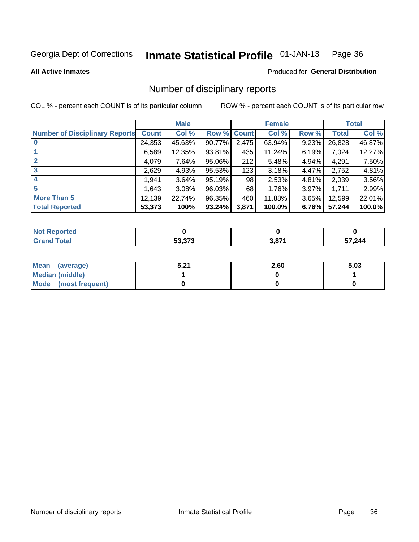#### Inmate Statistical Profile 01-JAN-13 Page 36

### **All Active Inmates**

### Produced for General Distribution

# Number of disciplinary reports

COL % - percent each COUNT is of its particular column

|                                       |              | <b>Male</b> |        |       | <b>Female</b> |          |              | <b>Total</b> |
|---------------------------------------|--------------|-------------|--------|-------|---------------|----------|--------------|--------------|
| <b>Number of Disciplinary Reports</b> | <b>Count</b> | Col %       | Row %  | Count | Col %         | Row %    | <b>Total</b> | Col %        |
| $\bf{0}$                              | 24,353       | 45.63%      | 90.77% | 2,475 | 63.94%        | 9.23%    | 26,828       | 46.87%       |
|                                       | 6,589        | 12.35%      | 93.81% | 435   | 11.24%        | 6.19%    | 7,024        | 12.27%       |
| $\overline{2}$                        | 4,079        | 7.64%       | 95.06% | 212   | 5.48%         | 4.94%    | 4,291        | 7.50%        |
| 3                                     | 2,629        | 4.93%       | 95.53% | 123   | 3.18%         | 4.47%    | 2,752        | 4.81%        |
| 4                                     | 1,941        | 3.64%       | 95.19% | 98    | 2.53%         | 4.81%    | 2,039        | 3.56%        |
| 5                                     | 1,643        | 3.08%       | 96.03% | 68    | 1.76%         | $3.97\%$ | 1,711        | 2.99%        |
| <b>More Than 5</b>                    | 12,139       | 22.74%      | 96.35% | 460   | 11.88%        | 3.65%    | 12,599       | 22.01%       |
| <b>Total Reported</b>                 | 53,373       | 100%        | 93.24% | 3,871 | 100.0%        | 6.76%    | 57,244       | 100.0%       |

| <b>Poorted</b><br><b>NOT</b> |                                               |       |      |
|------------------------------|-----------------------------------------------|-------|------|
| Total                        | $F^{\alpha}$ $\gamma \gamma \gamma$<br>33.373 | 3,871 | ,244 |

| Mean (average)       | E 94<br>.J.Z . | 2.60 | 5.03 |
|----------------------|----------------|------|------|
| Median (middle)      |                |      |      |
| Mode (most frequent) |                |      |      |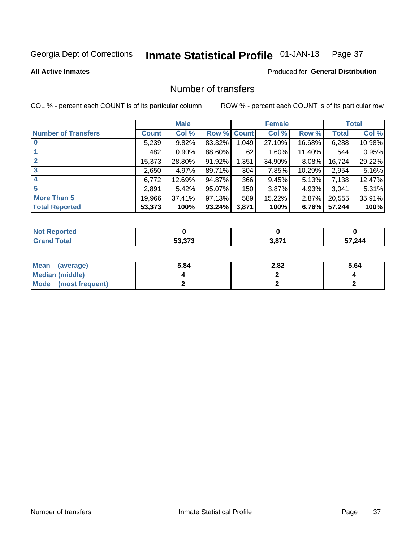### Inmate Statistical Profile 01-JAN-13 Page 37

**All Active Inmates** 

# **Produced for General Distribution**

# Number of transfers

COL % - percent each COUNT is of its particular column

|                            |              | <b>Male</b> |           |             | <b>Female</b> |          |              | <b>Total</b> |
|----------------------------|--------------|-------------|-----------|-------------|---------------|----------|--------------|--------------|
| <b>Number of Transfers</b> | <b>Count</b> | Col %       |           | Row % Count | Col %         | Row %    | <b>Total</b> | Col %        |
|                            | 5,239        | 9.82%       | 83.32%    | 1,049       | 27.10%        | 16.68%   | 6,288        | 10.98%       |
|                            | 482          | $0.90\%$    | 88.60%    | 62          | 1.60%         | 11.40%   | 544          | 0.95%        |
| $\mathbf{2}$               | 15,373       | 28.80%      | 91.92%    | 1,351       | 34.90%        | 8.08%    | 16,724       | 29.22%       |
| 3                          | 2,650        | 4.97%       | 89.71%    | 304         | 7.85%         | 10.29%   | 2,954        | 5.16%        |
| 4                          | 6,772        | 12.69%      | 94.87%    | 366         | 9.45%         | 5.13%    | 7,138        | 12.47%       |
| 5                          | 2,891        | 5.42%       | 95.07%    | 150         | 3.87%         | 4.93%    | 3,041        | 5.31%        |
| <b>More Than 5</b>         | 19,966       | 37.41%      | $97.13\%$ | 589         | 15.22%        | 2.87%    | 20,555       | 35.91%       |
| <b>Total Reported</b>      | 53,373       | 100%        | 93.24%    | 3,871       | 100%          | $6.76\%$ | 57,244       | 100%         |

| <b>Not R</b><br>Reported |                                               |       |        |
|--------------------------|-----------------------------------------------|-------|--------|
| Total                    | $F^{\alpha}$ $\gamma \gamma \gamma$<br>33.373 | 3,871 | 57,244 |

| Mean (average)         | 5.84 | 2.82 | 5.64 |
|------------------------|------|------|------|
| <b>Median (middle)</b> |      |      |      |
| Mode (most frequent)   |      |      |      |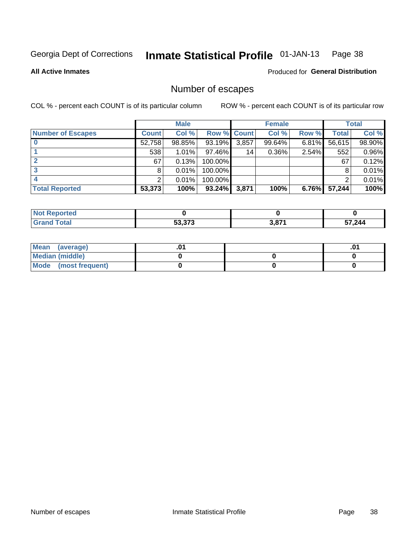### Inmate Statistical Profile 01-JAN-13 Page 38

**All Active Inmates** 

Produced for General Distribution

# Number of escapes

COL % - percent each COUNT is of its particular column

|                          |              | <b>Male</b> |             |       | <b>Female</b> |       |        | <b>Total</b> |
|--------------------------|--------------|-------------|-------------|-------|---------------|-------|--------|--------------|
| <b>Number of Escapes</b> | <b>Count</b> | Col %       | Row % Count |       | Col %         | Row % | Total  | Col %        |
|                          | 52,758       | 98.85%      | 93.19%      | 3,857 | 99.64%        | 6.81% | 56,615 | 98.90%       |
|                          | 538          | 1.01%       | 97.46%      | 14    | $0.36\%$      | 2.54% | 552    | 0.96%        |
|                          | 67           | 0.13%       | 100.00%     |       |               |       | 67     | 0.12%        |
|                          | 8            | 0.01%       | 100.00%     |       |               |       |        | 0.01%        |
|                          |              | 0.01%       | 100.00%     |       |               |       |        | 0.01%        |
| <b>Total Reported</b>    | 53,373       | 100%        | $93.24\%$   | 3,871 | 100%          | 6.76% | 57,244 | 100%         |

| <b>Not Reported</b> |                          |      |       |
|---------------------|--------------------------|------|-------|
| <b>Grand Total</b>  | E2.272<br><u>ეა.ა/ ა</u> | 2074 | 7.244 |

| Mean (average)         |  | .0 <sup>4</sup> |
|------------------------|--|-----------------|
| <b>Median (middle)</b> |  |                 |
| Mode (most frequent)   |  |                 |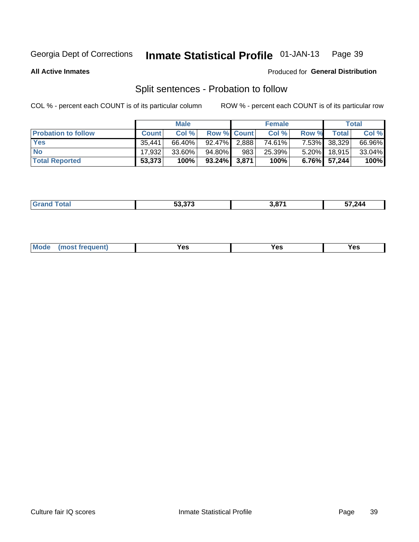### Inmate Statistical Profile 01-JAN-13 Page 39

**All Active Inmates** 

### Produced for General Distribution

# Split sentences - Probation to follow

COL % - percent each COUNT is of its particular column

|                            |              | <b>Male</b> |                    |     | <b>Female</b> |          |                 | <b>Total</b> |
|----------------------------|--------------|-------------|--------------------|-----|---------------|----------|-----------------|--------------|
| <b>Probation to follow</b> | <b>Count</b> | Col%        | <b>Row % Count</b> |     | Col %         | Row %    | Total           | Col %        |
| <b>Yes</b>                 | 35.441       | 66.40%      | $92.47\%$ 2.888    |     | 74.61%        |          | 7.53% 38,329    | 66.96%       |
| <b>No</b>                  | 17.932       | $33.60\%$   | 94.80%             | 983 | 25.39%        | $5.20\%$ | 18,915          | 33.04%       |
| <b>Total Reported</b>      | 53,373       | 100%        | $93.24\%$ 3,871    |     | 100%          |          | $6.76\%$ 57,244 | 100%         |

| $F^{\wedge}$ $\sim$ $\sim$<br>. | 871 | .<br>7.244<br>$\sim$<br>$\sim$ $\sim$ $\sim$ $\sim$ $\sim$ $\sim$ |
|---------------------------------|-----|-------------------------------------------------------------------|
|                                 |     |                                                                   |

| requent<br>′es<br>Yes<br><b>YAC</b><br>. |  | $Moo$ |  |  |  |
|------------------------------------------|--|-------|--|--|--|
|------------------------------------------|--|-------|--|--|--|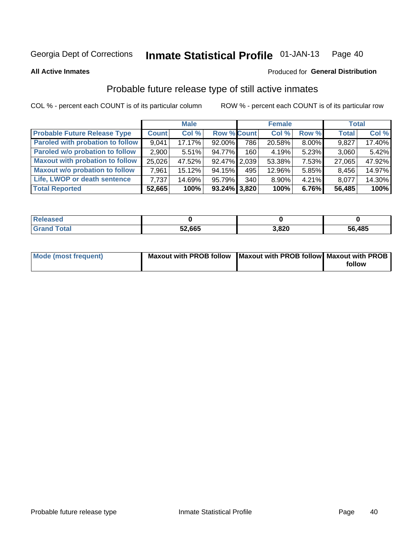### Inmate Statistical Profile 01-JAN-13 Page 40

**All Active Inmates** 

### Produced for General Distribution

# Probable future release type of still active inmates

COL % - percent each COUNT is of its particular column

|                                         |              | <b>Male</b> |                    |     | <b>Female</b> |          | <b>Total</b> |        |
|-----------------------------------------|--------------|-------------|--------------------|-----|---------------|----------|--------------|--------|
| <b>Probable Future Release Type</b>     | <b>Count</b> | Col %       | <b>Row % Count</b> |     | Col %         | Row %    | <b>Total</b> | Col %  |
| <b>Paroled with probation to follow</b> | 9,041        | 17.17%      | $92.00\%$          | 786 | 20.58%        | 8.00%    | 9,827        | 17.40% |
| Paroled w/o probation to follow         | 2,900        | 5.51%       | 94.77%             | 160 | 4.19%         | 5.23%    | 3,060        | 5.42%  |
| <b>Maxout with probation to follow</b>  | 25,026       | 47.52%      | 92.47% 2.039       |     | 53.38%        | 7.53%    | 27,065       | 47.92% |
| <b>Maxout w/o probation to follow</b>   | 7,961        | 15.12%      | 94.15%             | 495 | 12.96%        | 5.85%    | 8,456        | 14.97% |
| Life, LWOP or death sentence            | 7.737        | 14.69%      | 95.79%             | 340 | 8.90%         | $4.21\%$ | 8,077        | 14.30% |
| <b>Total Reported</b>                   | 52,665       | 100%        | $93.24\%$ 3,820    |     | 100%          | 6.76%    | 56,485       | 100%   |

| eleased     |        |      |        |
|-------------|--------|------|--------|
| <b>otal</b> | 52,665 | ,820 | 56,485 |

| Mode (most frequent) | Maxout with PROB follow   Maxout with PROB follow   Maxout with PROB |        |
|----------------------|----------------------------------------------------------------------|--------|
|                      |                                                                      | follow |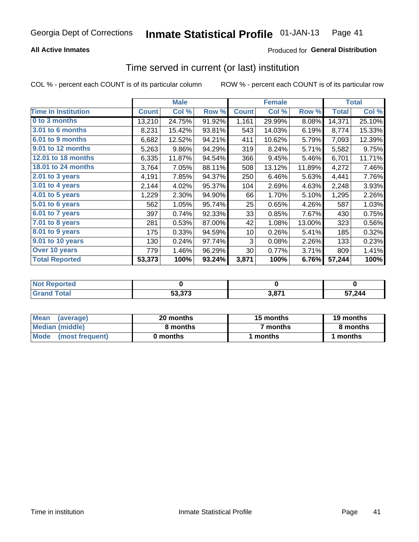# **All Active Inmates**

# Produced for General Distribution

# Time served in current (or last) institution

COL % - percent each COUNT is of its particular column

|                            |              | <b>Male</b> |        |              | <b>Female</b> |        |              | <b>Total</b> |
|----------------------------|--------------|-------------|--------|--------------|---------------|--------|--------------|--------------|
| <b>Time In Institution</b> | <b>Count</b> | Col %       | Row %  | <b>Count</b> | Col %         | Row %  | <b>Total</b> | Col %        |
| 0 to 3 months              | 13,210       | 24.75%      | 91.92% | 1,161        | 29.99%        | 8.08%  | 14,371       | 25.10%       |
| 3.01 to 6 months           | 8,231        | 15.42%      | 93.81% | 543          | 14.03%        | 6.19%  | 8,774        | 15.33%       |
| 6.01 to 9 months           | 6,682        | 12.52%      | 94.21% | 411          | 10.62%        | 5.79%  | 7,093        | 12.39%       |
| 9.01 to 12 months          | 5,263        | 9.86%       | 94.29% | 319          | 8.24%         | 5.71%  | 5,582        | 9.75%        |
| 12.01 to 18 months         | 6,335        | 11.87%      | 94.54% | 366          | 9.45%         | 5.46%  | 6,701        | 11.71%       |
| <b>18.01 to 24 months</b>  | 3,764        | 7.05%       | 88.11% | 508          | 13.12%        | 11.89% | 4,272        | 7.46%        |
| $2.01$ to 3 years          | 4,191        | 7.85%       | 94.37% | 250          | 6.46%         | 5.63%  | 4,441        | 7.76%        |
| $3.01$ to 4 years          | 2,144        | 4.02%       | 95.37% | 104          | 2.69%         | 4.63%  | 2,248        | 3.93%        |
| 4.01 to 5 years            | 1,229        | 2.30%       | 94.90% | 66           | 1.70%         | 5.10%  | 1,295        | 2.26%        |
| 5.01 to 6 years            | 562          | 1.05%       | 95.74% | 25           | 0.65%         | 4.26%  | 587          | 1.03%        |
| 6.01 to 7 years            | 397          | 0.74%       | 92.33% | 33           | 0.85%         | 7.67%  | 430          | 0.75%        |
| 7.01 to 8 years            | 281          | 0.53%       | 87.00% | 42           | 1.08%         | 13.00% | 323          | 0.56%        |
| 8.01 to 9 years            | 175          | 0.33%       | 94.59% | 10           | 0.26%         | 5.41%  | 185          | 0.32%        |
| 9.01 to 10 years           | 130          | 0.24%       | 97.74% | 3            | 0.08%         | 2.26%  | 133          | 0.23%        |
| Over 10 years              | 779          | 1.46%       | 96.29% | 30           | 0.77%         | 3.71%  | 809          | 1.41%        |
| <b>Total Reported</b>      | 53,373       | 100%        | 93.24% | 3,871        | 100%          | 6.76%  | 57,244       | 100%         |

| <b>Reported</b><br><b>Not</b> |        |     |      |
|-------------------------------|--------|-----|------|
| <b>otal</b>                   | 53,373 | 074 | ,244 |

| <b>Mean</b><br>(average) | 20 months | 15 months | 19 months |  |
|--------------------------|-----------|-----------|-----------|--|
| Median (middle)          | 8 months  | 7 months  | 8 months  |  |
| Mode<br>(most frequent)  | 0 months  | months    | ∖ months  |  |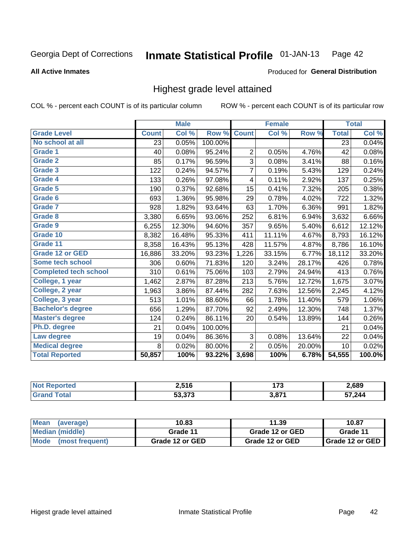### Inmate Statistical Profile 01-JAN-13 Page 42

### **All Active Inmates**

### Produced for General Distribution

# Highest grade level attained

COL % - percent each COUNT is of its particular column

|                              |              | <b>Male</b> |         |                | <b>Female</b> |        |              | <b>Total</b> |
|------------------------------|--------------|-------------|---------|----------------|---------------|--------|--------------|--------------|
| <b>Grade Level</b>           | <b>Count</b> | Col %       | Row %   | <b>Count</b>   | Col %         | Row %  | <b>Total</b> | Col %        |
| No school at all             | 23           | 0.05%       | 100.00% |                |               |        | 23           | 0.04%        |
| Grade 1                      | 40           | 0.08%       | 95.24%  | $\overline{2}$ | 0.05%         | 4.76%  | 42           | 0.08%        |
| Grade 2                      | 85           | 0.17%       | 96.59%  | 3              | 0.08%         | 3.41%  | 88           | 0.16%        |
| Grade 3                      | 122          | 0.24%       | 94.57%  | 7              | 0.19%         | 5.43%  | 129          | 0.24%        |
| Grade 4                      | 133          | 0.26%       | 97.08%  | 4              | 0.11%         | 2.92%  | 137          | 0.25%        |
| <b>Grade 5</b>               | 190          | 0.37%       | 92.68%  | 15             | 0.41%         | 7.32%  | 205          | 0.38%        |
| Grade 6                      | 693          | 1.36%       | 95.98%  | 29             | 0.78%         | 4.02%  | 722          | 1.32%        |
| <b>Grade 7</b>               | 928          | 1.82%       | 93.64%  | 63             | 1.70%         | 6.36%  | 991          | 1.82%        |
| Grade 8                      | 3,380        | 6.65%       | 93.06%  | 252            | 6.81%         | 6.94%  | 3,632        | 6.66%        |
| <b>Grade 9</b>               | 6,255        | 12.30%      | 94.60%  | 357            | 9.65%         | 5.40%  | 6,612        | 12.12%       |
| Grade 10                     | 8,382        | 16.48%      | 95.33%  | 411            | 11.11%        | 4.67%  | 8,793        | 16.12%       |
| Grade 11                     | 8,358        | 16.43%      | 95.13%  | 428            | 11.57%        | 4.87%  | 8,786        | 16.10%       |
| <b>Grade 12 or GED</b>       | 16,886       | 33.20%      | 93.23%  | 1,226          | 33.15%        | 6.77%  | 18,112       | 33.20%       |
| <b>Some tech school</b>      | 306          | 0.60%       | 71.83%  | 120            | 3.24%         | 28.17% | 426          | 0.78%        |
| <b>Completed tech school</b> | 310          | 0.61%       | 75.06%  | 103            | 2.79%         | 24.94% | 413          | 0.76%        |
| College, 1 year              | 1,462        | 2.87%       | 87.28%  | 213            | 5.76%         | 12.72% | 1,675        | 3.07%        |
| College, 2 year              | 1,963        | 3.86%       | 87.44%  | 282            | 7.63%         | 12.56% | 2,245        | 4.12%        |
| College, 3 year              | 513          | 1.01%       | 88.60%  | 66             | 1.78%         | 11.40% | 579          | 1.06%        |
| <b>Bachelor's degree</b>     | 656          | 1.29%       | 87.70%  | 92             | 2.49%         | 12.30% | 748          | 1.37%        |
| <b>Master's degree</b>       | 124          | 0.24%       | 86.11%  | 20             | 0.54%         | 13.89% | 144          | 0.26%        |
| Ph.D. degree                 | 21           | 0.04%       | 100.00% |                |               |        | 21           | 0.04%        |
| Law degree                   | 19           | 0.04%       | 86.36%  | 3              | 0.08%         | 13.64% | 22           | 0.04%        |
| <b>Medical degree</b>        | 8            | 0.02%       | 80.00%  | $\overline{2}$ | 0.05%         | 20.00% | 10           | 0.02%        |
| <b>Total Reported</b>        | 50,857       | 100%        | 93.22%  | 3,698          | 100%          | 6.78%  | 54,555       | 100.0%       |

| rteo | 2,516                                    | ィラヘ<br>.<br>$\sim$ | 2,689  |
|------|------------------------------------------|--------------------|--------|
|      | $F^{\alpha}$ $\gamma^{\alpha}$<br>33.373 | <b>2074</b><br>J.U | 57,244 |

| Mean<br>(average)              | 10.83           | 11.39           | 10.87                    |
|--------------------------------|-----------------|-----------------|--------------------------|
| Median (middle)                | Grade 11        | Grade 12 or GED | Grade 11                 |
| <b>Mode</b><br>(most frequent) | Grade 12 or GED | Grade 12 or GED | <b>I</b> Grade 12 or GED |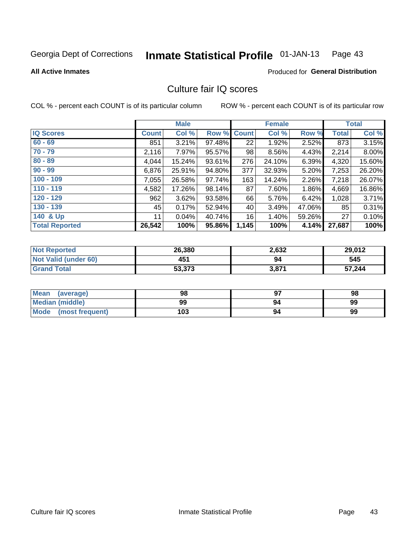### Inmate Statistical Profile 01-JAN-13 Page 43

**All Active Inmates** 

### Produced for General Distribution

# Culture fair IQ scores

COL % - percent each COUNT is of its particular column

|                       |              | <b>Male</b> |                    |       | <b>Female</b> |        |              | <b>Total</b> |
|-----------------------|--------------|-------------|--------------------|-------|---------------|--------|--------------|--------------|
| <b>IQ Scores</b>      | <b>Count</b> | Col %       | <b>Row % Count</b> |       | Col %         | Row %  | <b>Total</b> | Col %        |
| $60 - 69$             | 851          | 3.21%       | 97.48%             | 22    | 1.92%         | 2.52%  | 873          | 3.15%        |
| $70 - 79$             | 2,116        | 7.97%       | 95.57%             | 98    | 8.56%         | 4.43%  | 2,214        | 8.00%        |
| $80 - 89$             | 4,044        | 15.24%      | 93.61%             | 276   | 24.10%        | 6.39%  | 4,320        | 15.60%       |
| $90 - 99$             | 6,876        | 25.91%      | 94.80%             | 377   | 32.93%        | 5.20%  | 7,253        | 26.20%       |
| $100 - 109$           | 7,055        | 26.58%      | 97.74%             | 163   | 14.24%        | 2.26%  | 7,218        | 26.07%       |
| $110 - 119$           | 4,582        | 17.26%      | 98.14%             | 87    | 7.60%         | 1.86%  | 4,669        | 16.86%       |
| $120 - 129$           | 962          | 3.62%       | 93.58%             | 66    | 5.76%         | 6.42%  | 1,028        | 3.71%        |
| $130 - 139$           | 45           | 0.17%       | 52.94%             | 40    | 3.49%         | 47.06% | 85           | 0.31%        |
| 140 & Up              | 11           | 0.04%       | 40.74%             | 16    | 1.40%         | 59.26% | 27           | 0.10%        |
| <b>Total Reported</b> | 26,542       | 100%        | 95.86%             | 1,145 | 100%          | 4.14%  | 27,687       | 100%         |

| <b>Not Reported</b>         | 26,380 | 2,632 | 29,012 |
|-----------------------------|--------|-------|--------|
| <b>Not Valid (under 60)</b> | 451    | 94    | 545    |
| <b>Grand Total</b>          | 53,373 | 3,871 | 57,244 |

| Mean<br>(average)       | 98  | כח | 98 |
|-------------------------|-----|----|----|
| <b>Median (middle)</b>  | 99  | 94 | 99 |
| Mode<br>(most frequent) | 103 | 94 | 99 |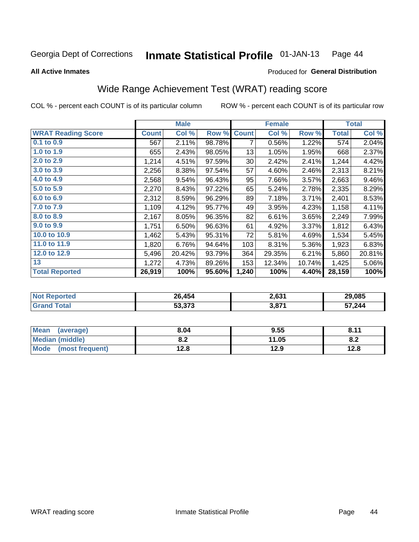**All Active Inmates** 

### Inmate Statistical Profile 01-JAN-13 Page 44

### Produced for General Distribution

# Wide Range Achievement Test (WRAT) reading score

COL % - percent each COUNT is of its particular column

|                           |         | <b>Male</b> |        |              | <b>Female</b> |        |              | <b>Total</b> |
|---------------------------|---------|-------------|--------|--------------|---------------|--------|--------------|--------------|
| <b>WRAT Reading Score</b> | Count l | Col %       | Row %  | <b>Count</b> | Col %         | Row %  | <b>Total</b> | Col %        |
| $0.1$ to $0.9$            | 567     | 2.11%       | 98.78% | 7            | 0.56%         | 1.22%  | 574          | 2.04%        |
| 1.0 to 1.9                | 655     | 2.43%       | 98.05% | 13           | 1.05%         | 1.95%  | 668          | 2.37%        |
| 2.0 to 2.9                | 1,214   | 4.51%       | 97.59% | 30           | 2.42%         | 2.41%  | 1,244        | 4.42%        |
| 3.0 to 3.9                | 2,256   | 8.38%       | 97.54% | 57           | 4.60%         | 2.46%  | 2,313        | 8.21%        |
| 4.0 to 4.9                | 2,568   | 9.54%       | 96.43% | 95           | 7.66%         | 3.57%  | 2,663        | 9.46%        |
| 5.0 to 5.9                | 2,270   | 8.43%       | 97.22% | 65           | 5.24%         | 2.78%  | 2,335        | 8.29%        |
| 6.0 to 6.9                | 2,312   | 8.59%       | 96.29% | 89           | 7.18%         | 3.71%  | 2,401        | 8.53%        |
| 7.0 to 7.9                | 1,109   | 4.12%       | 95.77% | 49           | 3.95%         | 4.23%  | 1,158        | 4.11%        |
| 8.0 to 8.9                | 2,167   | 8.05%       | 96.35% | 82           | 6.61%         | 3.65%  | 2,249        | 7.99%        |
| 9.0 to 9.9                | 1,751   | 6.50%       | 96.63% | 61           | 4.92%         | 3.37%  | 1,812        | 6.43%        |
| 10.0 to 10.9              | 1,462   | 5.43%       | 95.31% | 72           | 5.81%         | 4.69%  | 1,534        | 5.45%        |
| 11.0 to 11.9              | 1,820   | 6.76%       | 94.64% | 103          | 8.31%         | 5.36%  | 1,923        | 6.83%        |
| 12.0 to 12.9              | 5,496   | 20.42%      | 93.79% | 364          | 29.35%        | 6.21%  | 5,860        | 20.81%       |
| 13                        | 1,272   | 4.73%       | 89.26% | 153          | 12.34%        | 10.74% | 1,425        | 5.06%        |
| <b>Total Reported</b>     | 26,919  | 100%        | 95.60% | 1,240        | 100%          | 4.40%  | 28,159       | 100%         |

| <b>orteg</b><br><b>NOT</b> | 26,454 | 2,631 | 29,085 |
|----------------------------|--------|-------|--------|
| $\sim$ fol                 | 53,373 | 3,87' | 57,244 |

| <b>Mean</b><br>(average) | 8.04       | 9.55  | 9.11<br>. O. I . |
|--------------------------|------------|-------|------------------|
| Median (middle)          | י ה<br>0.Z | 11.05 | O.A              |
| Mode<br>(most frequent)  | 12.8       | 12.9  | 12.8             |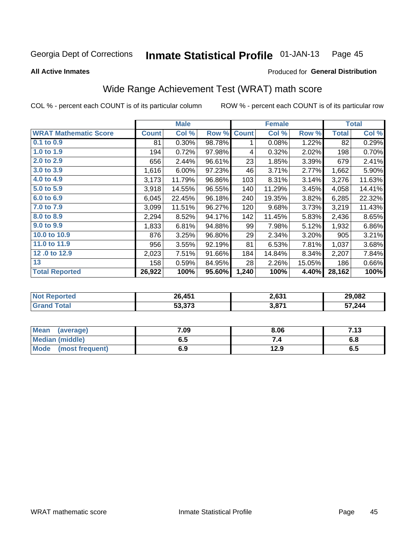### Inmate Statistical Profile 01-JAN-13 Page 45

**All Active Inmates** 

### Produced for General Distribution

# Wide Range Achievement Test (WRAT) math score

COL % - percent each COUNT is of its particular column

|                              |              | <b>Male</b> |        |              | <b>Female</b> |        |              | <b>Total</b> |
|------------------------------|--------------|-------------|--------|--------------|---------------|--------|--------------|--------------|
| <b>WRAT Mathematic Score</b> | <b>Count</b> | Col %       | Row %  | <b>Count</b> | Col %         | Row %  | <b>Total</b> | Col %        |
| $0.1$ to $0.9$               | 81           | $0.30\%$    | 98.78% | 1            | 0.08%         | 1.22%  | 82           | 0.29%        |
| 1.0 to 1.9                   | 194          | 0.72%       | 97.98% | 4            | 0.32%         | 2.02%  | 198          | 0.70%        |
| 2.0 to 2.9                   | 656          | 2.44%       | 96.61% | 23           | 1.85%         | 3.39%  | 679          | 2.41%        |
| 3.0 to 3.9                   | 1,616        | 6.00%       | 97.23% | 46           | 3.71%         | 2.77%  | 1,662        | 5.90%        |
| 4.0 to 4.9                   | 3,173        | 11.79%      | 96.86% | 103          | 8.31%         | 3.14%  | 3,276        | 11.63%       |
| 5.0 to 5.9                   | 3,918        | 14.55%      | 96.55% | 140          | 11.29%        | 3.45%  | 4,058        | 14.41%       |
| 6.0 to 6.9                   | 6,045        | 22.45%      | 96.18% | 240          | 19.35%        | 3.82%  | 6,285        | 22.32%       |
| 7.0 to 7.9                   | 3,099        | 11.51%      | 96.27% | 120          | 9.68%         | 3.73%  | 3,219        | 11.43%       |
| 8.0 to 8.9                   | 2,294        | 8.52%       | 94.17% | 142          | 11.45%        | 5.83%  | 2,436        | 8.65%        |
| 9.0 to 9.9                   | 1,833        | 6.81%       | 94.88% | 99           | 7.98%         | 5.12%  | 1,932        | 6.86%        |
| 10.0 to 10.9                 | 876          | 3.25%       | 96.80% | 29           | 2.34%         | 3.20%  | 905          | 3.21%        |
| 11.0 to 11.9                 | 956          | 3.55%       | 92.19% | 81           | 6.53%         | 7.81%  | 1,037        | 3.68%        |
| 12.0 to 12.9                 | 2,023        | 7.51%       | 91.66% | 184          | 14.84%        | 8.34%  | 2,207        | 7.84%        |
| 13                           | 158          | 0.59%       | 84.95% | 28           | 2.26%         | 15.05% | 186          | 0.66%        |
| <b>Total Reported</b>        | 26,922       | 100%        | 95.60% | 1,240        | 100%          | 4.40%  | 28,162       | 100%         |

| <b>Not Reported</b> | 26,451 | 2,631 | 29,082 |
|---------------------|--------|-------|--------|
| <b>Grand Total</b>  | 53,373 | 3,871 | 57,244 |

| <b>Mean</b><br>(average)       | 7.09 | 8.06 | 7.13 |
|--------------------------------|------|------|------|
| <b>Median (middle)</b>         | כ.ס  |      | 0.O  |
| <b>Mode</b><br>(most frequent) | 6.9  | 12.9 | დ.g  |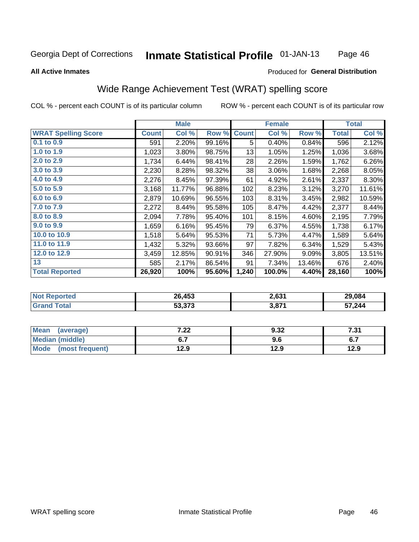### Inmate Statistical Profile 01-JAN-13 Page 46

### **All Active Inmates**

### Produced for General Distribution

# Wide Range Achievement Test (WRAT) spelling score

COL % - percent each COUNT is of its particular column

|                            |              | <b>Male</b> |        |              | <b>Female</b> |        |              | <b>Total</b> |
|----------------------------|--------------|-------------|--------|--------------|---------------|--------|--------------|--------------|
| <b>WRAT Spelling Score</b> | <b>Count</b> | Col %       | Row %  | <b>Count</b> | Col %         | Row %  | <b>Total</b> | Col %        |
| $0.1$ to $0.9$             | 591          | 2.20%       | 99.16% | 5            | 0.40%         | 0.84%  | 596          | 2.12%        |
| 1.0 to 1.9                 | 1,023        | 3.80%       | 98.75% | 13           | 1.05%         | 1.25%  | 1,036        | 3.68%        |
| 2.0 to 2.9                 | 1,734        | 6.44%       | 98.41% | 28           | 2.26%         | 1.59%  | 1,762        | 6.26%        |
| 3.0 to 3.9                 | 2,230        | 8.28%       | 98.32% | 38           | 3.06%         | 1.68%  | 2,268        | 8.05%        |
| 4.0 to 4.9                 | 2,276        | 8.45%       | 97.39% | 61           | 4.92%         | 2.61%  | 2,337        | 8.30%        |
| 5.0 to 5.9                 | 3,168        | 11.77%      | 96.88% | 102          | 8.23%         | 3.12%  | 3,270        | 11.61%       |
| 6.0 to 6.9                 | 2,879        | 10.69%      | 96.55% | 103          | 8.31%         | 3.45%  | 2,982        | 10.59%       |
| 7.0 to 7.9                 | 2,272        | 8.44%       | 95.58% | 105          | 8.47%         | 4.42%  | 2,377        | 8.44%        |
| 8.0 to 8.9                 | 2,094        | 7.78%       | 95.40% | 101          | 8.15%         | 4.60%  | 2,195        | 7.79%        |
| 9.0 to 9.9                 | 1,659        | 6.16%       | 95.45% | 79           | 6.37%         | 4.55%  | 1,738        | 6.17%        |
| 10.0 to 10.9               | 1,518        | 5.64%       | 95.53% | 71           | 5.73%         | 4.47%  | 1,589        | 5.64%        |
| 11.0 to 11.9               | 1,432        | 5.32%       | 93.66% | 97           | 7.82%         | 6.34%  | 1,529        | 5.43%        |
| 12.0 to 12.9               | 3,459        | 12.85%      | 90.91% | 346          | 27.90%        | 9.09%  | 3,805        | 13.51%       |
| 13                         | 585          | 2.17%       | 86.54% | 91           | 7.34%         | 13.46% | 676          | 2.40%        |
| <b>Total Reported</b>      | 26,920       | 100%        | 95.60% | 1,240        | 100.0%        | 4.40%  | 28,160       | 100%         |

| Reported<br>'Not | 26,453                   | 2,631 | 29.084 |
|------------------|--------------------------|-------|--------|
| ota              | につ つフつ<br><u>ეა.ა/ ა</u> | 3,87' | 57,244 |

| <b>Mean</b><br>(average)       | ר ה<br>.∠∠   | 9.32 | フっく<br>ا د. ا               |
|--------------------------------|--------------|------|-----------------------------|
| Median (middle)                |              | 9.6  | <u>. . </u><br>$\mathbf{v}$ |
| <b>Mode</b><br>(most frequent) | 12 Q<br>12.J | 12.9 | 12.9                        |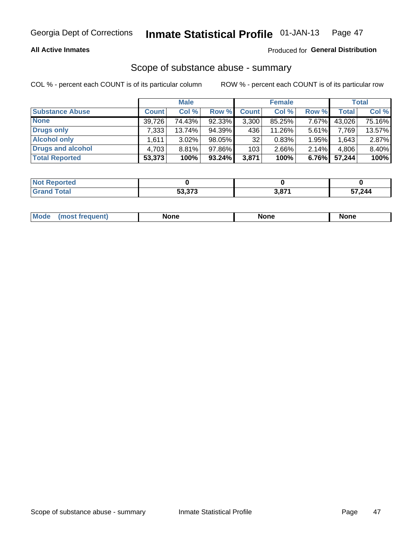## **All Active Inmates**

## Produced for General Distribution

# Scope of substance abuse - summary

COL % - percent each COUNT is of its particular column

|                        |              | <b>Male</b> |           |              | <b>Female</b> |          |              | <b>Total</b> |
|------------------------|--------------|-------------|-----------|--------------|---------------|----------|--------------|--------------|
| <b>Substance Abuse</b> | <b>Count</b> | Col %       | Row %     | <b>Count</b> | Col %         | Row %    | <b>Total</b> | Col %        |
| <b>None</b>            | 39.726       | 74.43%      | 92.33%    | 3,300        | 85.25%        | 7.67%    | 43,026       | 75.16%       |
| Drugs only             | 7.333        | $13.74\%$   | 94.39%    | 436          | 11.26%        | $5.61\%$ | 7,769        | 13.57%       |
| <b>Alcohol only</b>    | .611         | $3.02\%$    | 98.05%    | 32           | 0.83%         | 1.95%    | 1,643        | 2.87%        |
| Drugs and alcohol      | 4,703        | 8.81%       | 97.86%    | 103          | $2.66\%$      | 2.14%    | 4,806        | 8.40%        |
| <b>Total Reported</b>  | 53,373       | 100%        | $93.24\%$ | 3,871        | 100%          | 6.76%    | 57,244       | 100%         |

| <b>Not Reported</b> |        |       |        |
|---------------------|--------|-------|--------|
| <b>Grand Total</b>  | 53.373 | 3,871 | 57,244 |

| Mode<br><b>None</b><br><b>None</b><br>None<br>nos<br>auenti<br>___<br>$ -$ |
|----------------------------------------------------------------------------|
|----------------------------------------------------------------------------|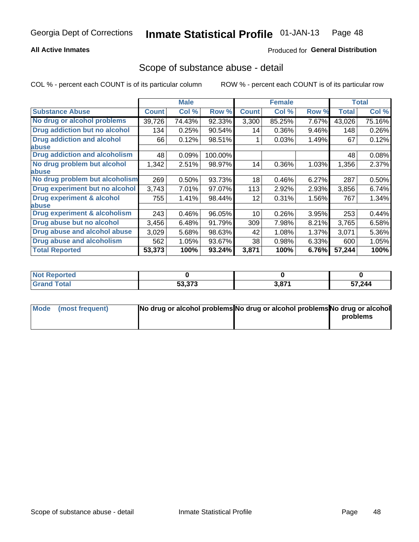# **All Active Inmates**

# **Produced for General Distribution**

# Scope of substance abuse - detail

COL % - percent each COUNT is of its particular column

|                                      |              | <b>Male</b> |         |              | <b>Female</b> |       |        | <b>Total</b> |
|--------------------------------------|--------------|-------------|---------|--------------|---------------|-------|--------|--------------|
| <b>Substance Abuse</b>               | <b>Count</b> | Col %       | Row %   | <b>Count</b> | Col %         | Row % | Total  | Col %        |
| No drug or alcohol problems          | 39,726       | 74.43%      | 92.33%  | 3,300        | 85.25%        | 7.67% | 43,026 | 75.16%       |
| Drug addiction but no alcohol        | 134          | 0.25%       | 90.54%  | 14           | 0.36%         | 9.46% | 148    | 0.26%        |
| <b>Drug addiction and alcohol</b>    | 66           | 0.12%       | 98.51%  |              | 0.03%         | 1.49% | 67     | 0.12%        |
| abuse                                |              |             |         |              |               |       |        |              |
| <b>Drug addiction and alcoholism</b> | 48           | 0.09%       | 100.00% |              |               |       | 48     | 0.08%        |
| No drug problem but alcohol          | 1,342        | 2.51%       | 98.97%  | 14           | 0.36%         | 1.03% | 1,356  | 2.37%        |
| <b>labuse</b>                        |              |             |         |              |               |       |        |              |
| No drug problem but alcoholism       | 269          | 0.50%       | 93.73%  | 18           | 0.46%         | 6.27% | 287    | 0.50%        |
| Drug experiment but no alcohol       | 3,743        | 7.01%       | 97.07%  | 113          | 2.92%         | 2.93% | 3,856  | 6.74%        |
| Drug experiment & alcohol            | 755          | 1.41%       | 98.44%  | 12           | 0.31%         | 1.56% | 767    | 1.34%        |
| abuse                                |              |             |         |              |               |       |        |              |
| Drug experiment & alcoholism         | 243          | 0.46%       | 96.05%  | 10           | 0.26%         | 3.95% | 253    | 0.44%        |
| Drug abuse but no alcohol            | 3,456        | 6.48%       | 91.79%  | 309          | 7.98%         | 8.21% | 3,765  | 6.58%        |
| Drug abuse and alcohol abuse         | 3,029        | 5.68%       | 98.63%  | 42           | 1.08%         | 1.37% | 3,071  | 5.36%        |
| Drug abuse and alcoholism            | 562          | 1.05%       | 93.67%  | 38           | 0.98%         | 6.33% | 600    | 1.05%        |
| <b>Total Reported</b>                | 53,373       | 100%        | 93.24%  | 3,871        | 100%          | 6.76% | 57,244 | 100%         |

| oorted<br>NOT |        |              |        |
|---------------|--------|--------------|--------|
| <b>otal</b>   | 53,373 | 2074<br>J,O. | 57,244 |

| Mode (most frequent) | No drug or alcohol problems No drug or alcohol problems No drug or alcohol |          |
|----------------------|----------------------------------------------------------------------------|----------|
|                      |                                                                            | problems |
|                      |                                                                            |          |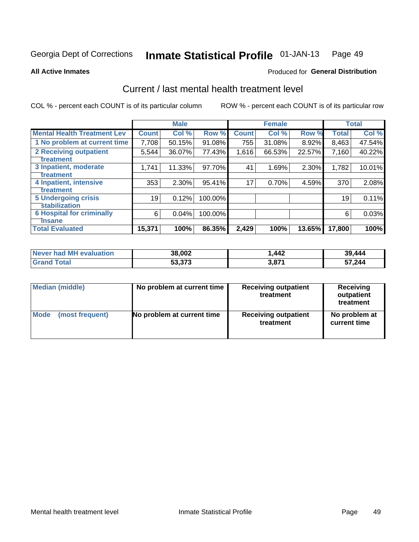### Inmate Statistical Profile 01-JAN-13 Page 49

**All Active Inmates** 

# **Produced for General Distribution**

# Current / last mental health treatment level

COL % - percent each COUNT is of its particular column

|                                    |              | <b>Male</b> |         |              | <b>Female</b> |          |              | <b>Total</b> |
|------------------------------------|--------------|-------------|---------|--------------|---------------|----------|--------------|--------------|
| <b>Mental Health Treatment Lev</b> | <b>Count</b> | Col %       | Row %   | <b>Count</b> | Col %         | Row %    | <b>Total</b> | Col %        |
| 1 No problem at current time       | 7,708        | 50.15%      | 91.08%  | 755          | 31.08%        | 8.92%    | 8,463        | 47.54%       |
| 2 Receiving outpatient             | 5,544        | 36.07%      | 77.43%  | 1,616        | 66.53%        | 22.57%   | 7,160        | 40.22%       |
| <b>Treatment</b>                   |              |             |         |              |               |          |              |              |
| 3 Inpatient, moderate              | 1,741        | 11.33%      | 97.70%  | 41           | 1.69%         | $2.30\%$ | 1,782        | 10.01%       |
| <b>Treatment</b>                   |              |             |         |              |               |          |              |              |
| 4 Inpatient, intensive             | 353          | 2.30%       | 95.41%  | 17           | 0.70%         | 4.59%    | 370          | 2.08%        |
| <b>Treatment</b>                   |              |             |         |              |               |          |              |              |
| <b>5 Undergoing crisis</b>         | 19           | 0.12%       | 100.00% |              |               |          | 19           | 0.11%        |
| <b>stabilization</b>               |              |             |         |              |               |          |              |              |
| <b>6 Hospital for criminally</b>   | 6            | 0.04%       | 100.00% |              |               |          | 6            | 0.03%        |
| <b>Tinsane</b>                     |              |             |         |              |               |          |              |              |
| <b>Total Evaluated</b>             | 15,371       | 100%        | 86.35%  | 2,429        | 100%          | 13.65%   | 17,800       | 100%         |

| <b>Never had MH evaluation</b> | 38,002 | .442          | 39,444 |
|--------------------------------|--------|---------------|--------|
| $\mathsf{Total}$               | 53,373 | 074<br>ו וס.כ | 57,244 |

| Median (middle) | No problem at current time | <b>Receiving outpatient</b><br>treatment | <b>Receiving</b><br>outpatient<br>treatment |
|-----------------|----------------------------|------------------------------------------|---------------------------------------------|
| <b>Mode</b>     | No problem at current time | <b>Receiving outpatient</b>              | No problem at                               |
| (most frequent) |                            | treatment                                | current time                                |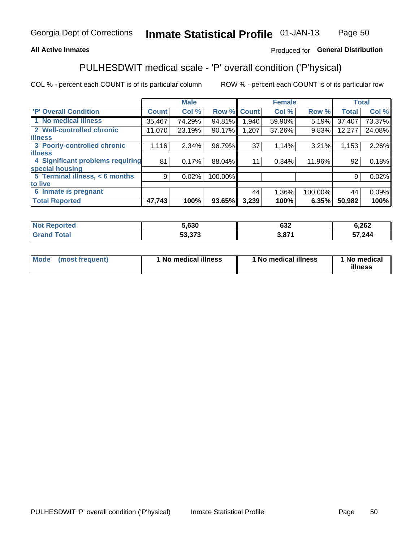# **All Active Inmates**

# Produced for General Distribution

# PULHESDWIT medical scale - 'P' overall condition ('P'hysical)

COL % - percent each COUNT is of its particular column

|                                  |                | <b>Male</b> |         |              | <b>Female</b> |         |              | <b>Total</b> |
|----------------------------------|----------------|-------------|---------|--------------|---------------|---------|--------------|--------------|
| 'P' Overall Condition            | <b>Count</b>   | Col %       | Row %   | <b>Count</b> | Col %         | Row %   | <b>Total</b> | Col %        |
| 1 No medical illness             | 35,467         | 74.29%      | 94.81%  | 1,940        | 59.90%        | 5.19%   | 37,407       | 73.37%       |
| 2 Well-controlled chronic        | 11,070         | 23.19%      | 90.17%  | 1,207        | 37.26%        | 9.83%   | 12,277       | 24.08%       |
| <b>illness</b>                   |                |             |         |              |               |         |              |              |
| 3 Poorly-controlled chronic      | 1,116          | $2.34\%$    | 96.79%  | 37           | 1.14%         | 3.21%   | 1,153        | 2.26%        |
| <b>illness</b>                   |                |             |         |              |               |         |              |              |
| 4 Significant problems requiring | 81             | 0.17%       | 88.04%  | 11           | 0.34%         | 11.96%  | 92           | 0.18%        |
| special housing                  |                |             |         |              |               |         |              |              |
| 5 Terminal illness, < 6 months   | 9 <sub>1</sub> | 0.02%       | 100.00% |              |               |         | 9            | 0.02%        |
| to live                          |                |             |         |              |               |         |              |              |
| 6 Inmate is pregnant             |                |             |         | 44           | 1.36%         | 100.00% | 44           | 0.09%        |
| <b>Total Reported</b>            | 47,743         | 100%        | 93.65%  | 3,239        | 100%          | 6.35%   | 50,982       | 100%         |

| тео | 5,630  | con<br>⊾כס | 6,262  |
|-----|--------|------------|--------|
|     | ra aya | 074        | 57,244 |

| Mode | (most frequent) | 1 No medical illness | 1 No medical illness | 1 No medical<br>illness |
|------|-----------------|----------------------|----------------------|-------------------------|
|------|-----------------|----------------------|----------------------|-------------------------|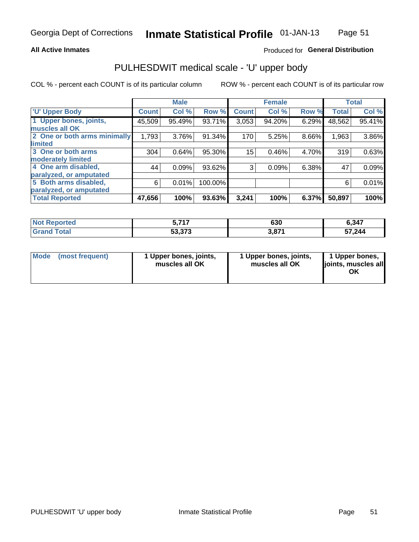### **All Active Inmates**

# Produced for General Distribution

# PULHESDWIT medical scale - 'U' upper body

COL % - percent each COUNT is of its particular column

|                              |              | <b>Male</b> |         |              | <b>Female</b> |       |              | <b>Total</b> |
|------------------------------|--------------|-------------|---------|--------------|---------------|-------|--------------|--------------|
| <b>U' Upper Body</b>         | <b>Count</b> | Col %       | Row %   | <b>Count</b> | Col %         | Row % | <b>Total</b> | Col %        |
| 1 Upper bones, joints,       | 45,509       | 95.49%      | 93.71%  | 3,053        | 94.20%        | 6.29% | 48,562       | 95.41%       |
| muscles all OK               |              |             |         |              |               |       |              |              |
| 2 One or both arms minimally | 1,793        | 3.76%       | 91.34%  | 170          | 5.25%         | 8.66% | 1,963        | 3.86%        |
| limited                      |              |             |         |              |               |       |              |              |
| 3 One or both arms           | 304          | 0.64%       | 95.30%  | 15           | 0.46%         | 4.70% | 319          | 0.63%        |
| <b>moderately limited</b>    |              |             |         |              |               |       |              |              |
| 4 One arm disabled,          | 44           | 0.09%       | 93.62%  | 3            | 0.09%         | 6.38% | 47           | 0.09%        |
| paralyzed, or amputated      |              |             |         |              |               |       |              |              |
| 5 Both arms disabled,        | 6            | 0.01%       | 100.00% |              |               |       | 6            | 0.01%        |
| paralyzed, or amputated      |              |             |         |              |               |       |              |              |
| <b>Total Reported</b>        | 47,656       | 100%        | 93.63%  | 3,241        | 100%          | 6.37% | 50,897       | 100%         |

| Reported<br>' NOT            | ライフ<br>v.                | 630 | 6,347  |
|------------------------------|--------------------------|-----|--------|
| <b>Total</b><br><b>Grand</b> | こへ ヘラヘ<br><u>აა ას ა</u> | 074 | 57,244 |

|  | Mode (most frequent) | 1 Upper bones, joints,<br>muscles all OK | 1 Upper bones, joints,<br>muscles all OK | 1 Upper bones,<br>ljoints, muscles all<br>ΟK |
|--|----------------------|------------------------------------------|------------------------------------------|----------------------------------------------|
|--|----------------------|------------------------------------------|------------------------------------------|----------------------------------------------|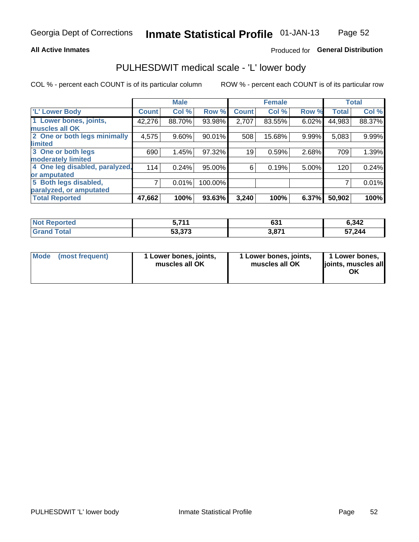### **All Active Inmates**

# Produced for General Distribution

# PULHESDWIT medical scale - 'L' lower body

COL % - percent each COUNT is of its particular column

|                                |              | <b>Male</b> |           |              | <b>Female</b> |       |              | <b>Total</b> |
|--------------------------------|--------------|-------------|-----------|--------------|---------------|-------|--------------|--------------|
| 'L' Lower Body                 | <b>Count</b> | Col %       | Row %     | <b>Count</b> | Col %         | Row % | <b>Total</b> | Col %        |
| 1 Lower bones, joints,         | 42,276       | 88.70%      | 93.98%    | 2,707        | 83.55%        | 6.02% | 44,983       | 88.37%       |
| muscles all OK                 |              |             |           |              |               |       |              |              |
| 2 One or both legs minimally   | 4,575        | 9.60%       | $90.01\%$ | 508          | 15.68%        | 9.99% | 5,083        | 9.99%        |
| limited                        |              |             |           |              |               |       |              |              |
| 3 One or both legs             | 690          | 1.45%       | 97.32%    | 19           | 0.59%         | 2.68% | 709          | 1.39%        |
| moderately limited             |              |             |           |              |               |       |              |              |
| 4 One leg disabled, paralyzed, | 114          | 0.24%       | 95.00%    | 6            | 0.19%         | 5.00% | 120          | 0.24%        |
| or amputated                   |              |             |           |              |               |       |              |              |
| 5 Both legs disabled,          | 7            | 0.01%       | 100.00%   |              |               |       |              | 0.01%        |
| paralyzed, or amputated        |              |             |           |              |               |       |              |              |
| <b>Total Reported</b>          | 47,662       | 100%        | 93.63%    | 3,240        | 100%          | 6.37% | 50,902       | 100%         |

| <b>Not Reported</b>          | <b>744</b><br>. | CO <sub>4</sub><br>OJ. | 6,342  |
|------------------------------|-----------------|------------------------|--------|
| <b>Total</b><br><b>Grand</b> | 53,373          | 074<br>ו וס,כ          | 57,244 |

|  | Mode (most frequent) | 1 Lower bones, joints,<br>muscles all OK | 1 Lower bones, joints,<br>muscles all OK | 1 Lower bones,<br>joints, muscles all<br>ΟK |
|--|----------------------|------------------------------------------|------------------------------------------|---------------------------------------------|
|--|----------------------|------------------------------------------|------------------------------------------|---------------------------------------------|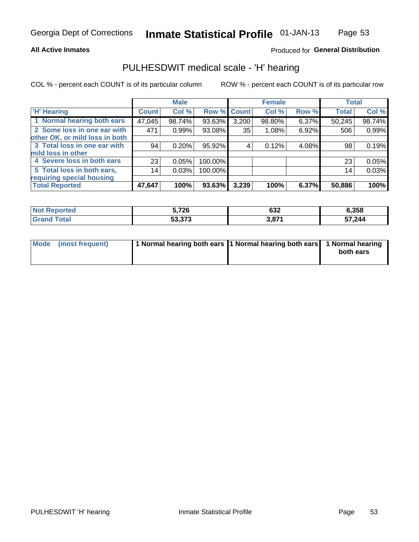### **All Active Inmates**

# Produced for General Distribution

# PULHESDWIT medical scale - 'H' hearing

COL % - percent each COUNT is of its particular column

|                                |               | <b>Male</b> |         |             | <b>Female</b> |       | <b>Total</b> |        |
|--------------------------------|---------------|-------------|---------|-------------|---------------|-------|--------------|--------|
| <b>H'</b> Hearing              | <b>Count!</b> | Col %       |         | Row % Count | Col %         | Row % | <b>Total</b> | Col %  |
| 1 Normal hearing both ears     | 47,045        | 98.74%      | 93.63%  | 3,200       | 98.80%        | 6.37% | 50,245       | 98.74% |
| 2 Some loss in one ear with    | 471           | 0.99%       | 93.08%  | 35          | 1.08%         | 6.92% | 506          | 0.99%  |
| other OK, or mild loss in both |               |             |         |             |               |       |              |        |
| 3 Total loss in one ear with   | 94            | 0.20%       | 95.92%  | 4           | 0.12%         | 4.08% | 98           | 0.19%  |
| mild loss in other             |               |             |         |             |               |       |              |        |
| 4 Severe loss in both ears     | 23            | 0.05%       | 100.00% |             |               |       | 23           | 0.05%  |
| 5 Total loss in both ears,     | 14            | 0.03%       | 100.00% |             |               |       | 14           | 0.03%  |
| requiring special housing      |               |             |         |             |               |       |              |        |
| <b>Total Reported</b>          | 47,647        | 100%        | 93.63%  | 3,239       | 100%          | 6.37% | 50,886       | 100%   |

| <b>Not Renc</b><br>≅norted and | 5,726                   | $\sim$<br>אטט | 6,358  |
|--------------------------------|-------------------------|---------------|--------|
| <b>Total</b>                   | E20272<br><u>53.373</u> | 2074          | 57,244 |

| Mode (most frequent) | 1 Normal hearing both ears 1 Normal hearing both ears 1 Normal hearing | both ears |
|----------------------|------------------------------------------------------------------------|-----------|
|                      |                                                                        |           |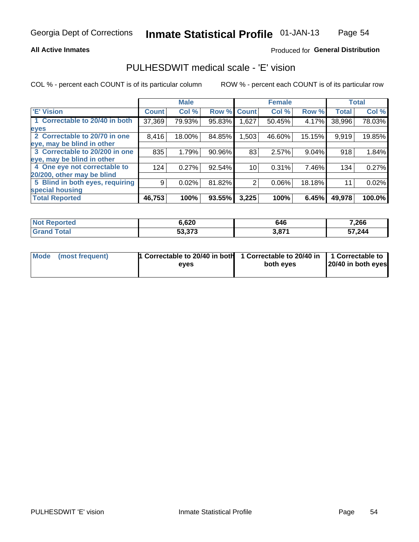### **All Active Inmates**

# Produced for General Distribution

# PULHESDWIT medical scale - 'E' vision

COL % - percent each COUNT is of its particular column

|                                 |              | <b>Male</b> |        |              | <b>Female</b> |        |              | <b>Total</b> |
|---------------------------------|--------------|-------------|--------|--------------|---------------|--------|--------------|--------------|
| <b>E' Vision</b>                | <b>Count</b> | Col %       | Row %  | <b>Count</b> | Col %         | Row %  | <b>Total</b> | Col %        |
| 1 Correctable to 20/40 in both  | 37,369       | 79.93%      | 95.83% | .627         | 50.45%        | 4.17%  | 38,996       | 78.03%       |
| eyes                            |              |             |        |              |               |        |              |              |
| 2 Correctable to 20/70 in one   | 8,416        | 18.00%      | 84.85% | 1,503        | 46.60%        | 15.15% | 9,919        | 19.85%       |
| eye, may be blind in other      |              |             |        |              |               |        |              |              |
| 3 Correctable to 20/200 in one  | 835          | 1.79%       | 90.96% | 83           | 2.57%         | 9.04%  | 918          | 1.84%        |
| eye, may be blind in other      |              |             |        |              |               |        |              |              |
| 4 One eye not correctable to    | 124          | 0.27%       | 92.54% | 10           | 0.31%         | 7.46%  | 134          | 0.27%        |
| 20/200, other may be blind      |              |             |        |              |               |        |              |              |
| 5 Blind in both eyes, requiring | 9            | 0.02%       | 81.82% | 2            | 0.06%         | 18.18% | 11           | 0.02%        |
| special housing                 |              |             |        |              |               |        |              |              |
| <b>Total Reported</b>           | 46,753       | 100%        | 93.55% | 3,225        | 100%          | 6.45%  | 49,978       | 100.0%       |

| <b>Not Reported</b> | ჽ,620  | 646                  | 7,266  |
|---------------------|--------|----------------------|--------|
| Гоtа                | 53,373 | 2074<br>J.O <i>I</i> | 57,244 |

| Mode (most frequent) | 1 Correctable to 20/40 in both<br>eves | 1 Correctable to 20/40 in   1 Correctable to  <br>both eves | 20/40 in both eyes |
|----------------------|----------------------------------------|-------------------------------------------------------------|--------------------|
|                      |                                        |                                                             |                    |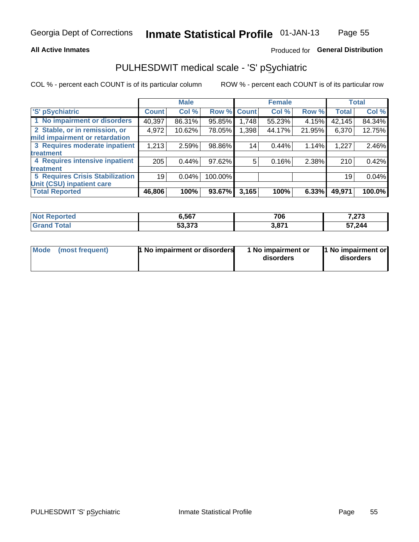## **All Active Inmates**

# Produced for General Distribution

# PULHESDWIT medical scale - 'S' pSychiatric

COL % - percent each COUNT is of its particular column

|                                        |              | <b>Male</b> |         |              | <b>Female</b> |          |              | <b>Total</b> |
|----------------------------------------|--------------|-------------|---------|--------------|---------------|----------|--------------|--------------|
| 'S' pSychiatric                        | <b>Count</b> | Col %       | Row %   | <b>Count</b> | Col %         | Row %    | <b>Total</b> | Col %        |
| 1 No impairment or disorders           | 40,397       | 86.31%      | 95.85%  | 1,748        | 55.23%        | 4.15%    | 42,145       | 84.34%       |
| 2 Stable, or in remission, or          | 4,972        | 10.62%      | 78.05%  | .398         | 44.17%        | 21.95%   | 6,370        | 12.75%       |
| mild impairment or retardation         |              |             |         |              |               |          |              |              |
| 3 Requires moderate inpatient          | 1,213        | 2.59%       | 98.86%  | 14           | 0.44%         | 1.14%    | 1,227        | 2.46%        |
| treatment                              |              |             |         |              |               |          |              |              |
| 4 Requires intensive inpatient         | 205          | 0.44%       | 97.62%  | 5            | 0.16%         | 2.38%    | 210          | 0.42%        |
| treatment                              |              |             |         |              |               |          |              |              |
| <b>5 Requires Crisis Stabilization</b> | 19           | 0.04%       | 100.00% |              |               |          | 19           | 0.04%        |
| Unit (CSU) inpatient care              |              |             |         |              |               |          |              |              |
| <b>Total Reported</b>                  | 46,806       | 100%        | 93.67%  | 3,165        | 100%          | $6.33\%$ | 49,971       | 100.0%       |

| <b>Not Reported</b> | 6,567  | 706   | 7.072<br>נוג, |
|---------------------|--------|-------|---------------|
| Gran<br>™otal       | 53,373 | 3,871 | 57,244        |

| Mode<br>1 No impairment or disorders<br>(most frequent) | 1 No impairment or<br>disorders | 1 No impairment or<br>disorders |
|---------------------------------------------------------|---------------------------------|---------------------------------|
|---------------------------------------------------------|---------------------------------|---------------------------------|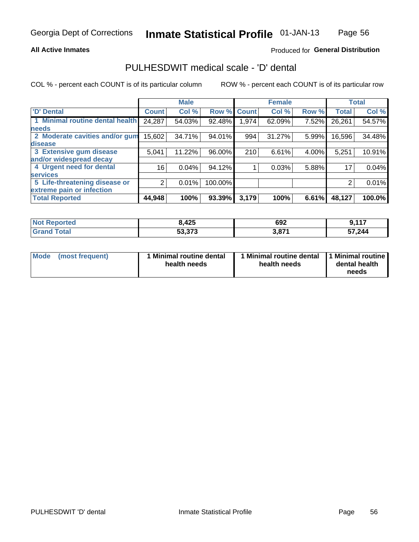### **All Active Inmates**

# Produced for General Distribution

# PULHESDWIT medical scale - 'D' dental

COL % - percent each COUNT is of its particular column

|                                 |                 | <b>Male</b> |         |              | <b>Female</b> |       |              | <b>Total</b> |
|---------------------------------|-----------------|-------------|---------|--------------|---------------|-------|--------------|--------------|
| 'D' Dental                      | <b>Count</b>    | Col %       | Row %   | <b>Count</b> | Col %         | Row % | <b>Total</b> | Col %        |
| 1 Minimal routine dental health | 24,287          | 54.03%      | 92.48%  | l,974        | 62.09%        | 7.52% | 26,261       | 54.57%       |
| <b>needs</b>                    |                 |             |         |              |               |       |              |              |
| 2 Moderate cavities and/or gum  | 15,602          | 34.71%      | 94.01%  | 994          | 31.27%        | 5.99% | 16,596       | 34.48%       |
| disease                         |                 |             |         |              |               |       |              |              |
| 3 Extensive gum disease         | 5,041           | 11.22%      | 96.00%  | 210          | 6.61%         | 4.00% | 5,251        | 10.91%       |
| and/or widespread decay         |                 |             |         |              |               |       |              |              |
| 4 Urgent need for dental        | 16 <sub>1</sub> | 0.04%       | 94.12%  |              | 0.03%         | 5.88% | 17           | 0.04%        |
| <b>Services</b>                 |                 |             |         |              |               |       |              |              |
| 5 Life-threatening disease or   |                 | 0.01%       | 100.00% |              |               |       | 2            | 0.01%        |
| extreme pain or infection       |                 |             |         |              |               |       |              |              |
| <b>Total Reported</b>           | 44,948          | 100%        | 93.39%  | 3,179        | 100%          | 6.61% | 48,127       | 100.0%       |

| <b>Not Reported</b> | 8,425  | 692   | <b>A</b> 47 |
|---------------------|--------|-------|-------------|
| <b>Grand Total</b>  | 53,373 | 3,871 | 57,244      |

| 1 Minimal routine dental<br>Mode<br>(most frequent)<br>health needs | 1 Minimal routine dental 1 Minimal routine<br>health needs | dental health<br>needs |
|---------------------------------------------------------------------|------------------------------------------------------------|------------------------|
|---------------------------------------------------------------------|------------------------------------------------------------|------------------------|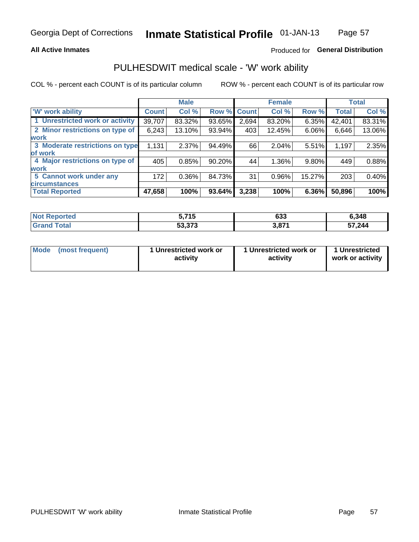## **All Active Inmates**

# Produced for General Distribution

# PULHESDWIT medical scale - 'W' work ability

COL % - percent each COUNT is of its particular column

|                                 |              | <b>Male</b> |             |       | <b>Female</b> |          |              | <b>Total</b> |
|---------------------------------|--------------|-------------|-------------|-------|---------------|----------|--------------|--------------|
| 'W' work ability                | <b>Count</b> | Col %       | Row % Count |       | Col %         | Row %    | <b>Total</b> | Col %        |
| 1 Unrestricted work or activity | 39,707       | 83.32%      | 93.65%      | 2,694 | 83.20%        | 6.35%    | 42,401       | 83.31%       |
| 2 Minor restrictions on type of | 6,243        | 13.10%      | 93.94%      | 403   | 12.45%        | 6.06%    | 6,646        | 13.06%       |
| <b>work</b>                     |              |             |             |       |               |          |              |              |
| 3 Moderate restrictions on type | 1,131        | 2.37%       | 94.49%      | 66    | 2.04%         | 5.51%    | 1,197        | 2.35%        |
| lof work                        |              |             |             |       |               |          |              |              |
| 4 Major restrictions on type of | 405          | 0.85%       | 90.20%      | 44    | 1.36%         | $9.80\%$ | 449          | 0.88%        |
| <b>work</b>                     |              |             |             |       |               |          |              |              |
| 5 Cannot work under any         | 172          | $0.36\%$    | 84.73%      | 31    | 0.96%         | 15.27%   | 203          | 0.40%        |
| <b>circumstances</b>            |              |             |             |       |               |          |              |              |
| <b>Total Reported</b>           | 47,658       | 100%        | 93.64%      | 3,238 | 100%          | 6.36%    | 50,896       | 100%         |

| NotR            | <b>745</b>    | ົາ   | 6,348  |
|-----------------|---------------|------|--------|
| <b>innorted</b> | . J           | ხაა  |        |
| Гоtal           | 52 272        | 2074 | 57,244 |
| r e             | <u>ეაკი ა</u> | J.O  |        |

| Mode            | 1 Unrestricted work or | 1 Unrestricted work or | 1 Unrestricted   |
|-----------------|------------------------|------------------------|------------------|
| (most frequent) | activity               | activity               | work or activity |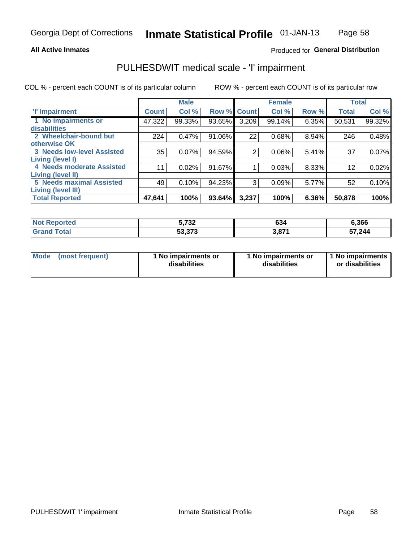### **All Active Inmates**

# Produced for General Distribution

# PULHESDWIT medical scale - 'I' impairment

COL % - percent each COUNT is of its particular column

|                                                              |              | <b>Male</b> |             |       | <b>Female</b> |       |              | <b>Total</b> |
|--------------------------------------------------------------|--------------|-------------|-------------|-------|---------------|-------|--------------|--------------|
| <b>T' Impairment</b>                                         | <b>Count</b> | Col %       | Row % Count |       | Col %         | Row % | <b>Total</b> | Col %        |
| 1 No impairments or<br>disabilities                          | 47,322       | 99.33%      | 93.65%      | 3,209 | 99.14%        | 6.35% | 50,531       | 99.32%       |
| 2 Wheelchair-bound but<br>otherwise OK                       | 224          | 0.47%       | 91.06%      | 22    | 0.68%         | 8.94% | 246          | 0.48%        |
| <b>3 Needs low-level Assisted</b><br>Living (level I)        | 35           | 0.07%       | 94.59%      | 2     | 0.06%         | 5.41% | 37           | 0.07%        |
| 4 Needs moderate Assisted<br>Living (level II)               | 11           | 0.02%       | 91.67%      |       | 0.03%         | 8.33% | 12           | 0.02%        |
| <b>5 Needs maximal Assisted</b><br><b>Living (level III)</b> | 49           | 0.10%       | 94.23%      | 3     | 0.09%         | 5.77% | 52           | 0.10%        |
| <b>Total Reported</b>                                        | 47,641       | 100%        | 93.64%      | 3,237 | 100%          | 6.36% | 50,878       | 100%         |

| ported | המד ה<br>ว, <i>เ ง</i> ∠   | 634 | 6,366  |
|--------|----------------------------|-----|--------|
| ™ota⊾  | $F^{\prime}$ 272<br>33.373 | 074 | 57,244 |

| Mode | (most frequent) | 1 No impairments or<br>disabilities | 1 No impairments or<br>disabilities | 1 No impairments<br>or disabilities |
|------|-----------------|-------------------------------------|-------------------------------------|-------------------------------------|
|------|-----------------|-------------------------------------|-------------------------------------|-------------------------------------|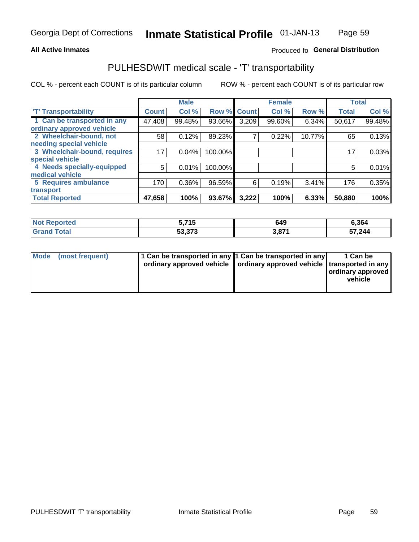## **All Active Inmates**

# Produced fo General Distribution

# PULHESDWIT medical scale - 'T' transportability

COL % - percent each COUNT is of its particular column

|                              |                    | <b>Male</b> |         |              | <b>Female</b> |        |              | <b>Total</b> |
|------------------------------|--------------------|-------------|---------|--------------|---------------|--------|--------------|--------------|
| <b>T' Transportability</b>   | Count <sup>!</sup> | Col %       | Row %   | <b>Count</b> | Col %         | Row %  | <b>Total</b> | Col %        |
| 1 Can be transported in any  | 47,408             | 99.48%      | 93.66%  | 3,209        | 99.60%        | 6.34%  | 50,617       | 99.48%       |
| ordinary approved vehicle    |                    |             |         |              |               |        |              |              |
| 2 Wheelchair-bound, not      | 58                 | 0.12%       | 89.23%  | 7            | 0.22%         | 10.77% | 65           | 0.13%        |
| needing special vehicle      |                    |             |         |              |               |        |              |              |
| 3 Wheelchair-bound, requires | 17                 | 0.04%       | 100.00% |              |               |        | 17           | 0.03%        |
| special vehicle              |                    |             |         |              |               |        |              |              |
| 4 Needs specially-equipped   | 5                  | 0.01%       | 100.00% |              |               |        | 5            | 0.01%        |
| medical vehicle              |                    |             |         |              |               |        |              |              |
| <b>5 Requires ambulance</b>  | 170                | 0.36%       | 96.59%  | 6            | 0.19%         | 3.41%  | 176          | 0.35%        |
| transport                    |                    |             |         |              |               |        |              |              |
| <b>Total Reported</b>        | 47,658             | 100%        | 93.67%  | 3,222        | 100%          | 6.33%  | 50,880       | 100%         |

| orted        | ミ フィド<br><br>.   | 649 | 6,364  |
|--------------|------------------|-----|--------|
| <b>Total</b> | よつ つつつ<br>33.373 | 074 | 57,244 |

|  | Mode (most frequent) | 1 Can be transported in any 1 Can be transported in any<br>ordinary approved vehicle   ordinary approved vehicle   transported in any |  | 1 Can be<br>  ordinary approved  <br>vehicle |
|--|----------------------|---------------------------------------------------------------------------------------------------------------------------------------|--|----------------------------------------------|
|--|----------------------|---------------------------------------------------------------------------------------------------------------------------------------|--|----------------------------------------------|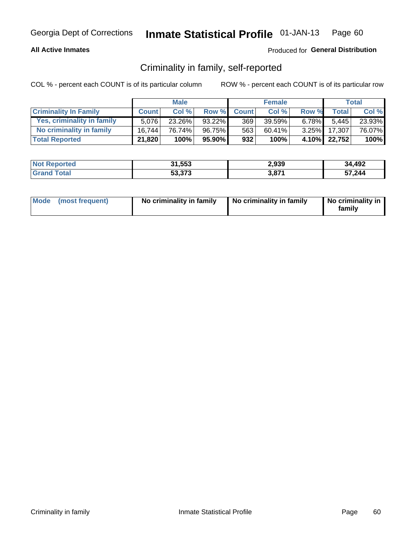## **All Active Inmates**

# Produced for General Distribution

# Criminality in family, self-reported

COL % - percent each COUNT is of its particular column

|                              |              | <b>Male</b> |           |              | <b>Female</b> |          |              | Total   |
|------------------------------|--------------|-------------|-----------|--------------|---------------|----------|--------------|---------|
| <b>Criminality In Family</b> | <b>Count</b> | Col%        | Row %     | <b>Count</b> | Col %         | Row %    | <b>Total</b> | Col %   |
| Yes, criminality in family   | 5.076        | 23.26%      | $93.22\%$ | 369          | 39.59%        | $6.78\%$ | 5.445        | 23.93%  |
| No criminality in family     | 16.744       | 76.74%      | 96.75%    | 563          | 60.41%        | $3.25\%$ | 17,307       | 76.07%  |
| <b>Total Reported</b>        | 21,820       | 100%        | 95.90%    | 932          | 100%          |          | 4.10% 22,752 | $100\%$ |

| <b>Not</b><br>Reported | 31,553 | 2,939                | 34,492 |
|------------------------|--------|----------------------|--------|
| ⊺ota                   | 53,373 | 074<br>э, о <i>г</i> | 57,244 |

|  | Mode (most frequent) | No criminality in family | No criminality in family | No criminality in<br>family |
|--|----------------------|--------------------------|--------------------------|-----------------------------|
|--|----------------------|--------------------------|--------------------------|-----------------------------|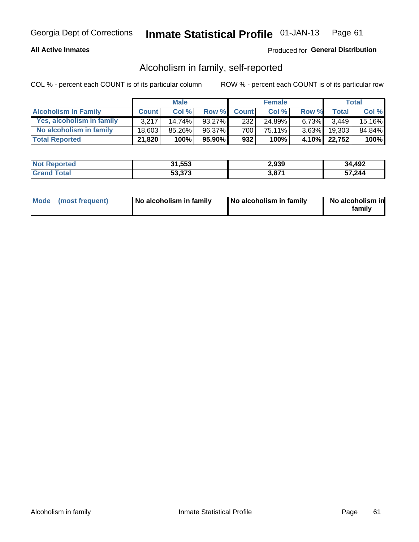# **All Active Inmates**

# Produced for General Distribution

# Alcoholism in family, self-reported

COL % - percent each COUNT is of its particular column

|                             |              | <b>Male</b> |              |              | <b>Female</b> |          |              | Total   |
|-----------------------------|--------------|-------------|--------------|--------------|---------------|----------|--------------|---------|
| <b>Alcoholism In Family</b> | <b>Count</b> | Col%        | <b>Row %</b> | <b>Count</b> | Col %         | Row %    | <b>Total</b> | Col %   |
| Yes, alcoholism in family   | 3.217        | $14.74\%$   | 93.27%       | 232          | 24.89%        | $6.73\%$ | 3.449        | 15.16%  |
| No alcoholism in family     | 18.603       | 85.26%      | 96.37%       | 700          | 75.11%        | $3.63\%$ | 19,303       | 84.84%  |
| <b>Total Reported</b>       | 21,820       | 100%        | 95.90%       | 932          | 100%          |          | 4.10% 22,752 | $100\%$ |

| <b>Not</b><br>Reported | 31,553 | 2,939                | 34,492 |
|------------------------|--------|----------------------|--------|
| ⊺ota                   | 53,373 | 074<br>э, о <i>г</i> | 57,244 |

|  | Mode (most frequent) | No alcoholism in family | No alcoholism in family | No alcoholism in<br>family |
|--|----------------------|-------------------------|-------------------------|----------------------------|
|--|----------------------|-------------------------|-------------------------|----------------------------|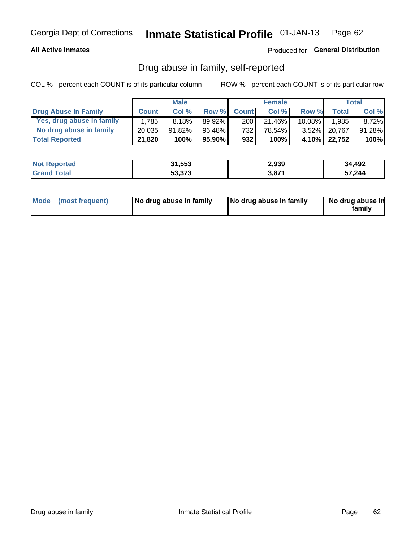# **All Active Inmates**

# Produced for General Distribution

# Drug abuse in family, self-reported

COL % - percent each COUNT is of its particular column

|                           |              | <b>Male</b> |           |                  | <b>Female</b> |           |              | Total    |
|---------------------------|--------------|-------------|-----------|------------------|---------------|-----------|--------------|----------|
| Drug Abuse In Family      | <b>Count</b> | Col%        | Row %     | <b>Count</b>     | Col%          | Row %     | Total        | Col %    |
| Yes, drug abuse in family | 1,785        | 8.18%       | 89.92%    | 200 <sub>1</sub> | 21.46%        | $10.08\%$ | 1,985        | $8.72\%$ |
| No drug abuse in family   | 20,035       | 91.82%      | 96.48%    | 732              | 78.54%        |           | 3.52% 20,767 | 91.28%   |
| <b>Total Reported</b>     | 21,820       | 100%        | $95.90\%$ | 932              | 100%          |           | 4.10% 22,752 | 100%     |

| <b>Not Reported</b> | 31,553 | 2,939       | 34,492 |
|---------------------|--------|-------------|--------|
| l Grand T<br>™otal  | 53,373 | 074<br>ס, כ | 57,244 |

|  | Mode (most frequent) | No drug abuse in family | No drug abuse in family | No drug abuse in<br>familv |
|--|----------------------|-------------------------|-------------------------|----------------------------|
|--|----------------------|-------------------------|-------------------------|----------------------------|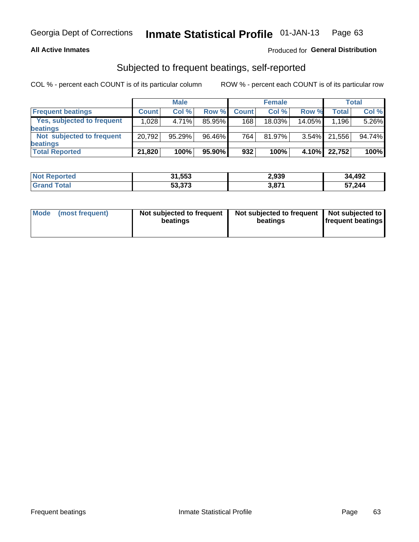## **All Active Inmates**

# Produced for General Distribution

# Subjected to frequent beatings, self-reported

COL % - percent each COUNT is of its particular column

|                            |              | <b>Male</b> |        |              | <b>Female</b> |          |              | Total  |
|----------------------------|--------------|-------------|--------|--------------|---------------|----------|--------------|--------|
| <b>Frequent beatings</b>   | <b>Count</b> | Col %       | Row %  | <b>Count</b> | Col %         | Row %    | <b>Total</b> | Col %  |
| Yes, subjected to frequent | 1.028        | 4.71%       | 85.95% | 168          | 18.03%        | 14.05%   | 1,196        | 5.26%  |
| <b>beatings</b>            |              |             |        |              |               |          |              |        |
| Not subjected to frequent  | 20,792       | 95.29%      | 96.46% | 764          | $81.97\%$     | $3.54\%$ | 21,556       | 94.74% |
| <b>beatings</b>            |              |             |        |              |               |          |              |        |
| <b>Total Reported</b>      | 21,820       | 100%        | 95.90% | 932          | 100%          | 4.10%    | 22,752       | 100%   |

| <b>Not</b><br>Reported | 31,553 | 2,939 | 34,492 |
|------------------------|--------|-------|--------|
| 'Grand Total           | 53,373 | 3,871 | 57,244 |

| Mode (most frequent) | Not subjected to frequent<br>beatings | Not subjected to frequent<br>beatings | Not subjected to<br><b>frequent beatings</b> |
|----------------------|---------------------------------------|---------------------------------------|----------------------------------------------|
|                      |                                       |                                       |                                              |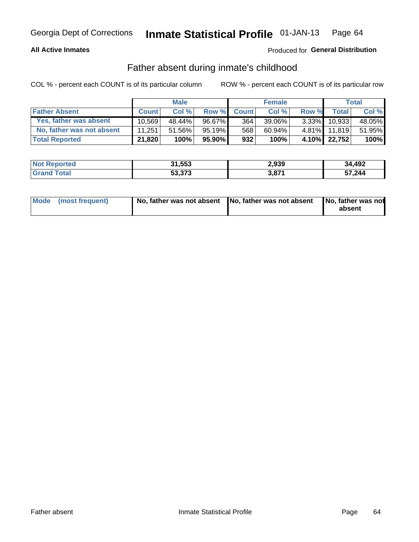## **All Active Inmates**

# Produced for General Distribution

# Father absent during inmate's childhood

COL % - percent each COUNT is of its particular column

|                           |              | <b>Male</b> |           |              | <b>Female</b> |          |              | Total  |
|---------------------------|--------------|-------------|-----------|--------------|---------------|----------|--------------|--------|
| <b>Father Absent</b>      | <b>Count</b> | Col%        | Row %     | <b>Count</b> | Col %         | Row %    | <b>Total</b> | Col %  |
| Yes, father was absent    | 10.569       | 48.44%      | 96.67%    | 364          | 39.06%        | $3.33\%$ | 10,933       | 48.05% |
| No, father was not absent | 11.251       | 51.56%      | $95.19\%$ | 568          | 60.94%        | $4.81\%$ | 11.819       | 51.95% |
| <b>Total Reported</b>     | 21,820       | 100%        | $95.90\%$ | 932          | 100%          |          | 4.10% 22,752 | 100%   |

| <b>Not Reported</b> | 31,553 | 2,939       | 34,492 |
|---------------------|--------|-------------|--------|
| <b>Srand Total</b>  | 53,373 | 074<br>/ס,כ | 57,244 |

|  | Mode (most frequent) | No, father was not absent No, father was not absent |  | No, father was not<br>absent |
|--|----------------------|-----------------------------------------------------|--|------------------------------|
|--|----------------------|-----------------------------------------------------|--|------------------------------|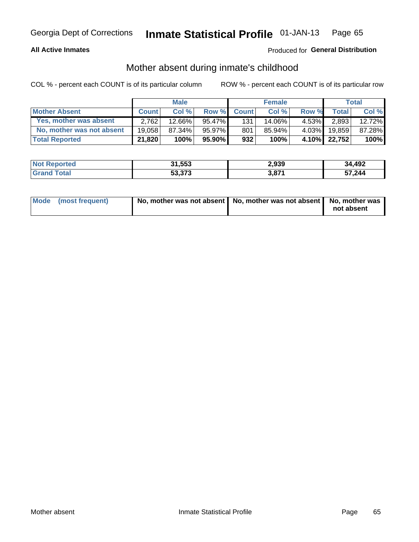## **All Active Inmates**

# Produced for General Distribution

# Mother absent during inmate's childhood

COL % - percent each COUNT is of its particular column

|                           | <b>Male</b>  |        |           | <b>Female</b> |        |          | <b>Total</b> |        |
|---------------------------|--------------|--------|-----------|---------------|--------|----------|--------------|--------|
| <b>Mother Absent</b>      | <b>Count</b> | Col%   | Row %     | <b>Count</b>  | Col %  | Row %    | <b>Total</b> | Col %  |
| Yes, mother was absent    | 2.762        | 12.66% | 95.47%l   | 131           | 14.06% | 4.53%I   | 2,893        | 12.72% |
| No, mother was not absent | 19.058       | 87.34% | 95.97%    | 801           | 85.94% | $4.03\%$ | 19.859       | 87.28% |
| <b>Total Reported</b>     | 21,820       | 100%   | $95.90\%$ | 932           | 100%   |          | 4.10% 22,752 | 100%   |

| <b>Not</b><br>Reported | 31,553 | 2,939                | 34,492 |
|------------------------|--------|----------------------|--------|
| ⊺ota                   | 53,373 | 074<br>э, о <i>г</i> | 57,244 |

| Mode (most frequent) | No, mother was not absent   No, mother was not absent   No, mother was | not absent |
|----------------------|------------------------------------------------------------------------|------------|
|----------------------|------------------------------------------------------------------------|------------|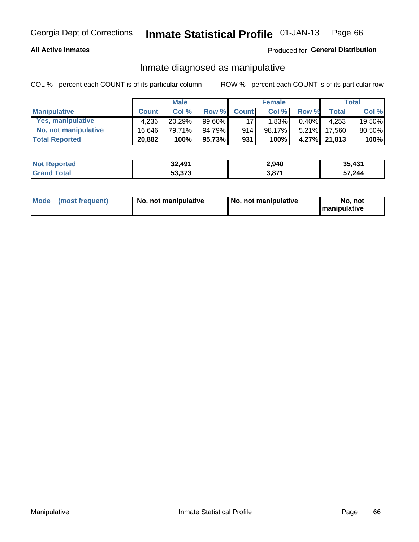# **All Active Inmates**

# Produced for General Distribution

# Inmate diagnosed as manipulative

COL % - percent each COUNT is of its particular column

|                       | <b>Male</b>  |        |        | <b>Female</b> |        |          | Total        |        |
|-----------------------|--------------|--------|--------|---------------|--------|----------|--------------|--------|
| <b>Manipulative</b>   | <b>Count</b> | Col %  | Row %  | <b>Count</b>  | Col%   | Row %    | <b>Total</b> | Col %  |
| Yes, manipulative     | 4.236        | 20.29% | 99.60% | 17            | 1.83%  | $0.40\%$ | 4.253        | 19.50% |
| No, not manipulative  | 16.646       | 79.71% | 94.79% | 914           | 98.17% | $5.21\%$ | 17.560       | 80.50% |
| <b>Total Reported</b> | 20,882       | 100%   | 95.73% | 931           | 100%   | $4.27\%$ | 21,813       | 100%   |

| <b>Not Reported</b>   | 32,491 | 2,940                | 35,431 |
|-----------------------|--------|----------------------|--------|
| <b>Grand</b><br>™otal | 53,373 | <b>2 074</b><br>3.01 | 57,244 |

|  | Mode (most frequent) | No, not manipulative | No, not manipulative | No. not<br><b>I</b> manipulative |
|--|----------------------|----------------------|----------------------|----------------------------------|
|--|----------------------|----------------------|----------------------|----------------------------------|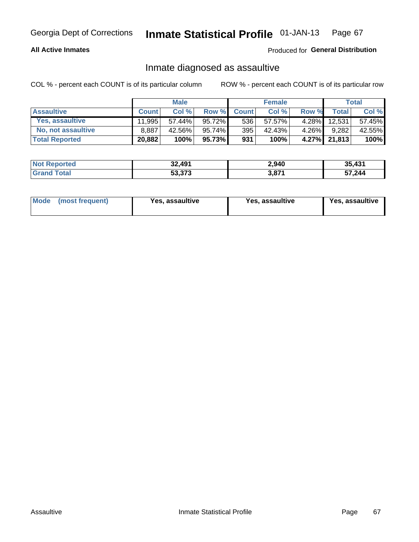# **All Active Inmates**

# Produced for General Distribution

# Inmate diagnosed as assaultive

COL % - percent each COUNT is of its particular column

|                       | <b>Male</b>  |           |        | <b>Female</b> |        |          | <b>Total</b> |        |
|-----------------------|--------------|-----------|--------|---------------|--------|----------|--------------|--------|
| <b>Assaultive</b>     | <b>Count</b> | Col %     | Row %  | <b>Count</b>  | Col %  | Row %    | Total        | Col %  |
| Yes, assaultive       | 11.995       | $57.44\%$ | 95.72% | 536           | 57.57% | $4.28\%$ | 12,531       | 57.45% |
| No, not assaultive    | 8,887        | 42.56%    | 95.74% | 395           | 42.43% | $4.26\%$ | 9,282        | 42.55% |
| <b>Total Reported</b> | 20,882       | 100%      | 95.73% | 931           | 100%   |          | 4.27% 21,813 | 100%   |

| <b>Not Reported</b> | 32,491 | 2,940             | 35,431 |
|---------------------|--------|-------------------|--------|
| <b>Srand Total</b>  | 53,373 | 3,87 <sup>4</sup> | 57,244 |

| Mode (most frequent)<br>Yes, assaultive | Yes, assaultive | <b>Yes, assaultive</b> |
|-----------------------------------------|-----------------|------------------------|
|-----------------------------------------|-----------------|------------------------|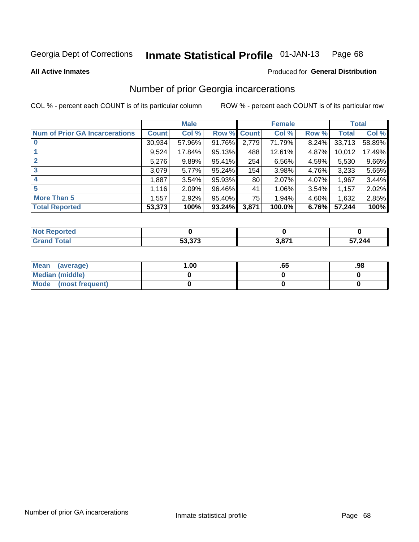### Inmate Statistical Profile 01-JAN-13 Page 68

**All Active Inmates** 

### Produced for General Distribution

# Number of prior Georgia incarcerations

COL % - percent each COUNT is of its particular column

|                                       |              | <b>Male</b> |             |       | <b>Female</b> |       |        | <b>Total</b> |
|---------------------------------------|--------------|-------------|-------------|-------|---------------|-------|--------|--------------|
| <b>Num of Prior GA Incarcerations</b> | <b>Count</b> | Col %       | Row % Count |       | Col %         | Row % | Total  | Col %        |
| $\bf{0}$                              | 30,934       | 57.96%      | 91.76%      | 2,779 | 71.79%        | 8.24% | 33,713 | 58.89%       |
|                                       | 9,524        | 17.84%      | 95.13%      | 488   | 12.61%        | 4.87% | 10,012 | 17.49%       |
| $\mathbf{2}$                          | 5,276        | 9.89%       | 95.41%      | 254   | 6.56%         | 4.59% | 5,530  | 9.66%        |
| 3                                     | 3,079        | 5.77%       | 95.24%      | 154   | 3.98%         | 4.76% | 3,233  | 5.65%        |
| 4                                     | 1,887        | 3.54%       | 95.93%      | 80    | 2.07%         | 4.07% | 1,967  | 3.44%        |
| 5                                     | 1,116        | 2.09%       | 96.46%      | 41    | 1.06%         | 3.54% | 1,157  | 2.02%        |
| <b>More Than 5</b>                    | 1,557        | 2.92%       | 95.40%      | 75    | 1.94%         | 4.60% | 1,632  | 2.85%        |
| <b>Total Reported</b>                 | 53,373       | 100%        | 93.24%      | 3,871 | 100.0%        | 6.76% | 57,244 | 100%         |

| <b>Not</b><br>Reported |        |                |        |
|------------------------|--------|----------------|--------|
| Total<br>Gra           | 53,373 | 2071<br>ו וס,כ | 57,244 |

| Mean (average)       | .00 | .oa | .98 |
|----------------------|-----|-----|-----|
| Median (middle)      |     |     |     |
| Mode (most frequent) |     |     |     |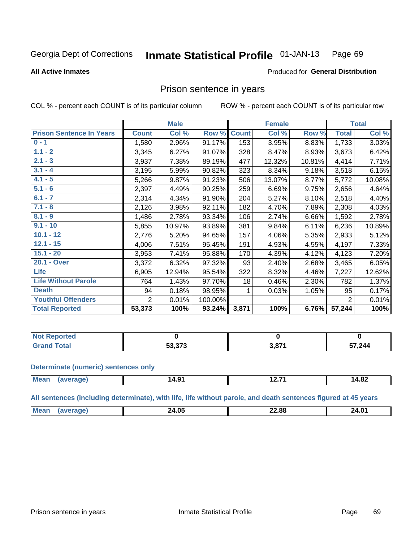#### **Inmate Statistical Profile 01-JAN-13** Page 69

### **All Active Inmates**

### Produced for General Distribution

# Prison sentence in years

COL % - percent each COUNT is of its particular column

ROW % - percent each COUNT is of its particular row

|                                 | <b>Male</b>  |        |         | <b>Female</b> |        |        | <b>Total</b>   |        |
|---------------------------------|--------------|--------|---------|---------------|--------|--------|----------------|--------|
| <b>Prison Sentence In Years</b> | <b>Count</b> | Col %  | Row %   | <b>Count</b>  | Col %  | Row %  | <b>Total</b>   | Col %  |
| $0 - 1$                         | 1,580        | 2.96%  | 91.17%  | 153           | 3.95%  | 8.83%  | 1,733          | 3.03%  |
| $1.1 - 2$                       | 3,345        | 6.27%  | 91.07%  | 328           | 8.47%  | 8.93%  | 3,673          | 6.42%  |
| $2.1 - 3$                       | 3,937        | 7.38%  | 89.19%  | 477           | 12.32% | 10.81% | 4,414          | 7.71%  |
| $3.1 - 4$                       | 3,195        | 5.99%  | 90.82%  | 323           | 8.34%  | 9.18%  | 3,518          | 6.15%  |
| $4.1 - 5$                       | 5,266        | 9.87%  | 91.23%  | 506           | 13.07% | 8.77%  | 5,772          | 10.08% |
| $5.1 - 6$                       | 2,397        | 4.49%  | 90.25%  | 259           | 6.69%  | 9.75%  | 2,656          | 4.64%  |
| $6.1 - 7$                       | 2,314        | 4.34%  | 91.90%  | 204           | 5.27%  | 8.10%  | 2,518          | 4.40%  |
| $7.1 - 8$                       | 2,126        | 3.98%  | 92.11%  | 182           | 4.70%  | 7.89%  | 2,308          | 4.03%  |
| $8.1 - 9$                       | 1,486        | 2.78%  | 93.34%  | 106           | 2.74%  | 6.66%  | 1,592          | 2.78%  |
| $9.1 - 10$                      | 5,855        | 10.97% | 93.89%  | 381           | 9.84%  | 6.11%  | 6,236          | 10.89% |
| $10.1 - 12$                     | 2,776        | 5.20%  | 94.65%  | 157           | 4.06%  | 5.35%  | 2,933          | 5.12%  |
| $12.1 - 15$                     | 4,006        | 7.51%  | 95.45%  | 191           | 4.93%  | 4.55%  | 4,197          | 7.33%  |
| $15.1 - 20$                     | 3,953        | 7.41%  | 95.88%  | 170           | 4.39%  | 4.12%  | 4,123          | 7.20%  |
| 20.1 - Over                     | 3,372        | 6.32%  | 97.32%  | 93            | 2.40%  | 2.68%  | 3,465          | 6.05%  |
| <b>Life</b>                     | 6,905        | 12.94% | 95.54%  | 322           | 8.32%  | 4.46%  | 7,227          | 12.62% |
| <b>Life Without Parole</b>      | 764          | 1.43%  | 97.70%  | 18            | 0.46%  | 2.30%  | 782            | 1.37%  |
| <b>Death</b>                    | 94           | 0.18%  | 98.95%  |               | 0.03%  | 1.05%  | 95             | 0.17%  |
| <b>Youthful Offenders</b>       | 2            | 0.01%  | 100.00% |               |        |        | $\overline{2}$ | 0.01%  |
| <b>Total Reported</b>           | 53,373       | 100%   | 93.24%  | 3,871         | 100%   | 6.76%  | 57,244         | 100%   |

| ported<br>I NOT |                           |     |        |  |
|-----------------|---------------------------|-----|--------|--|
| hat             | $F^{\alpha}$ $F^{\alpha}$ | 074 | 57,244 |  |

### **Determinate (numeric) sentences only**

| <b>Mes</b> | <b>тъ</b><br>14.91 | 14.82 |
|------------|--------------------|-------|
|            |                    |       |

All sentences (including determinate), with life, life without parole, and death sentences figured at 45 years

| Me | በር<br>.<br>____ | <br>___ | 24.01 |
|----|-----------------|---------|-------|
|    |                 |         |       |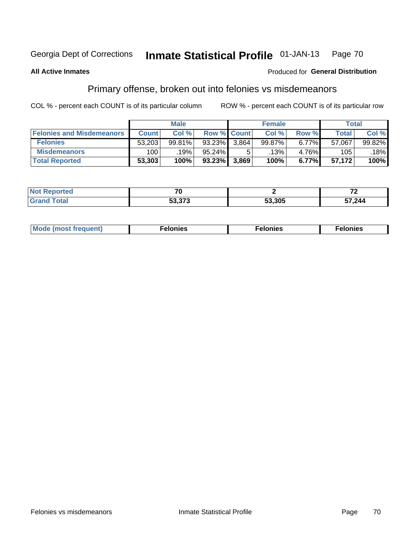#### Inmate Statistical Profile 01-JAN-13 Page 70

### **All Active Inmates**

### Produced for General Distribution

# Primary offense, broken out into felonies vs misdemeanors

COL % - percent each COUNT is of its particular column

|                                  | <b>Male</b>  |        |           | <b>Female</b>      |        |       | Total  |        |
|----------------------------------|--------------|--------|-----------|--------------------|--------|-------|--------|--------|
| <b>Felonies and Misdemeanors</b> | <b>Count</b> | Col%   |           | <b>Row % Count</b> | Col%   | Row % | Total, | Col %  |
| <b>Felonies</b>                  | 53,203       | 99.81% | $93.23\%$ | 3.864              | 99.87% | 6.77% | 57,067 | 99.82% |
| <b>Misdemeanors</b>              | 100          | 19%    | 95.24%    |                    | .13% ' | 4.76% | 105    | 18%    |
| <b>Total Reported</b>            | 53,303       | 100%   | $93.23\%$ | 3,869              | 100%   | 6.77% | 57.172 | 100%   |

| <b>Not Reported</b>    | $-$                      |        | -~     |
|------------------------|--------------------------|--------|--------|
| <b>∣Grand</b><br>Гоtal | .n n 70<br><u>53.373</u> | 53,305 | 57,244 |

| Mo | ____ | 11 C.S<br>. | onies<br>. |
|----|------|-------------|------------|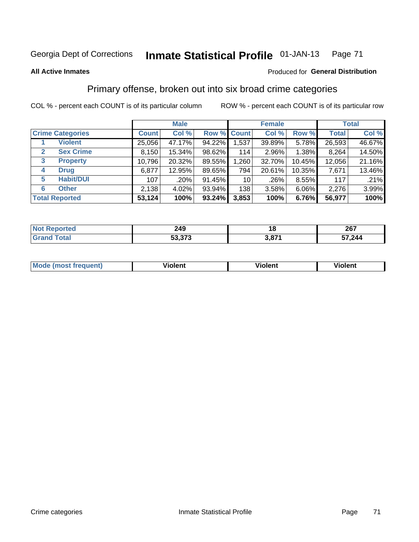# Georgia Dept of Corrections **Inmate Statistical Profile** 01-JAN-13 Page 71

### **All Active Inmates**

### Produced for **General Distribution**

# Primary offense, broken out into six broad crime categories

COL % - percent each COUNT is of its particular column ROW % - percent each COUNT is of its particular row

|                                 | <b>Male</b>  |        |           | <b>Female</b>      |          |          | <b>Total</b> |        |
|---------------------------------|--------------|--------|-----------|--------------------|----------|----------|--------------|--------|
| <b>Crime Categories</b>         | <b>Count</b> | Col %  |           | <b>Row % Count</b> | Col %    | Row %    | <b>Total</b> | Col %  |
| <b>Violent</b>                  | 25,056       | 47.17% | 94.22%    | 1,537              | 39.89%   | 5.78%    | 26,593       | 46.67% |
| <b>Sex Crime</b><br>2           | 8,150        | 15.34% | 98.62%    | 114                | $2.96\%$ | 1.38%    | 8,264        | 14.50% |
| $\mathbf{3}$<br><b>Property</b> | 10,796       | 20.32% | 89.55%    | 1,260              | 32.70%   | 10.45%   | 12,056       | 21.16% |
| <b>Drug</b><br>4                | 6,877        | 12.95% | 89.65%    | 794                | 20.61%   | 10.35%   | 7,671        | 13.46% |
| <b>Habit/DUI</b><br>5           | 107          | .20%   | 91.45%    | 10 <sup>1</sup>    | .26%     | 8.55%    | 117          | .21%   |
| <b>Other</b><br>6               | 2,138        | 4.02%  | 93.94%    | 138                | 3.58%    | $6.06\%$ | 2,276        | 3.99%  |
| <b>Total Reported</b>           | 53,124       | 100%   | $93.24\%$ | 3,853              | 100%     | 6.76%    | 56,977       | 100%   |

| τeα<br>NO | 249                             |     | 267<br>20 I |  |  |
|-----------|---------------------------------|-----|-------------|--|--|
|           | $\sim$<br>г^<br>ეა.ა <i>I</i> ა | 074 | 57,244      |  |  |

| Mo<br>uent)<br>nos | .<br>/iolent | <br>Violent | - --<br><b>Tiolent</b> |
|--------------------|--------------|-------------|------------------------|
|                    |              |             |                        |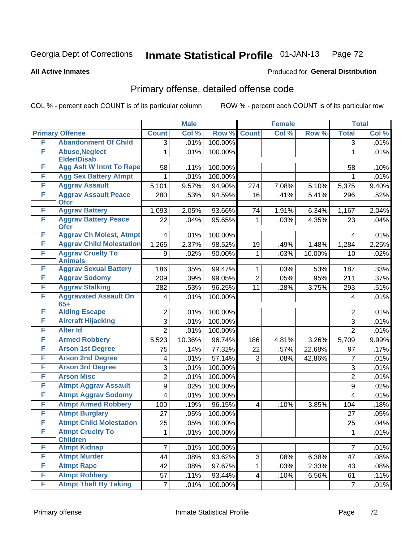# Georgia Dept of Corrections **Inmate Statistical Profile** 01-JAN-13 Page 72

Produced for **General Distribution**

### **All Active Inmates**

# Primary offense, detailed offense code

COL % - percent each COUNT is of its particular column ROW % - percent each COUNT is of its particular row

|   |                                             |                         | <b>Male</b> |         |                | <b>Female</b> |        |                  | <b>Total</b> |
|---|---------------------------------------------|-------------------------|-------------|---------|----------------|---------------|--------|------------------|--------------|
|   | <b>Primary Offense</b>                      | <b>Count</b>            | Col %       | Row %   | <b>Count</b>   | Col %         | Row %  | <b>Total</b>     | Col %        |
| F | <b>Abandonment Of Child</b>                 | $\overline{3}$          | .01%        | 100.00% |                |               |        | $\overline{3}$   | .01%         |
| F | <b>Abuse, Neglect</b><br><b>Elder/Disab</b> | 1                       | .01%        | 100.00% |                |               |        | 1                | .01%         |
| F | <b>Agg Aslt W Intnt To Rape</b>             | 58                      | .11%        | 100.00% |                |               |        | 58               | .10%         |
| F | <b>Agg Sex Battery Atmpt</b>                | 1                       | .01%        | 100.00% |                |               |        | 1                | .01%         |
| F | <b>Aggrav Assault</b>                       | 5,101                   | 9.57%       | 94.90%  | 274            | 7.08%         | 5.10%  | 5,375            | 9.40%        |
| F | <b>Aggrav Assault Peace</b><br><b>Ofcr</b>  | 280                     | .53%        | 94.59%  | 16             | .41%          | 5.41%  | 296              | .52%         |
| F | <b>Aggrav Battery</b>                       | 1,093                   | 2.05%       | 93.66%  | 74             | 1.91%         | 6.34%  | 1,167            | 2.04%        |
| F | <b>Aggrav Battery Peace</b><br><b>Ofcr</b>  | 22                      | .04%        | 95.65%  | $\mathbf{1}$   | .03%          | 4.35%  | 23               | .04%         |
| F | <b>Aggrav Ch Molest, Atmpt</b>              | 4                       | .01%        | 100.00% |                |               |        | 4                | .01%         |
| F | <b>Aggrav Child Molestation</b>             | 1,265                   | 2.37%       | 98.52%  | 19             | .49%          | 1.48%  | 1,284            | 2.25%        |
| F | <b>Aggrav Cruelty To</b><br><b>Animals</b>  | 9                       | .02%        | 90.00%  | $\mathbf{1}$   | .03%          | 10.00% | 10               | .02%         |
| F | <b>Aggrav Sexual Battery</b>                | 186                     | .35%        | 99.47%  | $\mathbf{1}$   | .03%          | .53%   | 187              | .33%         |
| F | <b>Aggrav Sodomy</b>                        | 209                     | .39%        | 99.05%  | $\overline{2}$ | .05%          | .95%   | $\overline{2}11$ | .37%         |
| F | <b>Aggrav Stalking</b>                      | 282                     | .53%        | 96.25%  | 11             | .28%          | 3.75%  | 293              | .51%         |
| F | <b>Aggravated Assault On</b><br>$65+$       | $\overline{\mathbf{4}}$ | .01%        | 100.00% |                |               |        | 4                | .01%         |
| F | <b>Aiding Escape</b>                        | $\overline{2}$          | .01%        | 100.00% |                |               |        | $\overline{2}$   | .01%         |
| F | <b>Aircraft Hijacking</b>                   | 3                       | .01%        | 100.00% |                |               |        | 3                | .01%         |
| F | <b>Alter Id</b>                             | $\overline{2}$          | .01%        | 100.00% |                |               |        | $\overline{2}$   | .01%         |
| F | <b>Armed Robbery</b>                        | 5,523                   | 10.36%      | 96.74%  | 186            | 4.81%         | 3.26%  | 5,709            | 9.99%        |
| F | <b>Arson 1st Degree</b>                     | 75                      | .14%        | 77.32%  | 22             | .57%          | 22.68% | 97               | .17%         |
| F | <b>Arson 2nd Degree</b>                     | 4                       | .01%        | 57.14%  | 3              | .08%          | 42.86% | 7                | .01%         |
| F | <b>Arson 3rd Degree</b>                     | 3                       | .01%        | 100.00% |                |               |        | 3                | .01%         |
| F | <b>Arson Misc</b>                           | $\overline{2}$          | .01%        | 100.00% |                |               |        | $\overline{2}$   | .01%         |
| F | <b>Atmpt Aggrav Assault</b>                 | 9                       | .02%        | 100.00% |                |               |        | $\boldsymbol{9}$ | .02%         |
| F | <b>Atmpt Aggrav Sodomy</b>                  | 4                       | .01%        | 100.00% |                |               |        | $\overline{4}$   | .01%         |
| F | <b>Atmpt Armed Robbery</b>                  | 100                     | .19%        | 96.15%  | $\overline{4}$ | .10%          | 3.85%  | 104              | .18%         |
| F | <b>Atmpt Burglary</b>                       | 27                      | .05%        | 100.00% |                |               |        | 27               | .05%         |
| F | <b>Atmpt Child Molestation</b>              | 25                      | .05%        | 100.00% |                |               |        | 25               | .04%         |
| F | <b>Atmpt Cruelty To</b><br><b>Children</b>  | 1                       | .01%        | 100.00% |                |               |        | 1                | .01%         |
| F | <b>Atmpt Kidnap</b>                         | $\overline{7}$          | .01%        | 100.00% |                |               |        | $\overline{7}$   | .01%         |
| F | <b>Atmpt Murder</b>                         | 44                      | .08%        | 93.62%  | 3              | .08%          | 6.38%  | 47               | .08%         |
| F | <b>Atmpt Rape</b>                           | 42                      | .08%        | 97.67%  | $\mathbf{1}$   | .03%          | 2.33%  | 43               | .08%         |
| F | <b>Atmpt Robbery</b>                        | 57                      | .11%        | 93.44%  | $\overline{4}$ | .10%          | 6.56%  | 61               | .11%         |
| F | <b>Atmpt Theft By Taking</b>                | $\overline{7}$          | .01%        | 100.00% |                |               |        | $\overline{7}$   | .01%         |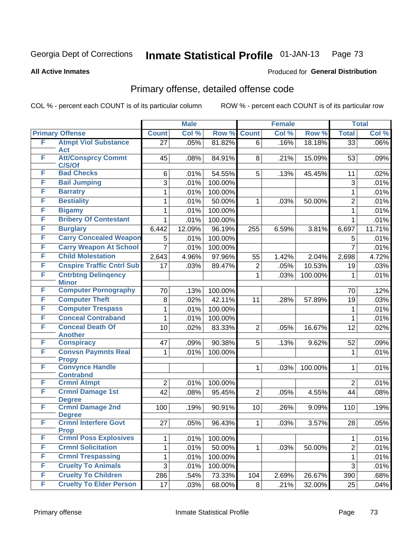#### **All Active Inmates**

# Produced for **General Distribution**

### Primary offense, detailed offense code

|   |                                             |                  | <b>Male</b> |         |                | <b>Female</b> |         |                | <b>Total</b> |
|---|---------------------------------------------|------------------|-------------|---------|----------------|---------------|---------|----------------|--------------|
|   | <b>Primary Offense</b>                      | <b>Count</b>     | Col %       | Row %   | <b>Count</b>   | Col %         | Row %   | <b>Total</b>   | Col %        |
| F | <b>Atmpt Viol Substance</b>                 | 27               | .05%        | 81.82%  | 6              | .16%          | 18.18%  | 33             | .06%         |
| F | <b>Act</b><br><b>Att/Consprcy Commt</b>     | 45               |             | 84.91%  | 8              | .21%          | 15.09%  |                | .09%         |
|   | C/S/Of                                      |                  | .08%        |         |                |               |         | 53             |              |
| F | <b>Bad Checks</b>                           | 6                | .01%        | 54.55%  | 5              | .13%          | 45.45%  | 11             | .02%         |
| F | <b>Bail Jumping</b>                         | 3                | .01%        | 100.00% |                |               |         | 3              | .01%         |
| F | <b>Barratry</b>                             | 1                | .01%        | 100.00% |                |               |         | $\mathbf{1}$   | .01%         |
| F | <b>Bestiality</b>                           | 1                | .01%        | 50.00%  | 1              | .03%          | 50.00%  | $\overline{2}$ | .01%         |
| F | <b>Bigamy</b>                               | 1                | .01%        | 100.00% |                |               |         | $\mathbf{1}$   | .01%         |
| F | <b>Bribery Of Contestant</b>                | 1                | .01%        | 100.00% |                |               |         | 1              | .01%         |
| F | <b>Burglary</b>                             | 6,442            | 12.09%      | 96.19%  | 255            | 6.59%         | 3.81%   | 6,697          | 11.71%       |
| F | <b>Carry Concealed Weapon</b>               | 5                | .01%        | 100.00% |                |               |         | 5              | .01%         |
| F | <b>Carry Weapon At School</b>               | $\overline{7}$   | .01%        | 100.00% |                |               |         | $\overline{7}$ | .01%         |
| F | <b>Child Molestation</b>                    | 2,643            | 4.96%       | 97.96%  | 55             | 1.42%         | 2.04%   | 2,698          | 4.72%        |
| F | <b>Cnspire Traffic Cntrl Sub</b>            | 17               | .03%        | 89.47%  | 2              | .05%          | 10.53%  | 19             | .03%         |
| F | <b>Cntrbtng Delingency</b>                  |                  |             |         | 1              | .03%          | 100.00% | 1              | .01%         |
| F | <b>Minor</b><br><b>Computer Pornography</b> |                  |             |         |                |               |         |                | .12%         |
| F | <b>Computer Theft</b>                       | 70               | .13%        | 100.00% |                |               |         | 70             |              |
| F | <b>Computer Trespass</b>                    | 8                | .02%        | 42.11%  | 11             | .28%          | 57.89%  | 19             | .03%         |
| F | <b>Conceal Contraband</b>                   | 1                | .01%        | 100.00% |                |               |         | 1              | .01%         |
| F | <b>Conceal Death Of</b>                     | 1                | .01%        | 100.00% |                |               |         | 1              | .01%         |
|   | <b>Another</b>                              | 10               | .02%        | 83.33%  | $\overline{2}$ | .05%          | 16.67%  | 12             | .02%         |
| F | <b>Conspiracy</b>                           | 47               | .09%        | 90.38%  | 5              | .13%          | 9.62%   | 52             | .09%         |
| F | <b>Convsn Paymnts Real</b>                  | 1                | .01%        | 100.00% |                |               |         | $\mathbf{1}$   | .01%         |
|   | <b>Propy</b>                                |                  |             |         |                |               |         |                |              |
| F | <b>Convynce Handle</b>                      |                  |             |         | $\mathbf{1}$   | .03%          | 100.00% | 1              | .01%         |
| F | <b>Contrabnd</b><br><b>Crmnl Atmpt</b>      | $\boldsymbol{2}$ | .01%        | 100.00% |                |               |         | $\overline{2}$ | .01%         |
| F | <b>Crmnl Damage 1st</b>                     | 42               | .08%        | 95.45%  | $\overline{2}$ | .05%          | 4.55%   | 44             | .08%         |
|   | <b>Degree</b>                               |                  |             |         |                |               |         |                |              |
| F | <b>Crmnl Damage 2nd</b><br><b>Degree</b>    | 100              | .19%        | 90.91%  | 10             | .26%          | 9.09%   | 110            | .19%         |
| F | <b>Crmnl Interfere Govt</b><br><b>Prop</b>  | 27               | .05%        | 96.43%  | $\mathbf{1}$   | .03%          | 3.57%   | 28             | .05%         |
| F | <b>Crmnl Poss Explosives</b>                | 1                | .01%        | 100.00% |                |               |         | 1              | .01%         |
| F | <b>Crmnl Solicitation</b>                   | $\mathbf 1$      | .01%        | 50.00%  | 1              | .03%          | 50.00%  | $\overline{2}$ | .01%         |
| F | <b>Crmnl Trespassing</b>                    | 1                | .01%        | 100.00% |                |               |         | 1              | .01%         |
| F | <b>Cruelty To Animals</b>                   | 3                | .01%        | 100.00% |                |               |         | 3              | .01%         |
| F | <b>Cruelty To Children</b>                  | 286              | .54%        | 73.33%  | 104            | 2.69%         | 26.67%  | 390            | .68%         |
| F | <b>Cruelty To Elder Person</b>              | 17               | .03%        | 68.00%  | 8 <sup>1</sup> | .21%          | 32.00%  | 25             | .04%         |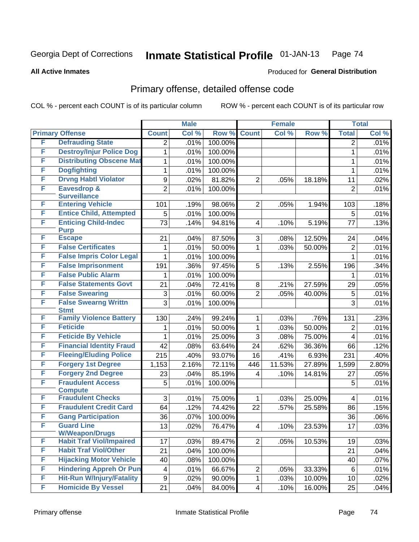Produced for **General Distribution**

#### **All Active Inmates**

### Primary offense, detailed offense code

|   |                                                           |                         | <b>Male</b> |         |                | <b>Female</b> |                |                 | <b>Total</b> |
|---|-----------------------------------------------------------|-------------------------|-------------|---------|----------------|---------------|----------------|-----------------|--------------|
|   | <b>Primary Offense</b>                                    | <b>Count</b>            | Col %       | Row %   | <b>Count</b>   | Col %         | Row %          | <b>Total</b>    | Col %        |
| F | <b>Defrauding State</b>                                   | 2                       | .01%        | 100.00% |                |               |                | 2               | .01%         |
| F | <b>Destroy/Injur Police Dog</b>                           | 1                       | .01%        | 100.00% |                |               |                | 1               | .01%         |
| F | <b>Distributing Obscene Mat</b>                           | 1                       | .01%        | 100.00% |                |               |                | 1               | .01%         |
| F | <b>Dogfighting</b>                                        | $\mathbf{1}$            | .01%        | 100.00% |                |               |                | 1               | .01%         |
| F | <b>Drvng Habtl Violator</b>                               | 9                       | .02%        | 81.82%  | $\overline{2}$ | .05%          | 18.18%         | 11              | .02%         |
| F | <b>Eavesdrop &amp;</b>                                    | $\overline{2}$          | .01%        | 100.00% |                |               |                | $\overline{2}$  | .01%         |
| F | <b>Surveillance</b>                                       |                         |             |         |                |               |                |                 |              |
| F | <b>Entering Vehicle</b><br><b>Entice Child, Attempted</b> | 101                     | .19%        | 98.06%  | $\overline{2}$ | .05%          | 1.94%          | 103             | .18%         |
| F |                                                           | 5                       | .01%        | 100.00% |                |               |                | 5               | .01%         |
|   | <b>Enticing Child-Indec</b><br><b>Purp</b>                | 73                      | .14%        | 94.81%  | 4              | .10%          | 5.19%          | 77              | .13%         |
| F | <b>Escape</b>                                             | 21                      | .04%        | 87.50%  | 3              | .08%          | 12.50%         | 24              | .04%         |
| F | <b>False Certificates</b>                                 | 1                       | .01%        | 50.00%  | 1              | .03%          | 50.00%         | $\overline{2}$  | .01%         |
| F | <b>False Impris Color Legal</b>                           | 1                       | .01%        | 100.00% |                |               |                | 1               | .01%         |
| F | <b>False Imprisonment</b>                                 | 191                     | .36%        | 97.45%  | 5              | .13%          | 2.55%          | 196             | .34%         |
| F | <b>False Public Alarm</b>                                 | 1                       | .01%        | 100.00% |                |               |                | 1               | .01%         |
| F | <b>False Statements Govt</b>                              | 21                      | .04%        | 72.41%  | 8              | .21%          | 27.59%         | 29              | .05%         |
| F | <b>False Swearing</b>                                     | 3                       | .01%        | 60.00%  | $\overline{2}$ | .05%          | 40.00%         | 5               | .01%         |
| F | <b>False Swearng Writtn</b>                               | 3                       | .01%        | 100.00% |                |               |                | 3               | .01%         |
| F | <b>Stmt</b><br><b>Family Violence Battery</b>             |                         |             |         |                |               |                |                 |              |
| F | <b>Feticide</b>                                           | 130                     | .24%        | 99.24%  | 1              | .03%          | .76%<br>50.00% | 131             | .23%         |
| F | <b>Feticide By Vehicle</b>                                | 1                       | .01%        | 50.00%  | 1              | .03%          |                | $\overline{2}$  | .01%         |
| F | <b>Financial Identity Fraud</b>                           | 1                       | .01%        | 25.00%  | $\overline{3}$ | .08%          | 75.00%         | 4               | .01%         |
| F | <b>Fleeing/Eluding Police</b>                             | 42                      | .08%        | 63.64%  | 24             | .62%          | 36.36%         | 66              | .12%         |
| F |                                                           | 215                     | .40%        | 93.07%  | 16             | .41%          | 6.93%          | 231             | .40%         |
| F | <b>Forgery 1st Degree</b>                                 | 1,153                   | 2.16%       | 72.11%  | 446            | 11.53%        | 27.89%         | 1,599           | 2.80%        |
|   | <b>Forgery 2nd Degree</b>                                 | 23                      | .04%        | 85.19%  | 4              | .10%          | 14.81%         | 27              | .05%         |
| F | <b>Fraudulent Access</b><br><b>Compute</b>                | 5                       | .01%        | 100.00% |                |               |                | 5               | .01%         |
| F | <b>Fraudulent Checks</b>                                  | 3                       | .01%        | 75.00%  | $\mathbf 1$    | .03%          | 25.00%         | $\overline{4}$  | .01%         |
| F | <b>Fraudulent Credit Card</b>                             | 64                      | .12%        | 74.42%  | 22             | .57%          | 25.58%         | 86              | .15%         |
| F | <b>Gang Participation</b>                                 | 36                      | .07%        | 100.00% |                |               |                | 36              | .06%         |
| F | <b>Guard Line</b>                                         | 13                      | .02%        | 76.47%  | 4              | .10%          | 23.53%         | $\overline{17}$ | .03%         |
|   | <b>W/Weapon/Drugs</b>                                     |                         |             |         |                |               |                |                 |              |
| F | <b>Habit Traf Viol/Impaired</b>                           | 17                      | .03%        | 89.47%  | $\overline{2}$ | .05%          | 10.53%         | 19              | .03%         |
| F | <b>Habit Traf Viol/Other</b>                              | 21                      | .04%        | 100.00% |                |               |                | 21              | .04%         |
| F | <b>Hijacking Motor Vehicle</b>                            | 40                      | .08%        | 100.00% |                |               |                | 40              | .07%         |
| F | <b>Hindering Appreh Or Pun</b>                            | $\overline{\mathbf{4}}$ | .01%        | 66.67%  | $\overline{c}$ | .05%          | 33.33%         | 6               | .01%         |
| F | <b>Hit-Run W/Injury/Fatality</b>                          | $\boldsymbol{9}$        | .02%        | 90.00%  | $\mathbf{1}$   | .03%          | 10.00%         | 10              | .02%         |
| F | <b>Homicide By Vessel</b>                                 | 21                      | .04%        | 84.00%  | 4              | .10%          | 16.00%         | 25              | .04%         |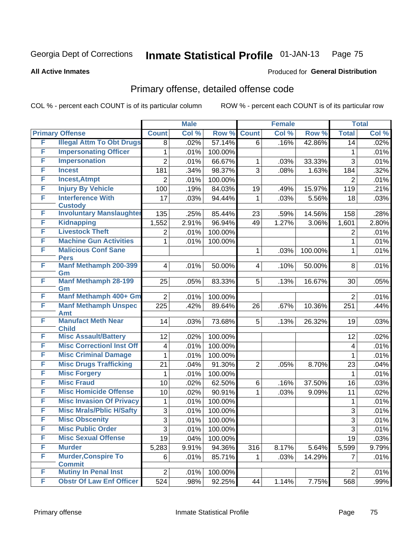**All Active Inmates**

#### Produced for **General Distribution**

### Primary offense, detailed offense code

|   |                                                   |                         | <b>Male</b> |         |                | <b>Female</b> |         |                | <b>Total</b> |
|---|---------------------------------------------------|-------------------------|-------------|---------|----------------|---------------|---------|----------------|--------------|
|   | <b>Primary Offense</b>                            | <b>Count</b>            | Col %       | Row %   | <b>Count</b>   | Col %         | Row %   | <b>Total</b>   | Col %        |
| F | <b>Illegal Attm To Obt Drugs</b>                  | 8                       | .02%        | 57.14%  | 6              | .16%          | 42.86%  | 14             | .02%         |
| F | <b>Impersonating Officer</b>                      | 1                       | .01%        | 100.00% |                |               |         | 1              | .01%         |
| F | <b>Impersonation</b>                              | $\overline{2}$          | .01%        | 66.67%  | 1              | .03%          | 33.33%  | $\overline{3}$ | .01%         |
| F | <b>Incest</b>                                     | 181                     | .34%        | 98.37%  | $\overline{3}$ | .08%          | 1.63%   | 184            | .32%         |
| F | <b>Incest, Atmpt</b>                              | $\overline{2}$          | .01%        | 100.00% |                |               |         | $\overline{2}$ | .01%         |
| F | <b>Injury By Vehicle</b>                          | 100                     | .19%        | 84.03%  | 19             | .49%          | 15.97%  | 119            | .21%         |
| F | <b>Interference With</b>                          | 17                      | .03%        | 94.44%  | 1              | .03%          | 5.56%   | 18             | .03%         |
| F | <b>Custody</b><br><b>Involuntary Manslaughter</b> | 135                     | .25%        | 85.44%  | 23             | .59%          | 14.56%  | 158            | .28%         |
| F | <b>Kidnapping</b>                                 | 1,552                   | 2.91%       | 96.94%  | 49             | 1.27%         | 3.06%   | 1,601          | 2.80%        |
| F | <b>Livestock Theft</b>                            | 2                       | .01%        | 100.00% |                |               |         | 2              | .01%         |
| F | <b>Machine Gun Activities</b>                     | 1                       | .01%        | 100.00% |                |               |         | 1              | .01%         |
| F | <b>Malicious Conf Sane</b>                        |                         |             |         | 1              | .03%          | 100.00% | 1              | .01%         |
|   | <b>Pers</b>                                       |                         |             |         |                |               |         |                |              |
| F | <b>Manf Methamph 200-399</b>                      | $\overline{\mathbf{4}}$ | .01%        | 50.00%  | 4              | .10%          | 50.00%  | 8              | .01%         |
|   | Gm                                                |                         |             |         |                |               |         |                |              |
| F | <b>Manf Methamph 28-199</b><br>Gm                 | 25                      | .05%        | 83.33%  | 5              | .13%          | 16.67%  | 30             | .05%         |
| F | Manf Methamph 400+ Gm                             | $\overline{2}$          | .01%        | 100.00% |                |               |         | $\overline{2}$ | .01%         |
| F | <b>Manf Methamph Unspec</b>                       | 225                     | .42%        | 89.64%  | 26             | .67%          | 10.36%  | 251            | .44%         |
|   | <b>Amt</b>                                        |                         |             |         |                |               |         |                |              |
| F | <b>Manufact Meth Near</b><br><b>Child</b>         | 14                      | .03%        | 73.68%  | 5              | .13%          | 26.32%  | 19             | .03%         |
| F | <b>Misc Assault/Battery</b>                       | 12                      | .02%        | 100.00% |                |               |         | 12             | .02%         |
| F | <b>Misc CorrectionI Inst Off</b>                  | 4                       | .01%        | 100.00% |                |               |         | 4              | .01%         |
| F | <b>Misc Criminal Damage</b>                       | 1                       | .01%        | 100.00% |                |               |         | 1              | .01%         |
| F | <b>Misc Drugs Trafficking</b>                     | 21                      | .04%        | 91.30%  | $\overline{2}$ | .05%          | 8.70%   | 23             | .04%         |
| F | <b>Misc Forgery</b>                               | 1                       | .01%        | 100.00% |                |               |         | 1              | .01%         |
| F | <b>Misc Fraud</b>                                 | 10                      | .02%        | 62.50%  | 6              | .16%          | 37.50%  | 16             | .03%         |
| F | <b>Misc Homicide Offense</b>                      | 10                      | .02%        | 90.91%  | 1              | .03%          | 9.09%   | 11             | .02%         |
| F | <b>Misc Invasion Of Privacy</b>                   | 1                       | .01%        | 100.00% |                |               |         | 1              | .01%         |
| F | <b>Misc Mrals/Pblic H/Safty</b>                   | 3                       | .01%        | 100.00% |                |               |         | 3              | .01%         |
| F | <b>Misc Obscenity</b>                             | $\overline{3}$          | .01%        | 100.00% |                |               |         | $\overline{3}$ | .01%         |
| F | <b>Misc Public Order</b>                          | 3                       | .01%        | 100.00% |                |               |         | 3              | .01%         |
| F | <b>Misc Sexual Offense</b>                        | 19                      | .04%        | 100.00% |                |               |         | 19             | .03%         |
| F | <b>Murder</b>                                     | 5,283                   | 9.91%       | 94.36%  | 316            | 8.17%         | 5.64%   | 5,599          | 9.79%        |
| F | <b>Murder, Conspire To</b>                        | 6                       | .01%        | 85.71%  | 1              | .03%          | 14.29%  | 7              | .01%         |
| F | <b>Commit</b>                                     |                         |             |         |                |               |         |                |              |
|   | <b>Mutiny In Penal Inst</b>                       | $\overline{2}$          | .01%        | 100.00% |                |               |         | $\overline{2}$ | .01%         |
| F | <b>Obstr Of Law Enf Officer</b>                   | 524                     | .98%        | 92.25%  | 44             | 1.14%         | 7.75%   | 568            | .99%         |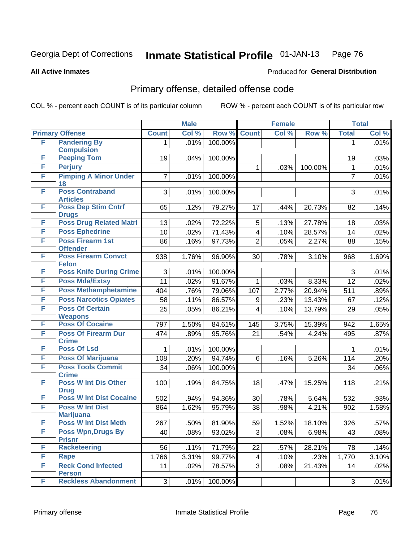#### **All Active Inmates**

### Produced for **General Distribution**

### Primary offense, detailed offense code

|   |                                                 |              | <b>Male</b> |         |                | <b>Female</b> |         |                | <b>Total</b> |
|---|-------------------------------------------------|--------------|-------------|---------|----------------|---------------|---------|----------------|--------------|
|   | <b>Primary Offense</b>                          | <b>Count</b> | Col %       | Row %   | <b>Count</b>   | Col %         | Row %   | <b>Total</b>   | Col %        |
| F | <b>Pandering By</b>                             | 1            | .01%        | 100.00% |                |               |         | 1              | .01%         |
|   | <b>Compulsion</b>                               |              |             |         |                |               |         |                |              |
| F | <b>Peeping Tom</b>                              | 19           | .04%        | 100.00% |                |               |         | 19             | .03%         |
| F | <b>Perjury</b>                                  |              |             |         | 1              | .03%          | 100.00% | $\mathbf{1}$   | .01%         |
| F | <b>Pimping A Minor Under</b><br>18              | 7            | .01%        | 100.00% |                |               |         | $\overline{7}$ | .01%         |
| F | <b>Poss Contraband</b>                          | 3            | .01%        | 100.00% |                |               |         | 3              | .01%         |
|   | <b>Articles</b>                                 |              |             |         |                |               |         |                |              |
| F | <b>Poss Dep Stim Cntrf</b>                      | 65           | .12%        | 79.27%  | 17             | .44%          | 20.73%  | 82             | .14%         |
| F | <b>Drugs</b><br><b>Poss Drug Related Matri</b>  | 13           | .02%        | 72.22%  |                |               | 27.78%  | 18             | .03%         |
| F | <b>Poss Ephedrine</b>                           |              |             |         | 5              | .13%          |         |                |              |
| F | <b>Poss Firearm 1st</b>                         | 10           | .02%        | 71.43%  | 4              | .10%          | 28.57%  | 14             | .02%         |
|   | <b>Offender</b>                                 | 86           | .16%        | 97.73%  | $\overline{2}$ | .05%          | 2.27%   | 88             | .15%         |
| F | <b>Poss Firearm Convct</b>                      | 938          | 1.76%       | 96.90%  | 30             | .78%          | 3.10%   | 968            | 1.69%        |
|   | <b>Felon</b>                                    |              |             |         |                |               |         |                |              |
| F | <b>Poss Knife During Crime</b>                  | 3            | .01%        | 100.00% |                |               |         | 3              | .01%         |
| F | <b>Poss Mda/Extsy</b>                           | 11           | .02%        | 91.67%  | 1              | .03%          | 8.33%   | 12             | .02%         |
| F | <b>Poss Methamphetamine</b>                     | 404          | .76%        | 79.06%  | 107            | 2.77%         | 20.94%  | 511            | .89%         |
| F | <b>Poss Narcotics Opiates</b>                   | 58           | .11%        | 86.57%  | 9              | .23%          | 13.43%  | 67             | .12%         |
| F | <b>Poss Of Certain</b>                          | 25           | .05%        | 86.21%  | 4              | .10%          | 13.79%  | 29             | .05%         |
|   | <b>Weapons</b>                                  |              |             |         |                |               |         |                |              |
| F | <b>Poss Of Cocaine</b>                          | 797          | 1.50%       | 84.61%  | 145            | 3.75%         | 15.39%  | 942            | 1.65%        |
| F | <b>Poss Of Firearm Dur</b><br><b>Crime</b>      | 474          | .89%        | 95.76%  | 21             | .54%          | 4.24%   | 495            | .87%         |
| F | <b>Poss Of Lsd</b>                              | 1            | .01%        | 100.00% |                |               |         | 1              | .01%         |
| F | <b>Poss Of Marijuana</b>                        | 108          | .20%        | 94.74%  | 6              | .16%          | 5.26%   | 114            | .20%         |
| F | <b>Poss Tools Commit</b>                        | 34           | .06%        | 100.00% |                |               |         | 34             | .06%         |
|   | <b>Crime</b>                                    |              |             |         |                |               |         |                |              |
| F | <b>Poss W Int Dis Other</b>                     | 100          | .19%        | 84.75%  | 18             | .47%          | 15.25%  | 118            | .21%         |
|   | <b>Drug</b>                                     |              |             |         |                |               |         |                |              |
| F | <b>Poss W Int Dist Cocaine</b>                  | 502          | .94%        | 94.36%  | 30             | .78%          | 5.64%   | 532            | .93%         |
| F | <b>Poss W Int Dist</b>                          | 864          | 1.62%       | 95.79%  | 38             | .98%          | 4.21%   | 902            | 1.58%        |
| F | <b>Marijuana</b><br><b>Poss W Int Dist Meth</b> | 267          | .50%        | 81.90%  | 59             | 1.52%         | 18.10%  | 326            | .57%         |
| F | <b>Poss Wpn, Drugs By</b>                       | 40           | .08%        | 93.02%  | 3              | .08%          | 6.98%   | 43             | .08%         |
|   | <b>Prisnr</b>                                   |              |             |         |                |               |         |                |              |
| F | Racketeering                                    | 56           | .11%        | 71.79%  | 22             | .57%          | 28.21%  | 78             | .14%         |
| F | Rape                                            | 1,766        | 3.31%       | 99.77%  | 4              | .10%          | .23%    | 1,770          | 3.10%        |
| F | <b>Reck Cond Infected</b>                       | 11           | .02%        | 78.57%  | 3 <sup>1</sup> | .08%          | 21.43%  | 14             | .02%         |
|   | <b>Person</b>                                   |              |             |         |                |               |         |                |              |
| F | <b>Reckless Abandonment</b>                     | 3            | .01%        | 100.00% |                |               |         | 3              | $.01\%$      |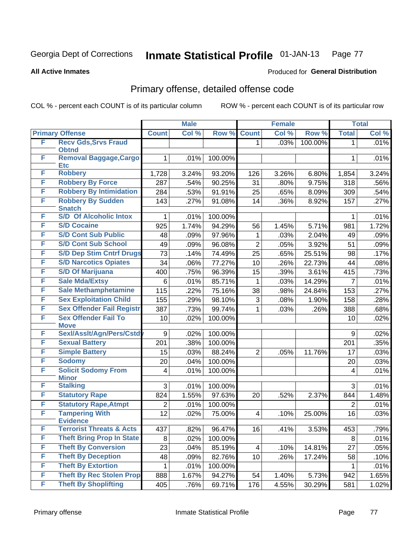#### **All Active Inmates**

### Produced for **General Distribution**

### Primary offense, detailed offense code

|   |                                            |                | <b>Male</b> |         |                | <b>Female</b> |         |                | <b>Total</b> |
|---|--------------------------------------------|----------------|-------------|---------|----------------|---------------|---------|----------------|--------------|
|   | <b>Primary Offense</b>                     | <b>Count</b>   | Col %       | Row %   | <b>Count</b>   | Col %         | Row %   | <b>Total</b>   | Col %        |
| F | <b>Recv Gds, Srvs Fraud</b>                |                |             |         | 1              | .03%          | 100.00% | 1              | .01%         |
|   | <b>Obtnd</b>                               |                |             |         |                |               |         |                |              |
| F | Removal Baggage, Cargo<br><b>Etc</b>       | 1              | .01%        | 100.00% |                |               |         | 1              | .01%         |
| F | <b>Robbery</b>                             | 1,728          | 3.24%       | 93.20%  | 126            | 3.26%         | 6.80%   | 1,854          | 3.24%        |
| F | <b>Robbery By Force</b>                    | 287            | .54%        | 90.25%  | 31             | .80%          | 9.75%   | 318            | .56%         |
| F | <b>Robbery By Intimidation</b>             | 284            | .53%        | 91.91%  | 25             | .65%          | 8.09%   | 309            | .54%         |
| F | <b>Robbery By Sudden</b>                   | 143            | .27%        | 91.08%  | 14             | .36%          | 8.92%   | 157            | .27%         |
|   | <b>Snatch</b>                              |                |             |         |                |               |         |                |              |
| F | <b>S/D Of Alcoholic Intox</b>              | 1              | .01%        | 100.00% |                |               |         | 1              | .01%         |
| F | <b>S/D Cocaine</b>                         | 925            | 1.74%       | 94.29%  | 56             | 1.45%         | 5.71%   | 981            | 1.72%        |
| F | <b>S/D Cont Sub Public</b>                 | 48             | .09%        | 97.96%  | 1              | .03%          | 2.04%   | 49             | .09%         |
| F | <b>S/D Cont Sub School</b>                 | 49             | .09%        | 96.08%  | $\overline{2}$ | .05%          | 3.92%   | 51             | .09%         |
| F | <b>S/D Dep Stim Cntrf Drugs</b>            | 73             | .14%        | 74.49%  | 25             | .65%          | 25.51%  | 98             | .17%         |
| F | <b>S/D Narcotics Opiates</b>               | 34             | .06%        | 77.27%  | 10             | .26%          | 22.73%  | 44             | .08%         |
| F | <b>S/D Of Marijuana</b>                    | 400            | .75%        | 96.39%  | 15             | .39%          | 3.61%   | 415            | .73%         |
| F | <b>Sale Mda/Extsy</b>                      | 6              | .01%        | 85.71%  | 1              | .03%          | 14.29%  | $\overline{7}$ | .01%         |
| F | <b>Sale Methamphetamine</b>                | 115            | .22%        | 75.16%  | 38             | .98%          | 24.84%  | 153            | .27%         |
| F | <b>Sex Exploitation Child</b>              | 155            | .29%        | 98.10%  | 3              | .08%          | 1.90%   | 158            | .28%         |
| F | <b>Sex Offender Fail Registr</b>           | 387            | .73%        | 99.74%  | 1              | .03%          | .26%    | 388            | .68%         |
| F | <b>Sex Offender Fail To</b>                | 10             | .02%        | 100.00% |                |               |         | 10             | .02%         |
|   | <b>Move</b>                                |                |             |         |                |               |         |                |              |
| F | Sexl/Asslt/Agn/Pers/Cstd                   | 9              | .02%        | 100.00% |                |               |         | 9              | .02%         |
| F | <b>Sexual Battery</b>                      | 201            | .38%        | 100.00% |                |               |         | 201            | .35%         |
| F | <b>Simple Battery</b>                      | 15             | .03%        | 88.24%  | $\overline{2}$ | .05%          | 11.76%  | 17             | .03%         |
| F | <b>Sodomy</b>                              | 20             | .04%        | 100.00% |                |               |         | 20             | .03%         |
| F | <b>Solicit Sodomy From</b><br><b>Minor</b> | 4              | .01%        | 100.00% |                |               |         | 4              | .01%         |
| F | <b>Stalking</b>                            | 3              | .01%        | 100.00% |                |               |         | 3              | .01%         |
| F | <b>Statutory Rape</b>                      | 824            | 1.55%       | 97.63%  | 20             | .52%          | 2.37%   | 844            | 1.48%        |
| F | <b>Statutory Rape, Atmpt</b>               | $\overline{2}$ | .01%        | 100.00% |                |               |         | $\overline{2}$ | .01%         |
| F | <b>Tampering With</b>                      | 12             | .02%        | 75.00%  | 4              | .10%          | 25.00%  | 16             | .03%         |
|   | <b>Evidence</b>                            |                |             |         |                |               |         |                |              |
| F | <b>Terrorist Threats &amp; Acts</b>        | 437            | .82%        | 96.47%  | 16             | .41%          | 3.53%   | 453            | .79%         |
| F | <b>Theft Bring Prop In State</b>           | 8              | .02%        | 100.00% |                |               |         | 8              | .01%         |
| F | <b>Theft By Conversion</b>                 | 23             | .04%        | 85.19%  | 4              | .10%          | 14.81%  | 27             | .05%         |
| F | <b>Theft By Deception</b>                  | 48             | .09%        | 82.76%  | 10             | .26%          | 17.24%  | 58             | .10%         |
| F | <b>Theft By Extortion</b>                  | 1              | .01%        | 100.00% |                |               |         | 1              | .01%         |
| F | <b>Theft By Rec Stolen Prop</b>            | 888            | 1.67%       | 94.27%  | 54             | 1.40%         | 5.73%   | 942            | 1.65%        |
| F | <b>Theft By Shoplifting</b>                | 405            | .76%        | 69.71%  | 176            | 4.55%         | 30.29%  | 581            | 1.02%        |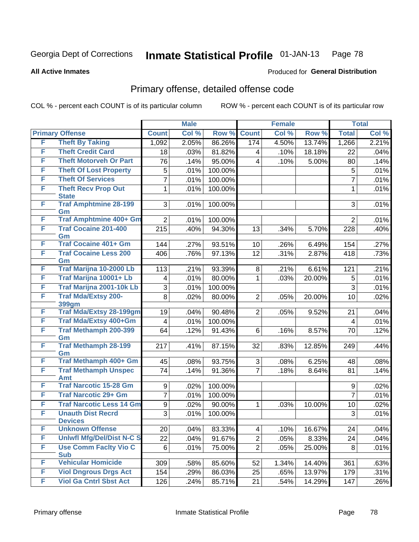Produced for **General Distribution**

#### **All Active Inmates**

# Primary offense, detailed offense code

|   |                                            |                  | <b>Male</b> |         |                | <b>Female</b> |        |                | <b>Total</b> |
|---|--------------------------------------------|------------------|-------------|---------|----------------|---------------|--------|----------------|--------------|
|   | <b>Primary Offense</b>                     | <b>Count</b>     | Col %       | Row %   | <b>Count</b>   | Col %         | Row %  | <b>Total</b>   | Col %        |
| F | <b>Theft By Taking</b>                     | 1,092            | 2.05%       | 86.26%  | 174            | 4.50%         | 13.74% | 1,266          | 2.21%        |
| F | <b>Theft Credit Card</b>                   | 18               | .03%        | 81.82%  | 4              | .10%          | 18.18% | 22             | .04%         |
| F | <b>Theft Motorveh Or Part</b>              | 76               | .14%        | 95.00%  | 4              | .10%          | 5.00%  | 80             | .14%         |
| F | <b>Theft Of Lost Property</b>              | 5                | .01%        | 100.00% |                |               |        | 5              | .01%         |
| F | <b>Theft Of Services</b>                   | 7                | .01%        | 100.00% |                |               |        | $\overline{7}$ | .01%         |
| F | <b>Theft Recv Prop Out</b><br><b>State</b> | 1                | .01%        | 100.00% |                |               |        | 1              | .01%         |
| F | <b>Traf Amphtmine 28-199</b><br>Gm         | 3                | .01%        | 100.00% |                |               |        | 3              | .01%         |
| F | <b>Traf Amphtmine 400+ Gm</b>              | $\overline{2}$   | .01%        | 100.00% |                |               |        | $\overline{2}$ | .01%         |
| F | <b>Traf Cocaine 201-400</b><br>Gm          | 215              | .40%        | 94.30%  | 13             | .34%          | 5.70%  | 228            | .40%         |
| F | <b>Traf Cocaine 401+ Gm</b>                | 144              | .27%        | 93.51%  | 10             | .26%          | 6.49%  | 154            | .27%         |
| F | <b>Traf Cocaine Less 200</b><br>Gm         | 406              | .76%        | 97.13%  | 12             | .31%          | 2.87%  | 418            | .73%         |
| F | Traf Marijna 10-2000 Lb                    | 113              | .21%        | 93.39%  | 8              | .21%          | 6.61%  | 121            | .21%         |
| F | Traf Marijna 10001+ Lb                     | 4                | .01%        | 80.00%  | 1              | .03%          | 20.00% | 5              | .01%         |
| F | Traf Marijna 2001-10k Lb                   | 3                | .01%        | 100.00% |                |               |        | 3              | .01%         |
| F | <b>Traf Mda/Extsy 200-</b><br>399gm        | 8                | .02%        | 80.00%  | $\overline{2}$ | .05%          | 20.00% | 10             | .02%         |
| F | <b>Traf Mda/Extsy 28-199gm</b>             | 19               | .04%        | 90.48%  | $\overline{2}$ | .05%          | 9.52%  | 21             | .04%         |
| F | Traf Mda/Extsy 400+Gm                      | $\overline{4}$   | .01%        | 100.00% |                |               |        | 4              | .01%         |
| F | <b>Traf Methamph 200-399</b><br>Gm         | 64               | .12%        | 91.43%  | 6              | .16%          | 8.57%  | 70             | .12%         |
| F | <b>Traf Methamph 28-199</b><br>Gm          | 217              | .41%        | 87.15%  | 32             | .83%          | 12.85% | 249            | .44%         |
| F | Traf Methamph 400+ Gm                      | 45               | .08%        | 93.75%  | 3              | .08%          | 6.25%  | 48             | .08%         |
| F | <b>Traf Methamph Unspec</b><br>Amt         | 74               | .14%        | 91.36%  | $\overline{7}$ | .18%          | 8.64%  | 81             | .14%         |
| F | <b>Traf Narcotic 15-28 Gm</b>              | 9                | .02%        | 100.00% |                |               |        | 9              | .02%         |
| F | <b>Traf Narcotic 29+ Gm</b>                | 7                | .01%        | 100.00% |                |               |        | $\overline{7}$ | .01%         |
| F | <b>Traf Narcotic Less 14 Gm</b>            | $\boldsymbol{9}$ | .02%        | 90.00%  | 1              | .03%          | 10.00% | 10             | .02%         |
| F | <b>Unauth Dist Recrd</b><br><b>Devices</b> | 3                | .01%        | 100.00% |                |               |        | 3              | .01%         |
| F | <b>Unknown Offense</b>                     | 20               | .04%        | 83.33%  | 4              | .10%          | 16.67% | 24             | .04%         |
| F | <b>Uniwfl Mfg/Del/Dist N-C S</b>           | 22               | .04%        | 91.67%  | $\overline{2}$ | .05%          | 8.33%  | 24             | .04%         |
| F | <b>Use Comm Facity Vio C</b><br><b>Sub</b> | 6                | .01%        | 75.00%  | $\overline{2}$ | .05%          | 25.00% | 8              | .01%         |
| F | <b>Vehicular Homicide</b>                  | 309              | .58%        | 85.60%  | 52             | 1.34%         | 14.40% | 361            | .63%         |
| F | <b>Viol Dngrous Drgs Act</b>               | 154              | .29%        | 86.03%  | 25             | .65%          | 13.97% | 179            | .31%         |
| F | <b>Viol Ga Cntrl Sbst Act</b>              | 126              | .24%        | 85.71%  | 21             | .54%          | 14.29% | 147            | .26%         |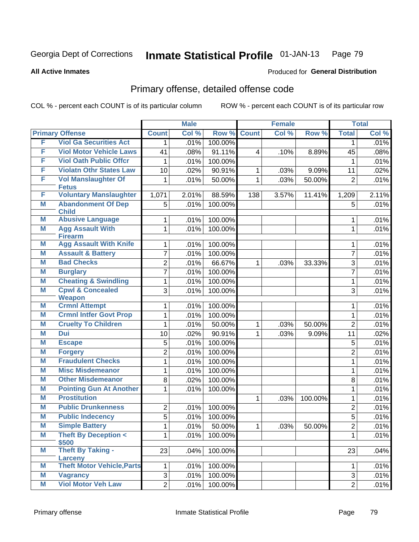#### **All Active Inmates**

### Produced for **General Distribution**

### Primary offense, detailed offense code

|   |                                           |                | <b>Male</b> |         |              | <b>Female</b> |         |                | <b>Total</b> |
|---|-------------------------------------------|----------------|-------------|---------|--------------|---------------|---------|----------------|--------------|
|   | <b>Primary Offense</b>                    | <b>Count</b>   | Col %       | Row %   | <b>Count</b> | Col %         | Row %   | <b>Total</b>   | Col %        |
| F | <b>Viol Ga Securities Act</b>             | 1.             | .01%        | 100.00% |              |               |         | 1              | .01%         |
| F | <b>Viol Motor Vehicle Laws</b>            | 41             | .08%        | 91.11%  | 4            | .10%          | 8.89%   | 45             | .08%         |
| F | <b>Viol Oath Public Offcr</b>             | 1              | .01%        | 100.00% |              |               |         | 1              | .01%         |
| F | <b>Violatn Othr States Law</b>            | 10             | .02%        | 90.91%  | $\mathbf 1$  | .03%          | 9.09%   | 11             | .02%         |
| F | <b>Vol Manslaughter Of</b>                | 1              | .01%        | 50.00%  | 1            | .03%          | 50.00%  | $\overline{2}$ | .01%         |
|   | <b>Fetus</b>                              |                |             |         |              |               |         |                |              |
| F | <b>Voluntary Manslaughter</b>             | 1,071          | 2.01%       | 88.59%  | 138          | 3.57%         | 11.41%  | 1,209          | 2.11%        |
| M | <b>Abandonment Of Dep</b><br><b>Child</b> | 5              | .01%        | 100.00% |              |               |         | 5              | .01%         |
| М | <b>Abusive Language</b>                   | 1              | .01%        | 100.00% |              |               |         | 1              | .01%         |
| M | <b>Agg Assault With</b>                   | 1              | .01%        | 100.00% |              |               |         | $\mathbf{1}$   | .01%         |
|   | <b>Firearm</b>                            |                |             |         |              |               |         |                |              |
| Μ | <b>Agg Assault With Knife</b>             | 1              | .01%        | 100.00% |              |               |         | 1              | .01%         |
| M | <b>Assault &amp; Battery</b>              | 7              | .01%        | 100.00% |              |               |         | $\overline{7}$ | .01%         |
| M | <b>Bad Checks</b>                         | $\overline{2}$ | .01%        | 66.67%  | 1            | .03%          | 33.33%  | 3              | .01%         |
| Μ | <b>Burglary</b>                           | $\overline{7}$ | .01%        | 100.00% |              |               |         | $\overline{7}$ | .01%         |
| M | <b>Cheating &amp; Swindling</b>           | 1              | .01%        | 100.00% |              |               |         | 1              | .01%         |
| M | <b>Cpwl &amp; Concealed</b>               | 3              | .01%        | 100.00% |              |               |         | 3              | .01%         |
| Μ | <b>Weapon</b><br><b>Crmnl Attempt</b>     | 1              | .01%        | 100.00% |              |               |         | 1              | .01%         |
| M | <b>Crmnl Intfer Govt Prop</b>             | 1              | .01%        | 100.00% |              |               |         | 1              | .01%         |
| Μ | <b>Cruelty To Children</b>                | 1              | .01%        | 50.00%  | 1            | .03%          | 50.00%  | $\overline{2}$ | .01%         |
| M | <b>Dui</b>                                | 10             | .02%        | 90.91%  | 1            | .03%          | 9.09%   | 11             | .02%         |
| Μ | <b>Escape</b>                             | 5              | .01%        | 100.00% |              |               |         | $\sqrt{5}$     | .01%         |
| M | <b>Forgery</b>                            | $\overline{2}$ | .01%        | 100.00% |              |               |         | $\overline{2}$ | .01%         |
| M | <b>Fraudulent Checks</b>                  | 1              | .01%        | 100.00% |              |               |         | $\mathbf{1}$   | .01%         |
| M | <b>Misc Misdemeanor</b>                   | 1              | .01%        | 100.00% |              |               |         |                | .01%         |
| Μ | <b>Other Misdemeanor</b>                  | 8              | .02%        | 100.00% |              |               |         | 1<br>8         | .01%         |
| M | <b>Pointing Gun At Another</b>            | 1              | .01%        | 100.00% |              |               |         | 1              | .01%         |
| M | <b>Prostitution</b>                       |                |             |         | 1            | .03%          | 100.00% | 1              | .01%         |
| M | <b>Public Drunkenness</b>                 | $\overline{2}$ | .01%        | 100.00% |              |               |         | $\overline{2}$ | .01%         |
| Μ | <b>Public Indecency</b>                   | $\overline{5}$ | .01%        | 100.00% |              |               |         | 5              | .01%         |
| M | <b>Simple Battery</b>                     | $\mathbf{1}$   | .01%        | 50.00%  | $\mathbf 1$  | .03%          | 50.00%  | $\overline{c}$ | .01%         |
| M | <b>Theft By Deception &lt;</b>            | 1              | .01%        | 100.00% |              |               |         | 1              | .01%         |
|   | \$500                                     |                |             |         |              |               |         |                |              |
| M | <b>Theft By Taking -</b>                  | 23             | .04%        | 100.00% |              |               |         | 23             | .04%         |
|   | Larceny                                   |                |             |         |              |               |         |                |              |
| Μ | <b>Theft Motor Vehicle, Parts</b>         | 1              | .01%        | 100.00% |              |               |         | 1              | .01%         |
| M | <b>Vagrancy</b>                           | 3              | .01%        | 100.00% |              |               |         | 3              | .01%         |
| M | <b>Viol Motor Veh Law</b>                 | $\overline{2}$ | .01%        | 100.00% |              |               |         | $\overline{2}$ | .01%         |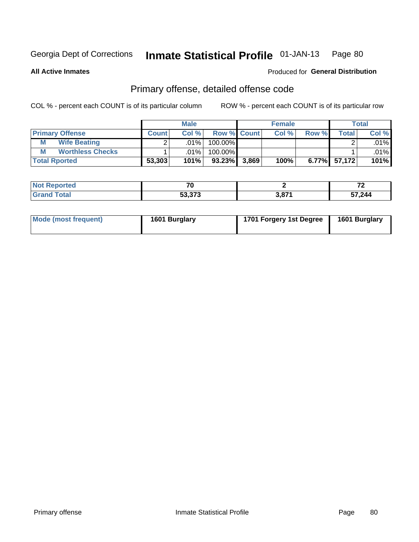**All Active Inmates**

#### Produced for **General Distribution**

### Primary offense, detailed offense code

|                              |              | <b>Male</b> |             |       | <b>Female</b> |       |                 | <b>Total</b> |
|------------------------------|--------------|-------------|-------------|-------|---------------|-------|-----------------|--------------|
| <b>Primary Offense</b>       | <b>Count</b> | Col %       | Row % Count |       | Col %         | Row % | Total           | Col %        |
| <b>Wife Beating</b><br>М     |              | .01%        | 100.00%     |       |               |       |                 | $.01\%$      |
| <b>Worthless Checks</b><br>M |              | .01% l      | 100.00%     |       |               |       |                 | $.01\%$      |
| <b>Total Rported</b>         | 53,303       | 101%        | $93.23\%$   | 3,869 | 100%          |       | $6.77\%$ 57,172 | 101%         |

| Reported    | - 7 C                                                 |             | 70<br>. . |
|-------------|-------------------------------------------------------|-------------|-----------|
| <b>otal</b> | $F^{\alpha}$ $\gamma \gamma \gamma$<br><u>ეა.ა/ ა</u> | <b>2074</b> | 57,244    |

| Mode (most frequent) | 1601 Burglary | 1701 Forgery 1st Degree | 1601 Burglary |
|----------------------|---------------|-------------------------|---------------|
|----------------------|---------------|-------------------------|---------------|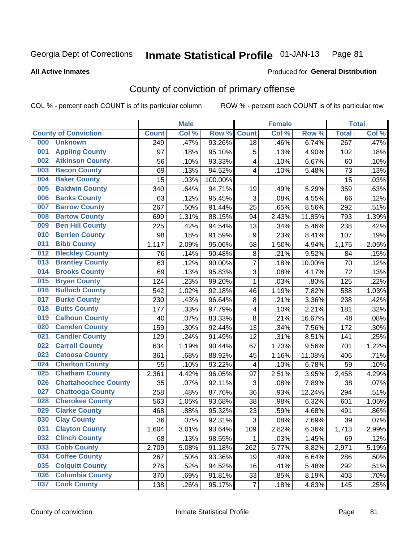#### **All Active Inmates**

### Produced for **General Distribution**

### County of conviction of primary offense

|     |                             |              | <b>Male</b> |         |                  | <b>Female</b> |        |                  | <b>Total</b> |
|-----|-----------------------------|--------------|-------------|---------|------------------|---------------|--------|------------------|--------------|
|     | <b>County of Conviction</b> | <b>Count</b> | Col %       | Row %   | <b>Count</b>     | Col %         | Row %  | <b>Total</b>     | Col %        |
| 000 | <b>Unknown</b>              | 249          | .47%        | 93.26%  | 18               | .46%          | 6.74%  | $\overline{267}$ | .47%         |
| 001 | <b>Appling County</b>       | 97           | .18%        | 95.10%  | 5                | .13%          | 4.90%  | 102              | .18%         |
| 002 | <b>Atkinson County</b>      | 56           | .10%        | 93.33%  | 4                | .10%          | 6.67%  | 60               | .10%         |
| 003 | <b>Bacon County</b>         | 69           | .13%        | 94.52%  | 4                | .10%          | 5.48%  | 73               | .13%         |
| 004 | <b>Baker County</b>         | 15           | .03%        | 100.00% |                  |               |        | 15               | .03%         |
| 005 | <b>Baldwin County</b>       | 340          | .64%        | 94.71%  | 19               | .49%          | 5.29%  | 359              | .63%         |
| 006 | <b>Banks County</b>         | 63           | .12%        | 95.45%  | 3                | .08%          | 4.55%  | 66               | .12%         |
| 007 | <b>Barrow County</b>        | 267          | .50%        | 91.44%  | 25               | .65%          | 8.56%  | 292              | .51%         |
| 008 | <b>Bartow County</b>        | 699          | 1.31%       | 88.15%  | 94               | 2.43%         | 11.85% | 793              | 1.39%        |
| 009 | <b>Ben Hill County</b>      | 225          | .42%        | 94.54%  | 13               | .34%          | 5.46%  | 238              | .42%         |
| 010 | <b>Berrien County</b>       | 98           | .18%        | 91.59%  | $\boldsymbol{9}$ | .23%          | 8.41%  | 107              | .19%         |
| 011 | <b>Bibb County</b>          | 1,117        | 2.09%       | 95.06%  | 58               | 1.50%         | 4.94%  | 1,175            | 2.05%        |
| 012 | <b>Bleckley County</b>      | 76           | .14%        | 90.48%  | 8                | .21%          | 9.52%  | 84               | .15%         |
| 013 | <b>Brantley County</b>      | 63           | .12%        | 90.00%  | $\overline{7}$   | .18%          | 10.00% | 70               | .12%         |
| 014 | <b>Brooks County</b>        | 69           | .13%        | 95.83%  | 3                | .08%          | 4.17%  | 72               | .13%         |
| 015 | <b>Bryan County</b>         | 124          | .23%        | 99.20%  | 1                | .03%          | .80%   | 125              | .22%         |
| 016 | <b>Bulloch County</b>       | 542          | 1.02%       | 92.18%  | 46               | 1.19%         | 7.82%  | 588              | 1.03%        |
| 017 | <b>Burke County</b>         | 230          | .43%        | 96.64%  | 8                | .21%          | 3.36%  | 238              | .42%         |
| 018 | <b>Butts County</b>         | 177          | .33%        | 97.79%  | 4                | .10%          | 2.21%  | 181              | .32%         |
| 019 | <b>Calhoun County</b>       | 40           | .07%        | 83.33%  | 8                | .21%          | 16.67% | 48               | .08%         |
| 020 | <b>Camden County</b>        | 159          | .30%        | 92.44%  | 13               | .34%          | 7.56%  | 172              | .30%         |
| 021 | <b>Candler County</b>       | 129          | .24%        | 91.49%  | 12               | .31%          | 8.51%  | 141              | .25%         |
| 022 | <b>Carroll County</b>       | 634          | 1.19%       | 90.44%  | 67               | 1.73%         | 9.56%  | 701              | 1.22%        |
| 023 | <b>Catoosa County</b>       | 361          | .68%        | 88.92%  | 45               | 1.16%         | 11.08% | 406              | .71%         |
| 024 | <b>Charlton County</b>      | 55           | .10%        | 93.22%  | 4                | .10%          | 6.78%  | 59               | .10%         |
| 025 | <b>Chatham County</b>       | 2,361        | 4.42%       | 96.05%  | 97               | 2.51%         | 3.95%  | 2,458            | 4.29%        |
| 026 | <b>Chattahoochee County</b> | 35           | .07%        | 92.11%  | 3                | .08%          | 7.89%  | 38               | .07%         |
| 027 | <b>Chattooga County</b>     | 258          | .48%        | 87.76%  | 36               | .93%          | 12.24% | 294              | .51%         |
| 028 | <b>Cherokee County</b>      | 563          | 1.05%       | 93.68%  | 38               | .98%          | 6.32%  | 601              | 1.05%        |
| 029 | <b>Clarke County</b>        | 468          | .88%        | 95.32%  | 23               | .59%          | 4.68%  | 491              | .86%         |
| 030 | <b>Clay County</b>          | 36           | .07%        | 92.31%  | 3                | .08%          | 7.69%  | 39               | .07%         |
| 031 | <b>Clayton County</b>       | 1,604        | 3.01%       | 93.64%  | 109              | 2.82%         | 6.36%  | 1,713            | 2.99%        |
| 032 | <b>Clinch County</b>        | 68           | .13%        | 98.55%  | $\mathbf{1}$     | .03%          | 1.45%  | 69               | .12%         |
| 033 | <b>Cobb County</b>          | 2,709        | 5.08%       | 91.18%  | 262              | 6.77%         | 8.82%  | 2,971            | 5.19%        |
| 034 | <b>Coffee County</b>        | 267          | .50%        | 93.36%  | 19               | .49%          | 6.64%  | 286              | .50%         |
| 035 | <b>Colquitt County</b>      | 276          | .52%        | 94.52%  | 16               | .41%          | 5.48%  | 292              | .51%         |
| 036 | <b>Columbia County</b>      | 370          | .69%        | 91.81%  | 33               | .85%          | 8.19%  | 403              | .70%         |
| 037 | <b>Cook County</b>          | 138          | .26%        | 95.17%  | $\overline{7}$   | .18%          | 4.83%  | 145              | .25%         |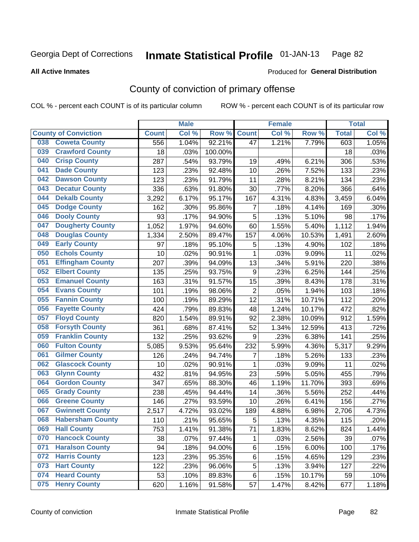**All Active Inmates**

#### Produced for **General Distribution**

### County of conviction of primary offense

|                                |              | <b>Male</b> |         |                | <b>Female</b> |        |              | <b>Total</b> |
|--------------------------------|--------------|-------------|---------|----------------|---------------|--------|--------------|--------------|
| <b>County of Conviction</b>    | <b>Count</b> | Col %       | Row %   | <b>Count</b>   | Col %         | Row %  | <b>Total</b> | Col %        |
| <b>Coweta County</b><br>038    | 556          | 1.04%       | 92.21%  | 47             | 1.21%         | 7.79%  | 603          | 1.05%        |
| <b>Crawford County</b><br>039  | 18           | .03%        | 100.00% |                |               |        | 18           | .03%         |
| <b>Crisp County</b><br>040     | 287          | .54%        | 93.79%  | 19             | .49%          | 6.21%  | 306          | .53%         |
| <b>Dade County</b><br>041      | 123          | .23%        | 92.48%  | 10             | .26%          | 7.52%  | 133          | .23%         |
| <b>Dawson County</b><br>042    | 123          | .23%        | 91.79%  | 11             | .28%          | 8.21%  | 134          | .23%         |
| 043<br><b>Decatur County</b>   | 336          | .63%        | 91.80%  | 30             | .77%          | 8.20%  | 366          | .64%         |
| <b>Dekalb County</b><br>044    | 3,292        | 6.17%       | 95.17%  | 167            | 4.31%         | 4.83%  | 3,459        | 6.04%        |
| <b>Dodge County</b><br>045     | 162          | .30%        | 95.86%  | $\overline{7}$ | .18%          | 4.14%  | 169          | .30%         |
| <b>Dooly County</b><br>046     | 93           | .17%        | 94.90%  | 5              | .13%          | 5.10%  | 98           | .17%         |
| <b>Dougherty County</b><br>047 | 1,052        | 1.97%       | 94.60%  | 60             | 1.55%         | 5.40%  | 1,112        | 1.94%        |
| <b>Douglas County</b><br>048   | 1,334        | 2.50%       | 89.47%  | 157            | 4.06%         | 10.53% | 1,491        | 2.60%        |
| <b>Early County</b><br>049     | 97           | .18%        | 95.10%  | 5              | .13%          | 4.90%  | 102          | .18%         |
| <b>Echols County</b><br>050    | 10           | .02%        | 90.91%  | 1              | .03%          | 9.09%  | 11           | .02%         |
| <b>Effingham County</b><br>051 | 207          | .39%        | 94.09%  | 13             | .34%          | 5.91%  | 220          | .38%         |
| <b>Elbert County</b><br>052    | 135          | .25%        | 93.75%  | 9              | .23%          | 6.25%  | 144          | .25%         |
| <b>Emanuel County</b><br>053   | 163          | .31%        | 91.57%  | 15             | .39%          | 8.43%  | 178          | .31%         |
| <b>Evans County</b><br>054     | 101          | .19%        | 98.06%  | $\overline{2}$ | .05%          | 1.94%  | 103          | .18%         |
| <b>Fannin County</b><br>055    | 100          | .19%        | 89.29%  | 12             | .31%          | 10.71% | 112          | .20%         |
| <b>Fayette County</b><br>056   | 424          | .79%        | 89.83%  | 48             | 1.24%         | 10.17% | 472          | .82%         |
| <b>Floyd County</b><br>057     | 820          | 1.54%       | 89.91%  | 92             | 2.38%         | 10.09% | 912          | 1.59%        |
| <b>Forsyth County</b><br>058   | 361          | .68%        | 87.41%  | 52             | 1.34%         | 12.59% | 413          | .72%         |
| <b>Franklin County</b><br>059  | 132          | .25%        | 93.62%  | 9              | .23%          | 6.38%  | 141          | .25%         |
| <b>Fulton County</b><br>060    | 5,085        | 9.53%       | 95.64%  | 232            | 5.99%         | 4.36%  | 5,317        | 9.29%        |
| <b>Gilmer County</b><br>061    | 126          | .24%        | 94.74%  | $\overline{7}$ | .18%          | 5.26%  | 133          | .23%         |
| <b>Glascock County</b><br>062  | 10           | .02%        | 90.91%  | $\mathbf{1}$   | .03%          | 9.09%  | 11           | .02%         |
| 063<br><b>Glynn County</b>     | 432          | .81%        | 94.95%  | 23             | .59%          | 5.05%  | 455          | .79%         |
| <b>Gordon County</b><br>064    | 347          | .65%        | 88.30%  | 46             | 1.19%         | 11.70% | 393          | .69%         |
| 065<br><b>Grady County</b>     | 238          | .45%        | 94.44%  | 14             | .36%          | 5.56%  | 252          | .44%         |
| <b>Greene County</b><br>066    | 146          | .27%        | 93.59%  | 10             | .26%          | 6.41%  | 156          | .27%         |
| <b>Gwinnett County</b><br>067  | 2,517        | 4.72%       | 93.02%  | 189            | 4.88%         | 6.98%  | 2,706        | 4.73%        |
| <b>Habersham County</b><br>068 | 110          | .21%        | 95.65%  | 5              | .13%          | 4.35%  | 115          | .20%         |
| 069<br><b>Hall County</b>      | 753          | 1.41%       | 91.38%  | 71             | 1.83%         | 8.62%  | 824          | 1.44%        |
| <b>Hancock County</b><br>070   | 38           | .07%        | 97.44%  | 1              | .03%          | 2.56%  | 39           | .07%         |
| <b>Haralson County</b><br>071  | 94           | .18%        | 94.00%  | 6              | .15%          | 6.00%  | 100          | .17%         |
| <b>Harris County</b><br>072    | 123          | .23%        | 95.35%  | 6              | .15%          | 4.65%  | 129          | .23%         |
| <b>Hart County</b><br>073      | 122          | .23%        | 96.06%  | 5              | .13%          | 3.94%  | 127          | .22%         |
| <b>Heard County</b><br>074     | 53           | .10%        | 89.83%  | 6              | .15%          | 10.17% | 59           | .10%         |
| <b>Henry County</b><br>075     | 620          | 1.16%       | 91.58%  | 57             | 1.47%         | 8.42%  | 677          | 1.18%        |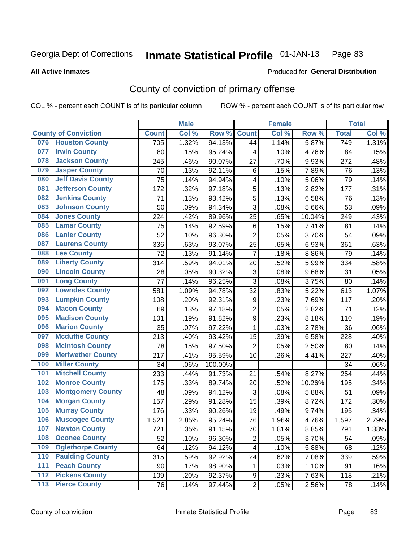**All Active Inmates**

#### Produced for **General Distribution**

### County of conviction of primary offense

|     |                             |              | <b>Male</b> |         |                           | <b>Female</b> |        |                    | <b>Total</b> |
|-----|-----------------------------|--------------|-------------|---------|---------------------------|---------------|--------|--------------------|--------------|
|     | <b>County of Conviction</b> | <b>Count</b> | Col %       | Row %   | <b>Count</b>              | Col %         | Row %  | <b>Total</b>       | Col %        |
| 076 | <b>Houston County</b>       | 705          | 1.32%       | 94.13%  | 44                        | 1.14%         | 5.87%  | 749                | 1.31%        |
| 077 | <b>Irwin County</b>         | 80           | .15%        | 95.24%  | 4                         | .10%          | 4.76%  | 84                 | .15%         |
| 078 | <b>Jackson County</b>       | 245          | .46%        | 90.07%  | 27                        | .70%          | 9.93%  | 272                | .48%         |
| 079 | <b>Jasper County</b>        | 70           | .13%        | 92.11%  | 6                         | .15%          | 7.89%  | 76                 | .13%         |
| 080 | <b>Jeff Davis County</b>    | 75           | .14%        | 94.94%  | 4                         | .10%          | 5.06%  | 79                 | .14%         |
| 081 | <b>Jefferson County</b>     | 172          | .32%        | 97.18%  | 5                         | .13%          | 2.82%  | 177                | .31%         |
| 082 | <b>Jenkins County</b>       | 71           | .13%        | 93.42%  | $\sqrt{5}$                | .13%          | 6.58%  | 76                 | .13%         |
| 083 | <b>Johnson County</b>       | 50           | .09%        | 94.34%  | 3                         | .08%          | 5.66%  | 53                 | .09%         |
| 084 | <b>Jones County</b>         | 224          | .42%        | 89.96%  | 25                        | .65%          | 10.04% | 249                | .43%         |
| 085 | <b>Lamar County</b>         | 75           | .14%        | 92.59%  | 6                         | .15%          | 7.41%  | 81                 | .14%         |
| 086 | <b>Lanier County</b>        | 52           | .10%        | 96.30%  | $\overline{2}$            | .05%          | 3.70%  | 54                 | .09%         |
| 087 | <b>Laurens County</b>       | 336          | .63%        | 93.07%  | 25                        | .65%          | 6.93%  | 361                | .63%         |
| 088 | <b>Lee County</b>           | 72           | .13%        | 91.14%  | $\overline{7}$            | .18%          | 8.86%  | 79                 | .14%         |
| 089 | <b>Liberty County</b>       | 314          | .59%        | 94.01%  | 20                        | .52%          | 5.99%  | 334                | .58%         |
| 090 | <b>Lincoln County</b>       | 28           | .05%        | 90.32%  | $\ensuremath{\mathsf{3}}$ | .08%          | 9.68%  | 31                 | .05%         |
| 091 | <b>Long County</b>          | 77           | .14%        | 96.25%  | 3                         | .08%          | 3.75%  | 80                 | .14%         |
| 092 | <b>Lowndes County</b>       | 581          | 1.09%       | 94.78%  | 32                        | .83%          | 5.22%  | 613                | 1.07%        |
| 093 | <b>Lumpkin County</b>       | 108          | .20%        | 92.31%  | 9                         | .23%          | 7.69%  | 117                | .20%         |
| 094 | <b>Macon County</b>         | 69           | .13%        | 97.18%  | $\overline{2}$            | .05%          | 2.82%  | 71                 | .12%         |
| 095 | <b>Madison County</b>       | 101          | .19%        | 91.82%  | $\boldsymbol{9}$          | .23%          | 8.18%  | 110                | .19%         |
| 096 | <b>Marion County</b>        | 35           | .07%        | 97.22%  | $\mathbf{1}$              | .03%          | 2.78%  | 36                 | .06%         |
| 097 | <b>Mcduffie County</b>      | 213          | .40%        | 93.42%  | 15                        | .39%          | 6.58%  | 228                | .40%         |
| 098 | <b>Mcintosh County</b>      | 78           | .15%        | 97.50%  | $\overline{2}$            | .05%          | 2.50%  | 80                 | .14%         |
| 099 | <b>Meriwether County</b>    | 217          | .41%        | 95.59%  | 10                        | .26%          | 4.41%  | 227                | .40%         |
| 100 | <b>Miller County</b>        | 34           | .06%        | 100.00% |                           |               |        | 34                 | .06%         |
| 101 | <b>Mitchell County</b>      | 233          | .44%        | 91.73%  | 21                        | .54%          | 8.27%  | 254                | .44%         |
| 102 | <b>Monroe County</b>        | 175          | .33%        | 89.74%  | 20                        | .52%          | 10.26% | 195                | .34%         |
| 103 | <b>Montgomery County</b>    | 48           | .09%        | 94.12%  | $\mathfrak{S}$            | .08%          | 5.88%  | 51                 | .09%         |
| 104 | <b>Morgan County</b>        | 157          | .29%        | 91.28%  | 15                        | .39%          | 8.72%  | 172                | .30%         |
| 105 | <b>Murray County</b>        | 176          | .33%        | 90.26%  | 19                        | .49%          | 9.74%  | 195                | .34%         |
| 106 | <b>Muscogee County</b>      | 1,521        | 2.85%       | 95.24%  | 76                        | 1.96%         | 4.76%  | $\overline{1,597}$ | 2.79%        |
| 107 | <b>Newton County</b>        | 721          | 1.35%       | 91.15%  | 70                        | 1.81%         | 8.85%  | 791                | 1.38%        |
| 108 | <b>Oconee County</b>        | 52           | .10%        | 96.30%  | $\overline{2}$            | .05%          | 3.70%  | 54                 | .09%         |
| 109 | <b>Oglethorpe County</b>    | 64           | .12%        | 94.12%  | 4                         | .10%          | 5.88%  | 68                 | .12%         |
| 110 | <b>Paulding County</b>      | 315          | .59%        | 92.92%  | 24                        | .62%          | 7.08%  | 339                | .59%         |
| 111 | <b>Peach County</b>         | 90           | .17%        | 98.90%  | $\mathbf 1$               | .03%          | 1.10%  | 91                 | .16%         |
| 112 | <b>Pickens County</b>       | 109          | .20%        | 92.37%  | 9                         | .23%          | 7.63%  | 118                | .21%         |
| 113 | <b>Pierce County</b>        | 76           | .14%        | 97.44%  | $\overline{c}$            | .05%          | 2.56%  | 78                 | .14%         |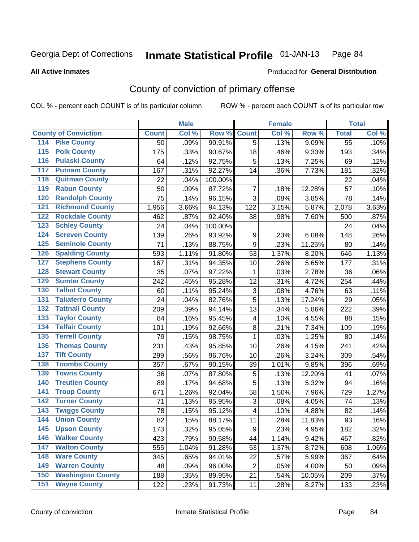**All Active Inmates**

#### Produced for **General Distribution**

### County of conviction of primary offense

|                                          |              | <b>Male</b> |         |                         | <b>Female</b> |        |              | <b>Total</b> |
|------------------------------------------|--------------|-------------|---------|-------------------------|---------------|--------|--------------|--------------|
| <b>County of Conviction</b>              | <b>Count</b> | Col %       | Row %   | <b>Count</b>            | Col %         | Row %  | <b>Total</b> | Col %        |
| 114 Pike County                          | 50           | .09%        | 90.91%  | $\overline{5}$          | .13%          | 9.09%  | 55           | .10%         |
| <b>Polk County</b><br>$\overline{115}$   | 175          | .33%        | 90.67%  | 18                      | .46%          | 9.33%  | 193          | .34%         |
| <b>Pulaski County</b><br>116             | 64           | .12%        | 92.75%  | 5                       | .13%          | 7.25%  | 69           | .12%         |
| 117<br><b>Putnam County</b>              | 167          | .31%        | 92.27%  | 14                      | .36%          | 7.73%  | 181          | .32%         |
| <b>Quitman County</b><br>118             | 22           | .04%        | 100.00% |                         |               |        | 22           | .04%         |
| <b>Rabun County</b><br>119               | 50           | .09%        | 87.72%  | $\overline{7}$          | .18%          | 12.28% | 57           | .10%         |
| <b>Randolph County</b><br>120            | 75           | .14%        | 96.15%  | 3                       | .08%          | 3.85%  | 78           | .14%         |
| <b>Richmond County</b><br>121            | 1,956        | 3.66%       | 94.13%  | 122                     | 3.15%         | 5.87%  | 2,078        | 3.63%        |
| <b>Rockdale County</b><br>122            | 462          | .87%        | 92.40%  | 38                      | .98%          | 7.60%  | 500          | .87%         |
| <b>Schley County</b><br>123              | 24           | .04%        | 100.00% |                         |               |        | 24           | .04%         |
| <b>Screven County</b><br>124             | 139          | .26%        | 93.92%  | 9                       | .23%          | 6.08%  | 148          | .26%         |
| <b>Seminole County</b><br>125            | 71           | .13%        | 88.75%  | 9                       | .23%          | 11.25% | 80           | .14%         |
| <b>Spalding County</b><br>126            | 593          | 1.11%       | 91.80%  | 53                      | 1.37%         | 8.20%  | 646          | 1.13%        |
| <b>Stephens County</b><br>127            | 167          | .31%        | 94.35%  | 10                      | .26%          | 5.65%  | 177          | .31%         |
| <b>Stewart County</b><br>128             | 35           | .07%        | 97.22%  | $\mathbf{1}$            | .03%          | 2.78%  | 36           | .06%         |
| <b>Sumter County</b><br>129              | 242          | .45%        | 95.28%  | 12                      | .31%          | 4.72%  | 254          | .44%         |
| <b>Talbot County</b><br>130              | 60           | .11%        | 95.24%  | 3                       | .08%          | 4.76%  | 63           | .11%         |
| <b>Taliaferro County</b><br>131          | 24           | .04%        | 82.76%  | 5                       | .13%          | 17.24% | 29           | .05%         |
| <b>Tattnall County</b><br>132            | 209          | .39%        | 94.14%  | 13                      | .34%          | 5.86%  | 222          | .39%         |
| <b>Taylor County</b><br>133              | 84           | .16%        | 95.45%  | 4                       | .10%          | 4.55%  | 88           | .15%         |
| <b>Telfair County</b><br>134             | 101          | .19%        | 92.66%  | 8                       | .21%          | 7.34%  | 109          | .19%         |
| <b>Terrell County</b><br>135             | 79           | .15%        | 98.75%  | $\mathbf{1}$            | .03%          | 1.25%  | 80           | .14%         |
| <b>Thomas County</b><br>136              | 231          | .43%        | 95.85%  | 10                      | .26%          | 4.15%  | 241          | .42%         |
| <b>Tift County</b><br>137                | 299          | .56%        | 96.76%  | 10                      | .26%          | 3.24%  | 309          | .54%         |
| <b>Toombs County</b><br>138              | 357          | .67%        | 90.15%  | 39                      | 1.01%         | 9.85%  | 396          | .69%         |
| <b>Towns County</b><br>139               | 36           | .07%        | 87.80%  | $\mathbf 5$             | .13%          | 12.20% | 41           | .07%         |
| <b>Treutlen County</b><br>140            | 89           | .17%        | 94.68%  | 5                       | .13%          | 5.32%  | 94           | .16%         |
| <b>Troup County</b><br>141               | 671          | 1.26%       | 92.04%  | 58                      | 1.50%         | 7.96%  | 729          | 1.27%        |
| <b>Turner County</b><br>142              | 71           | .13%        | 95.95%  | 3                       | .08%          | 4.05%  | 74           | .13%         |
| <b>Twiggs County</b><br>$\overline{143}$ | 78           | .15%        | 95.12%  | $\overline{\mathbf{4}}$ | .10%          | 4.88%  | 82           | .14%         |
| <b>Union County</b><br>144               | 82           | .15%        | 88.17%  | 11                      | .28%          | 11.83% | 93           | .16%         |
| 145<br><b>Upson County</b>               | 173          | .32%        | 95.05%  | 9                       | .23%          | 4.95%  | 182          | .32%         |
| <b>Walker County</b><br>146              | 423          | .79%        | 90.58%  | 44                      | 1.14%         | 9.42%  | 467          | .82%         |
| <b>Walton County</b><br>147              | 555          | 1.04%       | 91.28%  | 53                      | 1.37%         | 8.72%  | 608          | 1.06%        |
| <b>Ware County</b><br>148                | 345          | .65%        | 94.01%  | 22                      | .57%          | 5.99%  | 367          | .64%         |
| <b>Warren County</b><br>149              | 48           | .09%        | 96.00%  | $\overline{2}$          | .05%          | 4.00%  | 50           | .09%         |
| <b>Washington County</b><br>150          | 188          | .35%        | 89.95%  | 21                      | .54%          | 10.05% | 209          | .37%         |
| <b>Wayne County</b><br>151               | 122          | .23%        | 91.73%  | 11                      | .28%          | 8.27%  | 133          | .23%         |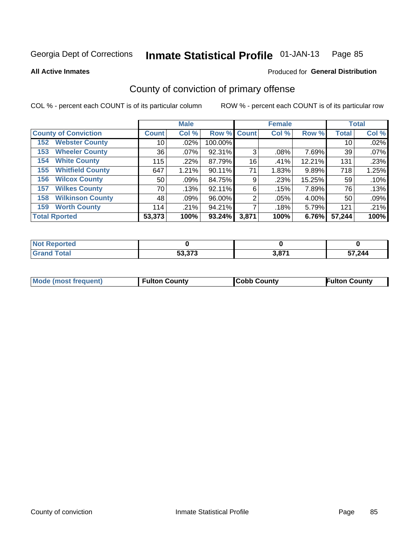**All Active Inmates**

#### Produced for **General Distribution**

### County of conviction of primary offense

|                                |              | <b>Male</b> |             |       | <b>Female</b> |        |              | <b>Total</b> |
|--------------------------------|--------------|-------------|-------------|-------|---------------|--------|--------------|--------------|
| <b>County of Conviction</b>    | <b>Count</b> | Col %       | Row % Count |       | Col %         | Row %  | <b>Total</b> | Col %        |
| <b>Webster County</b><br>152   | 10           | .02%        | 100.00%     |       |               |        | 10           | .02%         |
| <b>Wheeler County</b><br>153   | 36           | $.07\%$     | 92.31%      | 3     | .08%          | 7.69%  | 39           | .07%         |
| <b>White County</b><br>154     | 115          | .22%        | 87.79%      | 16    | .41%          | 12.21% | 131          | .23%         |
| <b>Whitfield County</b><br>155 | 647          | 1.21%       | 90.11%      | 71    | 1.83%         | 9.89%  | 718          | 1.25%        |
| <b>Wilcox County</b><br>156    | 50           | .09%        | 84.75%      | 9     | .23%          | 15.25% | 59           | .10%         |
| <b>Wilkes County</b><br>157    | 70           | .13%        | 92.11%      | 6     | .15%          | 7.89%  | 76           | .13%         |
| <b>Wilkinson County</b><br>158 | 48           | .09%        | 96.00%      | 2     | .05%          | 4.00%  | 50           | .09%         |
| <b>Worth County</b><br>159     | 114          | .21%        | 94.21%      |       | .18%          | 5.79%  | 121          | .21%         |
| <b>Total Rported</b>           | 53,373       | 100%        | 93.24%      | 3,871 | 100%          | 6.76%  | 57,244       | 100%         |

| <b>Not Reported</b> |        |       |        |
|---------------------|--------|-------|--------|
| <b>Grand Total</b>  | 53,373 | 3,871 | 57,244 |

| Mode (most frequent) | <b>Fulton County</b> | <b>Cobb County</b> | <b>Fulton County</b> |
|----------------------|----------------------|--------------------|----------------------|
|                      |                      |                    |                      |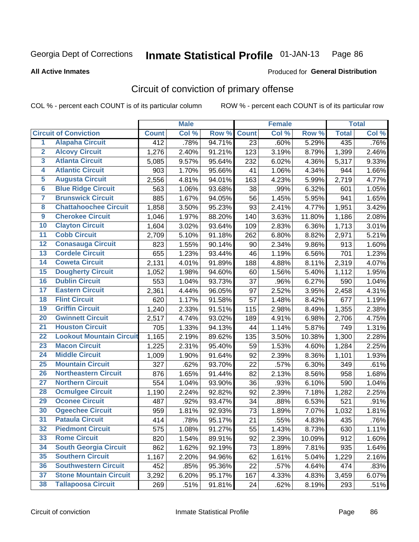**All Active Inmates**

#### Produced for **General Distribution**

### Circuit of conviction of primary offense

|                         |                                 |              | <b>Male</b> |        |              | <b>Female</b> |        |              | <b>Total</b> |
|-------------------------|---------------------------------|--------------|-------------|--------|--------------|---------------|--------|--------------|--------------|
|                         | <b>Circuit of Conviction</b>    | <b>Count</b> | Col %       | Row %  | <b>Count</b> | Col %         | Row %  | <b>Total</b> | Col %        |
| $\overline{1}$          | <b>Alapaha Circuit</b>          | 412          | .78%        | 94.71% | 23           | .60%          | 5.29%  | 435          | .76%         |
| $\overline{2}$          | <b>Alcovy Circuit</b>           | 1,276        | 2.40%       | 91.21% | 123          | 3.19%         | 8.79%  | 1,399        | 2.46%        |
| $\overline{\mathbf{3}}$ | <b>Atlanta Circuit</b>          | 5,085        | 9.57%       | 95.64% | 232          | 6.02%         | 4.36%  | 5,317        | 9.33%        |
| 4                       | <b>Atlantic Circuit</b>         | 903          | 1.70%       | 95.66% | 41           | 1.06%         | 4.34%  | 944          | 1.66%        |
| 5                       | <b>Augusta Circuit</b>          | 2,556        | 4.81%       | 94.01% | 163          | 4.23%         | 5.99%  | 2,719        | 4.77%        |
| $\overline{\mathbf{6}}$ | <b>Blue Ridge Circuit</b>       | 563          | 1.06%       | 93.68% | 38           | .99%          | 6.32%  | 601          | 1.05%        |
| $\overline{\mathbf{7}}$ | <b>Brunswick Circuit</b>        | 885          | 1.67%       | 94.05% | 56           | 1.45%         | 5.95%  | 941          | 1.65%        |
| 8                       | <b>Chattahoochee Circuit</b>    | 1,858        | 3.50%       | 95.23% | 93           | 2.41%         | 4.77%  | 1,951        | 3.42%        |
| $\overline{9}$          | <b>Cherokee Circuit</b>         | 1,046        | 1.97%       | 88.20% | 140          | 3.63%         | 11.80% | 1,186        | 2.08%        |
| 10                      | <b>Clayton Circuit</b>          | 1,604        | 3.02%       | 93.64% | 109          | 2.83%         | 6.36%  | 1,713        | 3.01%        |
| 11                      | <b>Cobb Circuit</b>             | 2,709        | 5.10%       | 91.18% | 262          | 6.80%         | 8.82%  | 2,971        | 5.21%        |
| 12                      | <b>Conasauga Circuit</b>        | 823          | 1.55%       | 90.14% | 90           | 2.34%         | 9.86%  | 913          | 1.60%        |
| 13                      | <b>Cordele Circuit</b>          | 655          | 1.23%       | 93.44% | 46           | 1.19%         | 6.56%  | 701          | 1.23%        |
| 14                      | <b>Coweta Circuit</b>           | 2,131        | 4.01%       | 91.89% | 188          | 4.88%         | 8.11%  | 2,319        | 4.07%        |
| 15                      | <b>Dougherty Circuit</b>        | 1,052        | 1.98%       | 94.60% | 60           | 1.56%         | 5.40%  | 1,112        | 1.95%        |
| 16                      | <b>Dublin Circuit</b>           | 553          | 1.04%       | 93.73% | 37           | .96%          | 6.27%  | 590          | 1.04%        |
| 17                      | <b>Eastern Circuit</b>          | 2,361        | 4.44%       | 96.05% | 97           | 2.52%         | 3.95%  | 2,458        | 4.31%        |
| 18                      | <b>Flint Circuit</b>            | 620          | 1.17%       | 91.58% | 57           | 1.48%         | 8.42%  | 677          | 1.19%        |
| 19                      | <b>Griffin Circuit</b>          | 1,240        | 2.33%       | 91.51% | 115          | 2.98%         | 8.49%  | 1,355        | 2.38%        |
| 20                      | <b>Gwinnett Circuit</b>         | 2,517        | 4.74%       | 93.02% | 189          | 4.91%         | 6.98%  | 2,706        | 4.75%        |
| $\overline{21}$         | <b>Houston Circuit</b>          | 705          | 1.33%       | 94.13% | 44           | 1.14%         | 5.87%  | 749          | 1.31%        |
| $\overline{22}$         | <b>Lookout Mountain Circuit</b> | 1,165        | 2.19%       | 89.62% | 135          | 3.50%         | 10.38% | 1,300        | 2.28%        |
| 23                      | <b>Macon Circuit</b>            | 1,225        | 2.31%       | 95.40% | 59           | 1.53%         | 4.60%  | 1,284        | 2.25%        |
| 24                      | <b>Middle Circuit</b>           | 1,009        | 1.90%       | 91.64% | 92           | 2.39%         | 8.36%  | 1,101        | 1.93%        |
| 25                      | <b>Mountain Circuit</b>         | 327          | .62%        | 93.70% | 22           | .57%          | 6.30%  | 349          | .61%         |
| 26                      | <b>Northeastern Circuit</b>     | 876          | 1.65%       | 91.44% | 82           | 2.13%         | 8.56%  | 958          | 1.68%        |
| $\overline{27}$         | <b>Northern Circuit</b>         | 554          | 1.04%       | 93.90% | 36           | .93%          | 6.10%  | 590          | 1.04%        |
| 28                      | <b>Ocmulgee Circuit</b>         | 1,190        | 2.24%       | 92.82% | 92           | 2.39%         | 7.18%  | 1,282        | 2.25%        |
| 29                      | <b>Oconee Circuit</b>           | 487          | .92%        | 93.47% | 34           | .88%          | 6.53%  | 521          | .91%         |
| 30                      | <b>Ogeechee Circuit</b>         | 959          | 1.81%       | 92.93% | 73           | 1.89%         | 7.07%  | 1,032        | 1.81%        |
| $\overline{31}$         | <b>Pataula Circuit</b>          | 414          | .78%        | 95.17% | 21           | .55%          | 4.83%  | 435          | .76%         |
| 32                      | <b>Piedmont Circuit</b>         | 575          | 1.08%       | 91.27% | 55           | 1.43%         | 8.73%  | 630          | 1.11%        |
| 33                      | <b>Rome Circuit</b>             | 820          | 1.54%       | 89.91% | 92           | 2.39%         | 10.09% | 912          | 1.60%        |
| 34                      | <b>South Georgia Circuit</b>    | 862          | 1.62%       | 92.19% | 73           | 1.89%         | 7.81%  | 935          | 1.64%        |
| 35                      | <b>Southern Circuit</b>         | 1,167        | 2.20%       | 94.96% | 62           | 1.61%         | 5.04%  | 1,229        | 2.16%        |
| 36                      | <b>Southwestern Circuit</b>     | 452          | .85%        | 95.36% | 22           | .57%          | 4.64%  | 474          | .83%         |
| 37                      | <b>Stone Mountain Circuit</b>   | 3,292        | 6.20%       | 95.17% | 167          | 4.33%         | 4.83%  | 3,459        | 6.07%        |
| 38                      | <b>Tallapoosa Circuit</b>       | 269          | .51%        | 91.81% | 24           | .62%          | 8.19%  | 293          | .51%         |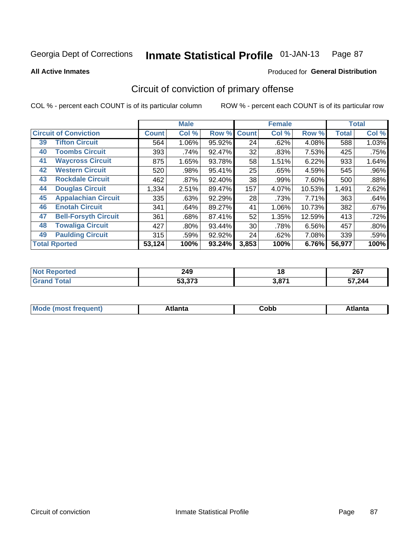**All Active Inmates**

#### Produced for **General Distribution**

### Circuit of conviction of primary offense

|                      |                              |              | <b>Male</b> |        |              | <b>Female</b> |        |              | <b>Total</b> |
|----------------------|------------------------------|--------------|-------------|--------|--------------|---------------|--------|--------------|--------------|
|                      | <b>Circuit of Conviction</b> | <b>Count</b> | Col %       | Row %  | <b>Count</b> | Col %         | Row %  | <b>Total</b> | Col %        |
| 39                   | <b>Tifton Circuit</b>        | 564          | 1.06%       | 95.92% | 24           | .62%          | 4.08%  | 588          | 1.03%        |
| 40                   | <b>Toombs Circuit</b>        | 393          | .74%        | 92.47% | 32           | .83%          | 7.53%  | 425          | .75%         |
| 41                   | <b>Waycross Circuit</b>      | 875          | 1.65%       | 93.78% | 58           | 1.51%         | 6.22%  | 933          | 1.64%        |
| 42                   | <b>Western Circuit</b>       | 520          | .98%        | 95.41% | 25           | .65%          | 4.59%  | 545          | .96%         |
| 43                   | <b>Rockdale Circuit</b>      | 462          | .87%        | 92.40% | 38           | .99%          | 7.60%  | 500          | .88%         |
| 44                   | <b>Douglas Circuit</b>       | 1,334        | 2.51%       | 89.47% | 157          | 4.07%         | 10.53% | 1,491        | 2.62%        |
| 45                   | <b>Appalachian Circuit</b>   | 335          | .63%        | 92.29% | 28           | .73%          | 7.71%  | 363          | .64%         |
| 46                   | <b>Enotah Circuit</b>        | 341          | .64%        | 89.27% | 41           | 1.06%         | 10.73% | 382          | .67%         |
| 47                   | <b>Bell-Forsyth Circuit</b>  | 361          | .68%        | 87.41% | 52           | 1.35%         | 12.59% | 413          | .72%         |
| 48                   | <b>Towaliga Circuit</b>      | 427          | $.80\%$     | 93.44% | 30           | .78%          | 6.56%  | 457          | .80%         |
| 49                   | <b>Paulding Circuit</b>      | 315          | .59%        | 92.92% | 24           | .62%          | 7.08%  | 339          | .59%         |
| <b>Total Rported</b> |                              | 53,124       | 100%        | 93.24% | 3,853        | 100%          | 6.76%  | 56,977       | 100%         |

| 11 H C | 249<br>$\sim$    | 1 Q         | 267<br>ZV I |
|--------|------------------|-------------|-------------|
|        | 52 272<br>33.373 | <b>2074</b> | , 244<br>ັ  |

| M | . | -----<br>oг | ----<br>пLс |
|---|---|-------------|-------------|
|   |   | <b>OUNN</b> |             |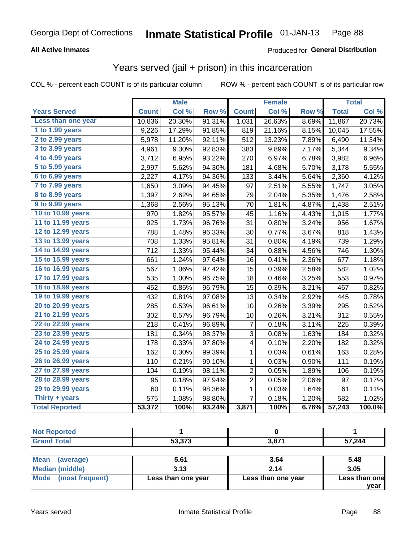#### **All Active Inmates**

### Produced for **General Distribution**

### Years served (jail + prison) in this incarceration

| <b>Years Served</b><br>Col %<br>Row %<br><b>Count</b><br>Less than one year<br>20.30%<br>10,836<br>91.31%<br>1 to 1.99 years<br>17.29%<br>91.85%<br>9,226<br>2 to 2.99 years<br>92.11%<br>5,978<br>11.20%<br>3 to 3.99 years<br>9.30%<br>92.83%<br>4,961<br>4 to 4.99 years<br>93.22%<br>3,712<br>6.95%<br>5 to 5.99 years<br>5.62%<br>94.30%<br>2,997<br>6 to 6.99 years<br>4.17%<br>94.36%<br>2,227<br>$7$ to $7.99$ years<br>1,650<br>3.09%<br>94.45%<br><b>8 to 8.99 years</b><br>2.62%<br>1,397<br>94.65%<br>9 to 9.99 years<br>1,368<br>2.56%<br>95.13%<br>10 to 10.99 years<br>1.82%<br>970<br>95.57%<br>11 to 11.99 years | <b>Count</b><br>1,031<br>819<br>512<br>383<br>270<br>181<br>133<br>97<br>79<br>70<br>45<br>31<br>30 | $\overline{\text{Col }^9}$<br>26.63%<br>21.16%<br>13.23%<br>9.89%<br>6.97%<br>4.68%<br>3.44%<br>2.51%<br>2.04%<br>1.81%<br>1.16%<br>0.80% | Row %<br>8.69%<br>8.15%<br>7.89%<br>7.17%<br>6.78%<br>5.70%<br>5.64%<br>5.55%<br>5.35%<br>4.87%<br>4.43% | <b>Total</b><br>11,867<br>10,045<br>6,490<br>5,344<br>3,982<br>3,178<br>2,360<br>1,747<br>1,476<br>1,438 | Col %<br>20.73%<br>17.55%<br>11.34%<br>9.34%<br>6.96%<br>5.55%<br>4.12%<br>3.05%<br>2.58%<br>2.51% |
|-----------------------------------------------------------------------------------------------------------------------------------------------------------------------------------------------------------------------------------------------------------------------------------------------------------------------------------------------------------------------------------------------------------------------------------------------------------------------------------------------------------------------------------------------------------------------------------------------------------------------------------|-----------------------------------------------------------------------------------------------------|-------------------------------------------------------------------------------------------------------------------------------------------|----------------------------------------------------------------------------------------------------------|----------------------------------------------------------------------------------------------------------|----------------------------------------------------------------------------------------------------|
|                                                                                                                                                                                                                                                                                                                                                                                                                                                                                                                                                                                                                                   |                                                                                                     |                                                                                                                                           |                                                                                                          |                                                                                                          |                                                                                                    |
|                                                                                                                                                                                                                                                                                                                                                                                                                                                                                                                                                                                                                                   |                                                                                                     |                                                                                                                                           |                                                                                                          |                                                                                                          |                                                                                                    |
|                                                                                                                                                                                                                                                                                                                                                                                                                                                                                                                                                                                                                                   |                                                                                                     |                                                                                                                                           |                                                                                                          |                                                                                                          |                                                                                                    |
|                                                                                                                                                                                                                                                                                                                                                                                                                                                                                                                                                                                                                                   |                                                                                                     |                                                                                                                                           |                                                                                                          |                                                                                                          |                                                                                                    |
|                                                                                                                                                                                                                                                                                                                                                                                                                                                                                                                                                                                                                                   |                                                                                                     |                                                                                                                                           |                                                                                                          |                                                                                                          |                                                                                                    |
|                                                                                                                                                                                                                                                                                                                                                                                                                                                                                                                                                                                                                                   |                                                                                                     |                                                                                                                                           |                                                                                                          |                                                                                                          |                                                                                                    |
|                                                                                                                                                                                                                                                                                                                                                                                                                                                                                                                                                                                                                                   |                                                                                                     |                                                                                                                                           |                                                                                                          |                                                                                                          |                                                                                                    |
|                                                                                                                                                                                                                                                                                                                                                                                                                                                                                                                                                                                                                                   |                                                                                                     |                                                                                                                                           |                                                                                                          |                                                                                                          |                                                                                                    |
|                                                                                                                                                                                                                                                                                                                                                                                                                                                                                                                                                                                                                                   |                                                                                                     |                                                                                                                                           |                                                                                                          |                                                                                                          |                                                                                                    |
|                                                                                                                                                                                                                                                                                                                                                                                                                                                                                                                                                                                                                                   |                                                                                                     |                                                                                                                                           |                                                                                                          |                                                                                                          |                                                                                                    |
|                                                                                                                                                                                                                                                                                                                                                                                                                                                                                                                                                                                                                                   |                                                                                                     |                                                                                                                                           |                                                                                                          |                                                                                                          |                                                                                                    |
|                                                                                                                                                                                                                                                                                                                                                                                                                                                                                                                                                                                                                                   |                                                                                                     |                                                                                                                                           |                                                                                                          | 1,015                                                                                                    | 1.77%                                                                                              |
| 925<br>1.73%<br>96.76%                                                                                                                                                                                                                                                                                                                                                                                                                                                                                                                                                                                                            |                                                                                                     |                                                                                                                                           | 3.24%                                                                                                    | 956                                                                                                      | 1.67%                                                                                              |
| 12 to 12.99 years<br>788<br>1.48%<br>96.33%                                                                                                                                                                                                                                                                                                                                                                                                                                                                                                                                                                                       |                                                                                                     | 0.77%                                                                                                                                     | 3.67%                                                                                                    | 818                                                                                                      | 1.43%                                                                                              |
| 13 to 13.99 years<br>708<br>1.33%<br>95.81%                                                                                                                                                                                                                                                                                                                                                                                                                                                                                                                                                                                       | 31                                                                                                  | 0.80%                                                                                                                                     | 4.19%                                                                                                    | 739                                                                                                      | 1.29%                                                                                              |
| 14 to 14.99 years<br>712<br>1.33%<br>95.44%                                                                                                                                                                                                                                                                                                                                                                                                                                                                                                                                                                                       | 34                                                                                                  | 0.88%                                                                                                                                     | 4.56%                                                                                                    | 746                                                                                                      | 1.30%                                                                                              |
| 15 to 15.99 years<br>1.24%<br>97.64%<br>661                                                                                                                                                                                                                                                                                                                                                                                                                                                                                                                                                                                       | 16                                                                                                  | 0.41%                                                                                                                                     | 2.36%                                                                                                    | 677                                                                                                      | 1.18%                                                                                              |
| 16 to 16.99 years<br>1.06%<br>97.42%<br>567                                                                                                                                                                                                                                                                                                                                                                                                                                                                                                                                                                                       | 15                                                                                                  | 0.39%                                                                                                                                     | 2.58%                                                                                                    | 582                                                                                                      | 1.02%                                                                                              |
| 17 to 17.99 years<br>535<br>1.00%<br>96.75%                                                                                                                                                                                                                                                                                                                                                                                                                                                                                                                                                                                       | 18                                                                                                  | 0.46%                                                                                                                                     | 3.25%                                                                                                    | 553                                                                                                      | 0.97%                                                                                              |
| 18 to 18.99 years<br>0.85%<br>96.79%<br>452                                                                                                                                                                                                                                                                                                                                                                                                                                                                                                                                                                                       | 15                                                                                                  | 0.39%                                                                                                                                     | 3.21%                                                                                                    | 467                                                                                                      | 0.82%                                                                                              |
| 19 to 19.99 years<br>432<br>0.81%<br>97.08%                                                                                                                                                                                                                                                                                                                                                                                                                                                                                                                                                                                       | 13                                                                                                  | 0.34%                                                                                                                                     | 2.92%                                                                                                    | 445                                                                                                      | 0.78%                                                                                              |
| 20 to 20.99 years<br>285<br>0.53%<br>96.61%                                                                                                                                                                                                                                                                                                                                                                                                                                                                                                                                                                                       | 10                                                                                                  | 0.26%                                                                                                                                     | 3.39%                                                                                                    | 295                                                                                                      | 0.52%                                                                                              |
| 21 to 21.99 years<br>302<br>0.57%<br>96.79%                                                                                                                                                                                                                                                                                                                                                                                                                                                                                                                                                                                       | 10                                                                                                  | 0.26%                                                                                                                                     | 3.21%                                                                                                    | 312                                                                                                      | 0.55%                                                                                              |
| 22 to 22.99 years<br>218<br>0.41%<br>96.89%                                                                                                                                                                                                                                                                                                                                                                                                                                                                                                                                                                                       | $\overline{7}$                                                                                      | 0.18%                                                                                                                                     | 3.11%                                                                                                    | 225                                                                                                      | 0.39%                                                                                              |
| 23 to 23.99 years<br>0.34%<br>181<br>98.37%                                                                                                                                                                                                                                                                                                                                                                                                                                                                                                                                                                                       | 3                                                                                                   | 0.08%                                                                                                                                     | 1.63%                                                                                                    | 184                                                                                                      | 0.32%                                                                                              |
| 24 to 24.99 years<br>178<br>0.33%<br>97.80%                                                                                                                                                                                                                                                                                                                                                                                                                                                                                                                                                                                       | 4                                                                                                   | 0.10%                                                                                                                                     | 2.20%                                                                                                    | 182                                                                                                      | 0.32%                                                                                              |
| 25 to 25.99 years<br>162<br>0.30%<br>99.39%                                                                                                                                                                                                                                                                                                                                                                                                                                                                                                                                                                                       | $\mathbf{1}$                                                                                        | 0.03%                                                                                                                                     | 0.61%                                                                                                    | 163                                                                                                      | 0.28%                                                                                              |
| 26 to 26.99 years<br>110<br>0.21%<br>99.10%                                                                                                                                                                                                                                                                                                                                                                                                                                                                                                                                                                                       | $\mathbf{1}$                                                                                        | 0.03%                                                                                                                                     | 0.90%                                                                                                    | 111                                                                                                      | 0.19%                                                                                              |
| 27 to 27.99 years<br>0.19%<br>98.11%<br>104                                                                                                                                                                                                                                                                                                                                                                                                                                                                                                                                                                                       | $\overline{c}$                                                                                      | 0.05%                                                                                                                                     | 1.89%                                                                                                    | 106                                                                                                      | 0.19%                                                                                              |
| 28 to 28.99 years<br>0.18%<br>95<br>97.94%                                                                                                                                                                                                                                                                                                                                                                                                                                                                                                                                                                                        | 2                                                                                                   | 0.05%                                                                                                                                     | 2.06%                                                                                                    | 97                                                                                                       | 0.17%                                                                                              |
| 29 to 29.99 years<br>0.11%<br>98.36%<br>60                                                                                                                                                                                                                                                                                                                                                                                                                                                                                                                                                                                        | 1                                                                                                   | 0.03%                                                                                                                                     | 1.64%                                                                                                    | 61                                                                                                       | 0.11%                                                                                              |
| Thirty + years<br>575<br>1.08%<br>98.80%                                                                                                                                                                                                                                                                                                                                                                                                                                                                                                                                                                                          | $\overline{7}$                                                                                      | 0.18%                                                                                                                                     | 1.20%                                                                                                    | 582                                                                                                      | 1.02%                                                                                              |
| <b>Total Reported</b><br>53,372<br>100%<br>93.24%                                                                                                                                                                                                                                                                                                                                                                                                                                                                                                                                                                                 | 3,871                                                                                               | 100%                                                                                                                                      | 6.76%                                                                                                    | $\overline{57,243}$                                                                                      | 100.0%                                                                                             |

|                                |                    |                    | vear          |
|--------------------------------|--------------------|--------------------|---------------|
| <b>Mode</b><br>(most frequent) | Less than one year | Less than one year | Less than one |
| Median (middle)                | 3.13               | 2.14               | 3.05          |
| <b>Mean</b><br>(average)       | 5.61               | 3.64               | 5.48          |
| <b>Grand Total</b>             | 53,373             | 3,871              | 57,244        |
| <b>Not Reported</b>            |                    |                    |               |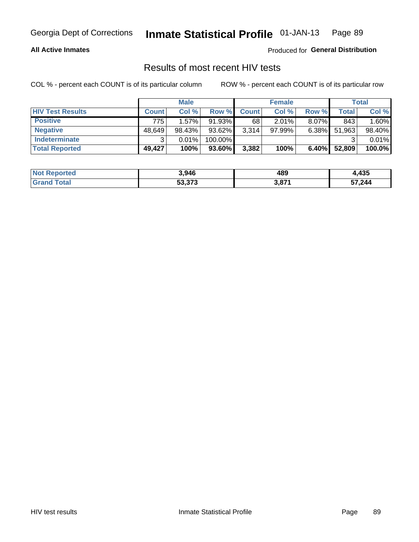#### **All Active Inmates**

Produced for **General Distribution**

### Results of most recent HIV tests

|                         |              | <b>Male</b> |           |              | <b>Female</b> |          |        | <b>Total</b> |
|-------------------------|--------------|-------------|-----------|--------------|---------------|----------|--------|--------------|
| <b>HIV Test Results</b> | <b>Count</b> | Col %       | Row %I    | <b>Count</b> | Col %         | Row %    | Total  | Col %        |
| <b>Positive</b>         | 775          | 1.57%       | 91.93%    | 68           | $2.01\%$      | 8.07%    | 843    | 1.60%        |
| <b>Negative</b>         | 48,649       | 98.43%      | $93.62\%$ | 3,314        | $97.99\%$     | 6.38%    | 51,963 | 98.40%       |
| <b>Indeterminate</b>    | ว            | 0.01%       | 100.00%   |              |               |          |        | 0.01%        |
| <b>Total Reported</b>   | 49,427       | 100%        | 93.60%    | 3,382        | 100%          | $6.40\%$ | 52,809 | 100.0%       |

| <b>Not Reported</b> | 3,946  | 489                  | 12 E<br>66.4J |
|---------------------|--------|----------------------|---------------|
| Total<br>Gran       | 53,373 | <b>074</b><br>3,07 L | 57,244        |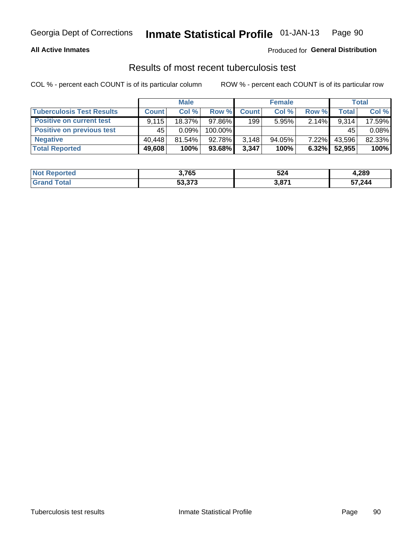#### **All Active Inmates**

### Produced for **General Distribution**

### Results of most recent tuberculosis test

|                                  | <b>Male</b>  |           |         | <b>Female</b> |           |          | Total        |        |
|----------------------------------|--------------|-----------|---------|---------------|-----------|----------|--------------|--------|
| <b>Tuberculosis Test Results</b> | <b>Count</b> | Col%      | Row %   | <b>Count</b>  | Col %     | Row %    | <b>Total</b> | Col %  |
| <b>Positive on current test</b>  | 9.115        | 18.37%    | 97.86%  | 199           | 5.95%     | $2.14\%$ | 9,314        | 17.59% |
| <b>Positive on previous test</b> | 45           | $0.09\%$  | 100.00% |               |           |          | 45           | 0.08%  |
| <b>Negative</b>                  | 40.448       | $81.54\%$ | 92.78%  | 3,148         | $94.05\%$ | $7.22\%$ | 43,596       | 82.33% |
| <b>Total Reported</b>            | 49,608       | 100%      | 93.68%  | 3,347         | 100%      | $6.32\%$ | 52,955       | 100%   |

| <b>Not Reported</b> | 3,765  | 524                    | 4,289  |
|---------------------|--------|------------------------|--------|
| Total               | 53,373 | <b>D 074</b><br>э, о г | 57,244 |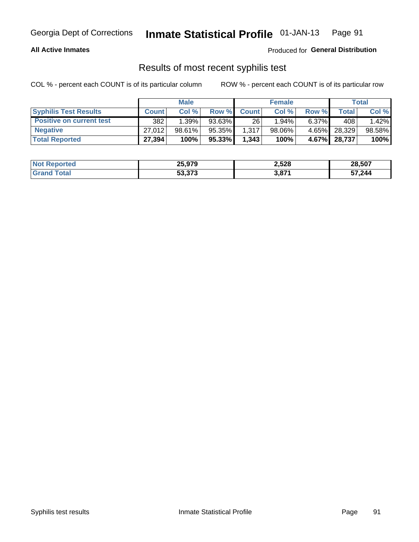#### **All Active Inmates**

Produced for **General Distribution**

### Results of most recent syphilis test

|                                 | <b>Male</b>  |        |           | <b>Female</b> |          |          | Total   |        |
|---------------------------------|--------------|--------|-----------|---------------|----------|----------|---------|--------|
| <b>Syphilis Test Results</b>    | <b>Count</b> | Col%   | Row %     | <b>Count</b>  | Col %    | Row %    | Total I | Col %  |
| <b>Positive on current test</b> | 382          | 1.39%  | $93.63\%$ | 26            | $1.94\%$ | $6.37\%$ | 408     | 1.42%  |
| <b>Negative</b>                 | 27.012       | 98.61% | 95.35%    | 1,317         | 98.06%   | 4.65%    | 28,329  | 98.58% |
| <b>Total Reported</b>           | 27,394       | 100%   | 95.33%    | 1,343         | 100%     | $4.67\%$ | 28,737  | 100%   |

| <b>Not Reported</b> | 25,979 | 2,528 | 28,507 |
|---------------------|--------|-------|--------|
| <b>Grand Total</b>  | 53,373 | 3,871 | 57,244 |